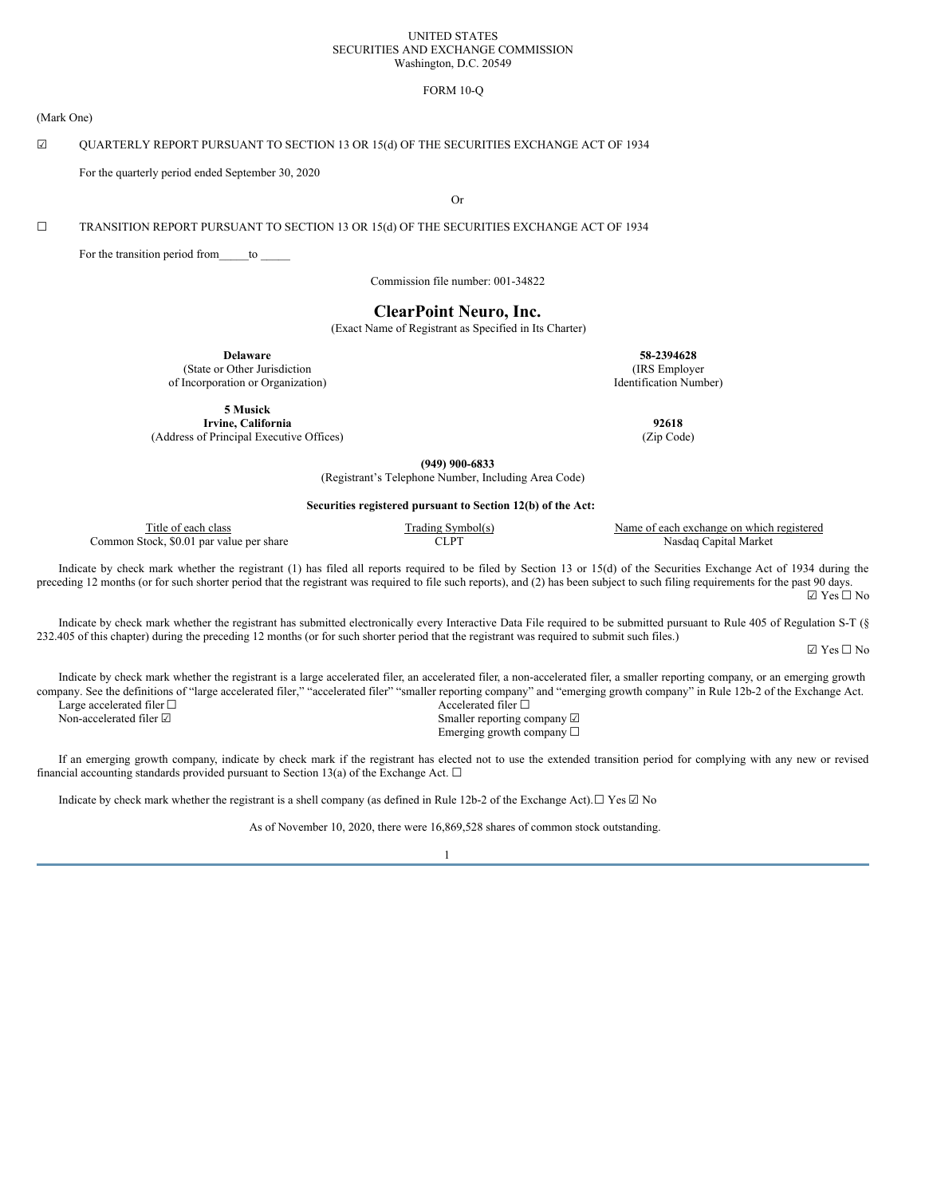#### UNITED STATES SECURITIES AND EXCHANGE COMMISSION Washington, D.C. 20549

#### FORM 10-Q

(Mark One)

## ☑ QUARTERLY REPORT PURSUANT TO SECTION 13 OR 15(d) OF THE SECURITIES EXCHANGE ACT OF 1934

For the quarterly period ended September 30, 2020

Or

☐ TRANSITION REPORT PURSUANT TO SECTION 13 OR 15(d) OF THE SECURITIES EXCHANGE ACT OF 1934

For the transition period from \_\_\_\_\_to \_

Commission file number: 001-34822

# **ClearPoint Neuro, Inc.**

(Exact Name of Registrant as Specified in Its Charter)

**Delaware 58-2394628** (State or Other Jurisdiction (IRS Employer (IRS Employer ) (IRS Employer ) (IRS Employer ) (IRS Employer ) (IRS Employer ) (IRS Employer ) (IRS Employer ) (IRS Employer ) (IRS Employer ) (IRS Employer ) (IRS Employer ) (IR of Incorporation or Organization)

**5 Musick**

**Irvine, California 92618** (Address of Principal Executive Offices) (Zip Code)

**(949) 900-6833**

(Registrant's Telephone Number, Including Area Code)

## **Securities registered pursuant to Section 12(b) of the Act:**

| Title of each class                      | Trading Symbol(s) | Name of each exchange on which registered |
|------------------------------------------|-------------------|-------------------------------------------|
| Common Stock, \$0.01 par value per share |                   | Nasdaq Capital Market                     |

Indicate by check mark whether the registrant (1) has filed all reports required to be filed by Section 13 or 15(d) of the Securities Exchange Act of 1934 during the preceding 12 months (or for such shorter period that the registrant was required to file such reports), and (2) has been subject to such filing requirements for the past 90 days. ☑ Yes ☐ No

Indicate by check mark whether the registrant has submitted electronically every Interactive Data File required to be submitted pursuant to Rule 405 of Regulation S-T (§ 232.405 of this chapter) during the preceding 12 months (or for such shorter period that the registrant was required to submit such files.)

☑ Yes ☐ No

Indicate by check mark whether the registrant is a large accelerated filer, an accelerated filer, a non-accelerated filer, a smaller reporting company, or an emerging growth company. See the definitions of "large accelerated filer," "accelerated filer" "smaller reporting company" and "emerging growth company" in Rule 12b-2 of the Exchange Act.<br>Accelerated filer  $\Box$ Large accelerated filer  $□$ <br>Non-accelerated filer  $□$ Smaller reporting company ☑ Emerging growth company ☐

If an emerging growth company, indicate by check mark if the registrant has elected not to use the extended transition period for complying with any new or revised financial accounting standards provided pursuant to Section 13(a) of the Exchange Act.  $\Box$ 

Indicate by check mark whether the registrant is a shell company (as defined in Rule 12b-2 of the Exchange Act).☐ Yes ☑ No

As of November 10, 2020, there were 16,869,528 shares of common stock outstanding.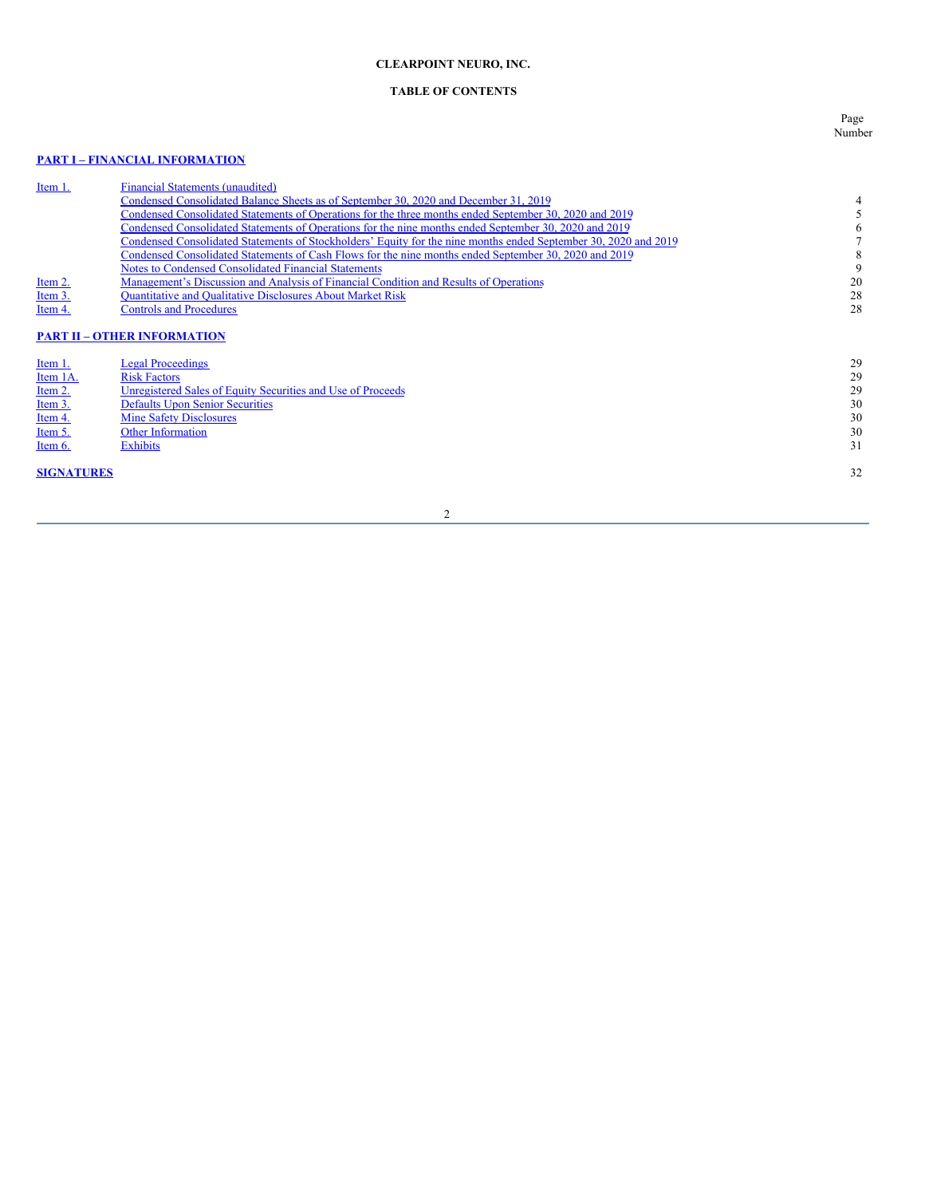## **CLEARPOINT NEURO, INC.**

# **TABLE OF CONTENTS**

# **PART I – FINANCIAL [INFORMATION](#page-3-0)**

| Item 1.           | <b>Financial Statements (unaudited)</b>                                                                         |    |
|-------------------|-----------------------------------------------------------------------------------------------------------------|----|
|                   | Condensed Consolidated Balance Sheets as of September 30, 2020 and December 31, 2019                            |    |
|                   | Condensed Consolidated Statements of Operations for the three months ended September 30, 2020 and 2019          |    |
|                   | Condensed Consolidated Statements of Operations for the nine months ended September 30, 2020 and 2019           |    |
|                   | Condensed Consolidated Statements of Stockholders' Equity for the nine months ended September 30, 2020 and 2019 |    |
|                   | Condensed Consolidated Statements of Cash Flows for the nine months ended September 30, 2020 and 2019           | 8  |
|                   | <b>Notes to Condensed Consolidated Financial Statements</b>                                                     | 9  |
| Item 2.           | Management's Discussion and Analysis of Financial Condition and Results of Operations                           | 20 |
| <u>Item 3.</u>    | <b>Ouantitative and Oualitative Disclosures About Market Risk</b>                                               | 28 |
| Item 4.           | <b>Controls and Procedures</b>                                                                                  | 28 |
|                   | <b>PART II – OTHER INFORMATION</b>                                                                              |    |
|                   |                                                                                                                 |    |
| Item 1.           | <b>Legal Proceedings</b>                                                                                        | 29 |
| Item 1A.          | <b>Risk Factors</b>                                                                                             | 29 |
| Item 2.           | Unregistered Sales of Equity Securities and Use of Proceeds                                                     | 29 |
| Item 3.           | <b>Defaults Upon Senior Securities</b>                                                                          | 30 |
| Item 4.           | <b>Mine Safety Disclosures</b>                                                                                  | 30 |
| <u>Item 5.</u>    | <b>Other Information</b>                                                                                        | 30 |
| Item 6.           | <b>Exhibits</b>                                                                                                 | 31 |
| <b>SIGNATURES</b> |                                                                                                                 | 32 |
|                   |                                                                                                                 |    |

# 2

Page Number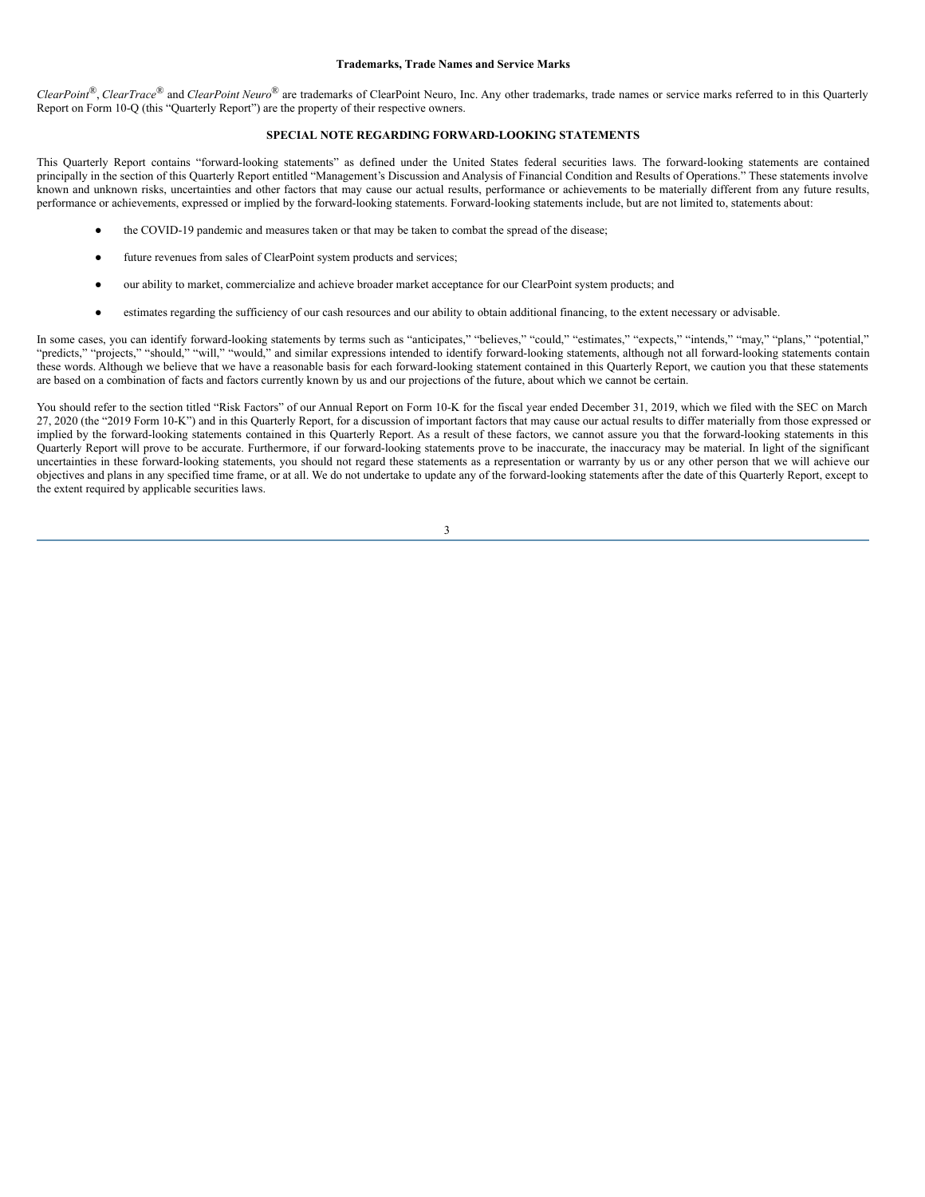## **Trademarks, Trade Names and Service Marks**

*ClearPoint*®, *ClearTrace*® and *ClearPoint Neuro*® are trademarks of ClearPoint Neuro, Inc. Any other trademarks, trade names or service marks referred to in this Quarterly Report on Form 10-Q (this "Quarterly Report") are the property of their respective owners.

## **SPECIAL NOTE REGARDING FORWARD-LOOKING STATEMENTS**

This Quarterly Report contains "forward-looking statements" as defined under the United States federal securities laws. The forward-looking statements are contained principally in the section of this Quarterly Report entitled "Management's Discussion and Analysis of Financial Condition and Results of Operations." These statements involve known and unknown risks, uncertainties and other factors that may cause our actual results, performance or achievements to be materially different from any future results, performance or achievements, expressed or implied by the forward-looking statements. Forward-looking statements include, but are not limited to, statements about:

- the COVID-19 pandemic and measures taken or that may be taken to combat the spread of the disease;
- future revenues from sales of ClearPoint system products and services;
- our ability to market, commercialize and achieve broader market acceptance for our ClearPoint system products; and
- estimates regarding the sufficiency of our cash resources and our ability to obtain additional financing, to the extent necessary or advisable.

In some cases, you can identify forward-looking statements by terms such as "anticipates," "believes," "could," "estimates," "expects," "intends," "may," "plans," "potential," "predicts," "projects," "should," "will," "would," and similar expressions intended to identify forward-looking statements, although not all forward-looking statements contain these words. Although we believe that we have a reasonable basis for each forward-looking statement contained in this Quarterly Report, we caution you that these statements are based on a combination of facts and factors currently known by us and our projections of the future, about which we cannot be certain.

You should refer to the section titled "Risk Factors" of our Annual Report on Form 10-K for the fiscal year ended December 31, 2019, which we filed with the SEC on March 27, 2020 (the "2019 Form 10-K") and in this Quarterly Report, for a discussion of important factors that may cause our actual results to differ materially from those expressed or implied by the forward-looking statements contained in this Quarterly Report. As a result of these factors, we cannot assure you that the forward-looking statements in this Quarterly Report will prove to be accurate. Furthermore, if our forward-looking statements prove to be inaccurate, the inaccuracy may be material. In light of the significant uncertainties in these forward-looking statements, you should not regard these statements as a representation or warranty by us or any other person that we will achieve our objectives and plans in any specified time frame, or at all. We do not undertake to update any of the forward-looking statements after the date of this Quarterly Report, except to the extent required by applicable securities laws.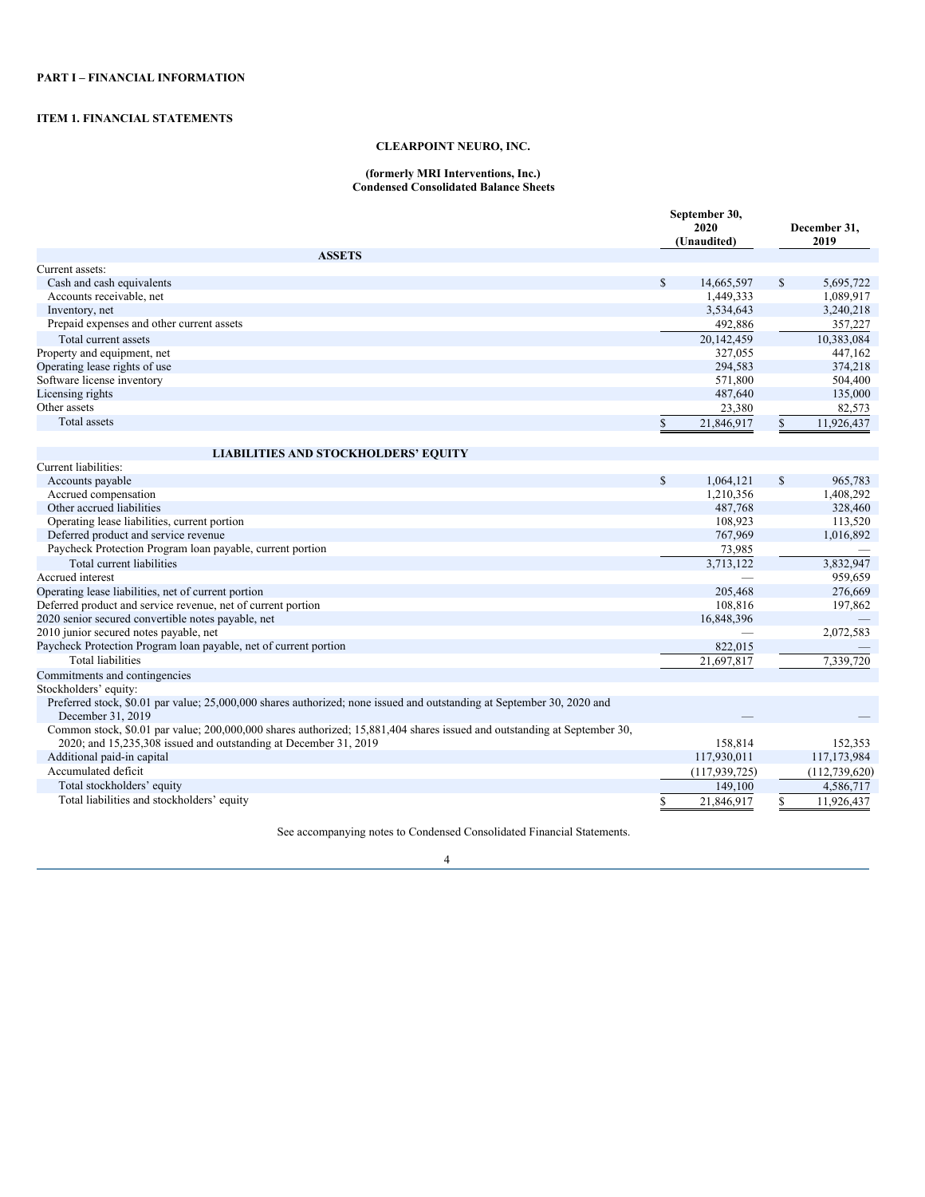# <span id="page-3-2"></span><span id="page-3-1"></span><span id="page-3-0"></span>**ITEM 1. FINANCIAL STATEMENTS**

# **CLEARPOINT NEURO, INC.**

#### **(formerly MRI Interventions, Inc.) Condensed Consolidated Balance Sheets**

|                                                                                                                          |              | September 30,<br>2020<br>(Unaudited) |               | December 31,<br>2019 |
|--------------------------------------------------------------------------------------------------------------------------|--------------|--------------------------------------|---------------|----------------------|
| <b>ASSETS</b>                                                                                                            |              |                                      |               |                      |
| Current assets:                                                                                                          |              |                                      |               |                      |
| Cash and cash equivalents                                                                                                | $\mathbf{s}$ | 14,665,597                           | S.            | 5,695,722            |
| Accounts receivable, net                                                                                                 |              | 1,449,333                            |               | 1,089,917            |
| Inventory, net                                                                                                           |              | 3,534,643                            |               | 3,240,218            |
| Prepaid expenses and other current assets                                                                                |              | 492,886                              |               | 357,227              |
| Total current assets                                                                                                     |              | 20,142,459                           |               | 10,383,084           |
| Property and equipment, net                                                                                              |              | 327,055                              |               | 447,162              |
| Operating lease rights of use                                                                                            |              | 294,583                              |               | 374,218              |
| Software license inventory                                                                                               |              | 571,800                              |               | 504,400              |
| Licensing rights                                                                                                         |              | 487,640                              |               | 135,000              |
| Other assets                                                                                                             |              | 23,380                               |               | 82,573               |
| Total assets                                                                                                             | $\mathbb{S}$ | 21,846,917                           | $\mathbb{S}$  | 11.926.437           |
| <b>LIABILITIES AND STOCKHOLDERS' EQUITY</b>                                                                              |              |                                      |               |                      |
| Current liabilities:                                                                                                     |              |                                      |               |                      |
| Accounts payable                                                                                                         | $\mathbf{s}$ | 1,064,121                            | <sup>\$</sup> | 965,783              |
| Accrued compensation                                                                                                     |              | 1,210,356                            |               | 1,408,292            |
| Other accrued liabilities                                                                                                |              | 487,768                              |               | 328,460              |
| Operating lease liabilities, current portion                                                                             |              | 108,923                              |               | 113,520              |
| Deferred product and service revenue                                                                                     |              | 767,969                              |               | 1,016,892            |
| Paycheck Protection Program loan payable, current portion                                                                |              | 73,985                               |               |                      |
| Total current liabilities                                                                                                |              | 3,713,122                            |               | 3,832,947            |
| Accrued interest                                                                                                         |              |                                      |               | 959.659              |
| Operating lease liabilities, net of current portion                                                                      |              | 205,468                              |               | 276,669              |
| Deferred product and service revenue, net of current portion                                                             |              | 108,816                              |               | 197,862              |
| 2020 senior secured convertible notes payable, net                                                                       |              | 16,848,396                           |               |                      |
| 2010 junior secured notes payable, net                                                                                   |              |                                      |               | 2,072,583            |
| Paycheck Protection Program loan payable, net of current portion                                                         |              | 822,015                              |               |                      |
| Total liabilities                                                                                                        |              | 21,697,817                           |               | 7,339,720            |
| Commitments and contingencies                                                                                            |              |                                      |               |                      |
| Stockholders' equity:                                                                                                    |              |                                      |               |                      |
| Preferred stock, \$0.01 par value; 25,000,000 shares authorized; none issued and outstanding at September 30, 2020 and   |              |                                      |               |                      |
| December 31, 2019                                                                                                        |              |                                      |               |                      |
| Common stock, \$0.01 par value; 200,000,000 shares authorized; 15,881,404 shares issued and outstanding at September 30, |              |                                      |               |                      |
| 2020; and 15,235,308 issued and outstanding at December 31, 2019                                                         |              | 158,814                              |               | 152,353              |
| Additional paid-in capital                                                                                               |              | 117,930,011                          |               | 117,173,984          |
| Accumulated deficit                                                                                                      |              | (117, 939, 725)                      |               | (112, 739, 620)      |
| Total stockholders' equity                                                                                               |              | 149,100                              |               | 4,586,717            |
| Total liabilities and stockholders' equity                                                                               | S            | 21.846.917                           | \$            | 11,926,437           |

See accompanying notes to Condensed Consolidated Financial Statements.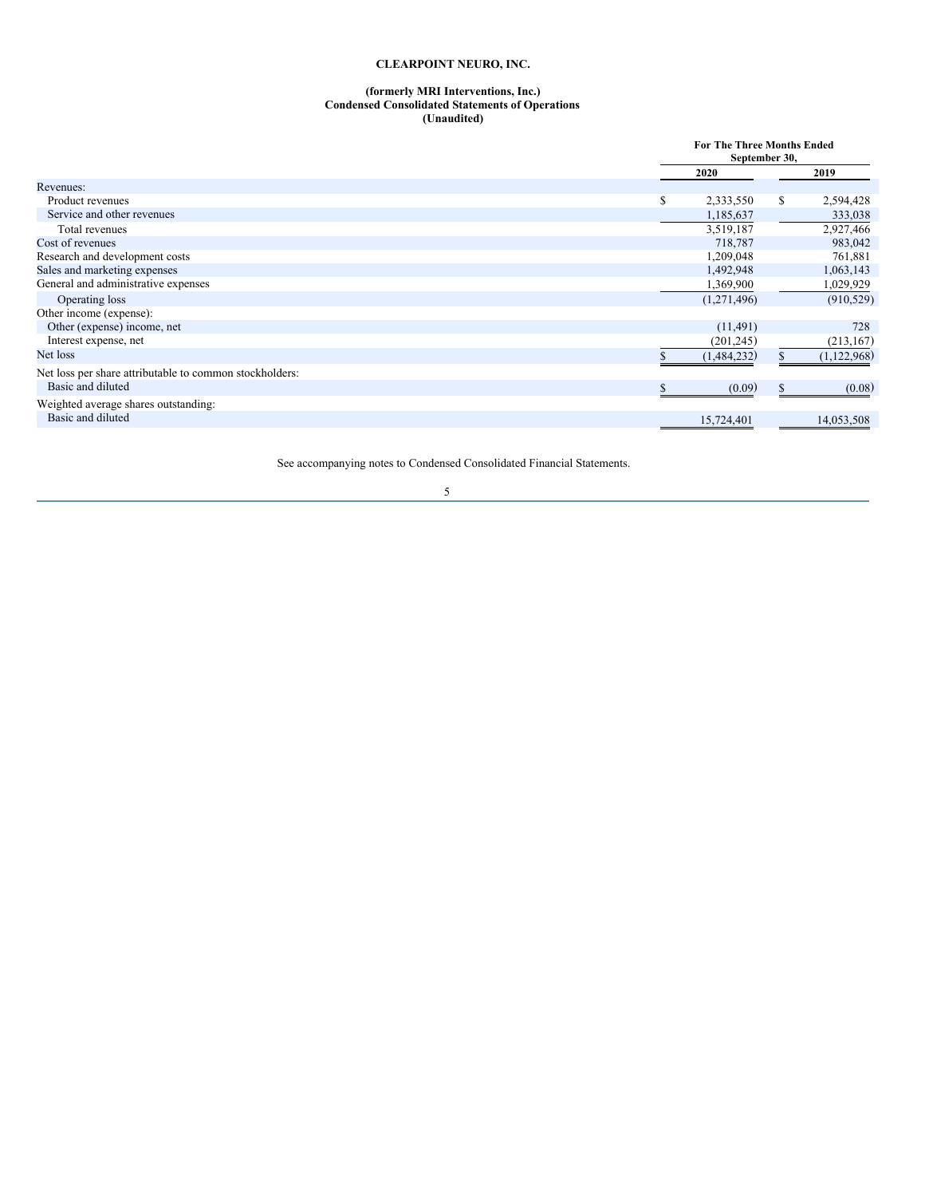## **CLEARPOINT NEURO, INC.**

#### **(formerly MRI Interventions, Inc.) Condensed Consolidated Statements of Operations (Unaudited)**

<span id="page-4-0"></span>

|                                                         | <b>For The Three Months Ended</b><br>September 30, |             |     |             |
|---------------------------------------------------------|----------------------------------------------------|-------------|-----|-------------|
|                                                         |                                                    | 2020        |     | 2019        |
| Revenues:                                               |                                                    |             |     |             |
| Product revenues                                        | \$                                                 | 2,333,550   | \$  | 2,594,428   |
| Service and other revenues                              |                                                    | 1,185,637   |     | 333,038     |
| Total revenues                                          |                                                    | 3,519,187   |     | 2,927,466   |
| Cost of revenues                                        |                                                    | 718,787     |     | 983,042     |
| Research and development costs                          |                                                    | 1,209,048   |     | 761,881     |
| Sales and marketing expenses                            |                                                    | 1,492,948   |     | 1,063,143   |
| General and administrative expenses                     |                                                    | 1,369,900   |     | 1,029,929   |
| Operating loss                                          |                                                    | (1,271,496) |     | (910, 529)  |
| Other income (expense):                                 |                                                    |             |     |             |
| Other (expense) income, net                             |                                                    | (11, 491)   |     | 728         |
| Interest expense, net                                   |                                                    | (201,245)   |     | (213, 167)  |
| Net loss                                                |                                                    | (1,484,232) |     | (1,122,968) |
| Net loss per share attributable to common stockholders: |                                                    |             |     |             |
| Basic and diluted                                       | S.                                                 | (0.09)      | \$. | (0.08)      |
| Weighted average shares outstanding:                    |                                                    |             |     |             |
| Basic and diluted                                       |                                                    | 15,724,401  |     | 14,053,508  |

See accompanying notes to Condensed Consolidated Financial Statements.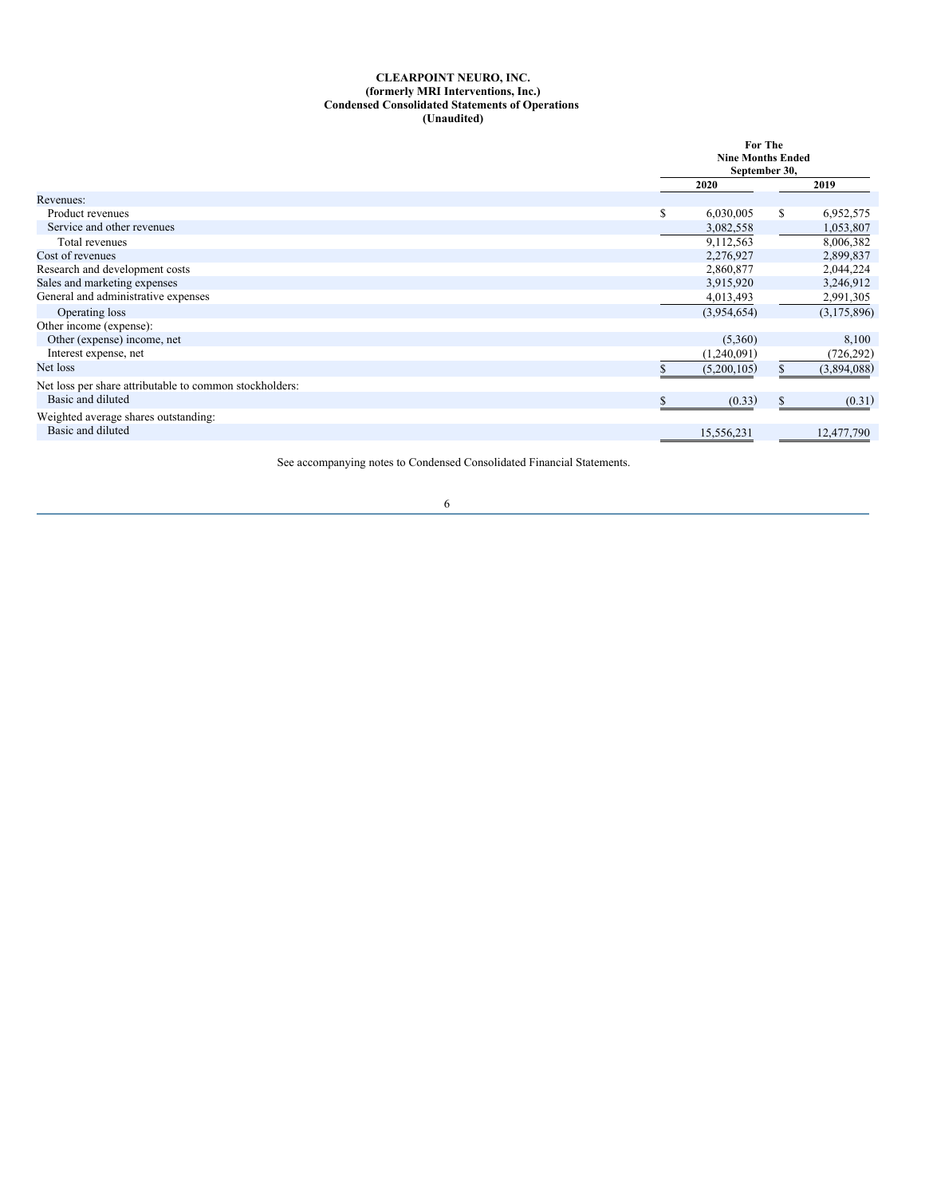## **CLEARPOINT NEURO, INC. (formerly MRI Interventions, Inc.) Condensed Consolidated Statements of Operations (Unaudited)**

<span id="page-5-0"></span>

|                                                         |                 | For The<br><b>Nine Months Ended</b><br>September 30, |
|---------------------------------------------------------|-----------------|------------------------------------------------------|
|                                                         | 2020            | 2019                                                 |
| Revenues:                                               |                 |                                                      |
| Product revenues                                        | \$<br>6,030,005 | \$<br>6,952,575                                      |
| Service and other revenues                              | 3,082,558       | 1,053,807                                            |
| Total revenues                                          | 9,112,563       | 8,006,382                                            |
| Cost of revenues                                        | 2,276,927       | 2,899,837                                            |
| Research and development costs                          | 2,860,877       | 2,044,224                                            |
| Sales and marketing expenses                            | 3,915,920       | 3,246,912                                            |
| General and administrative expenses                     | 4,013,493       | 2,991,305                                            |
| Operating loss                                          | (3,954,654)     | (3, 175, 896)                                        |
| Other income (expense):                                 |                 |                                                      |
| Other (expense) income, net                             | (5,360)         | 8,100                                                |
| Interest expense, net                                   | (1,240,091)     | (726, 292)                                           |
| Net loss                                                | (5,200,105)     | (3,894,088)                                          |
| Net loss per share attributable to common stockholders: |                 |                                                      |
| Basic and diluted                                       | (0.33)          | (0.31)                                               |
| Weighted average shares outstanding:                    |                 |                                                      |
| Basic and diluted                                       | 15,556,231      | 12,477,790                                           |

See accompanying notes to Condensed Consolidated Financial Statements.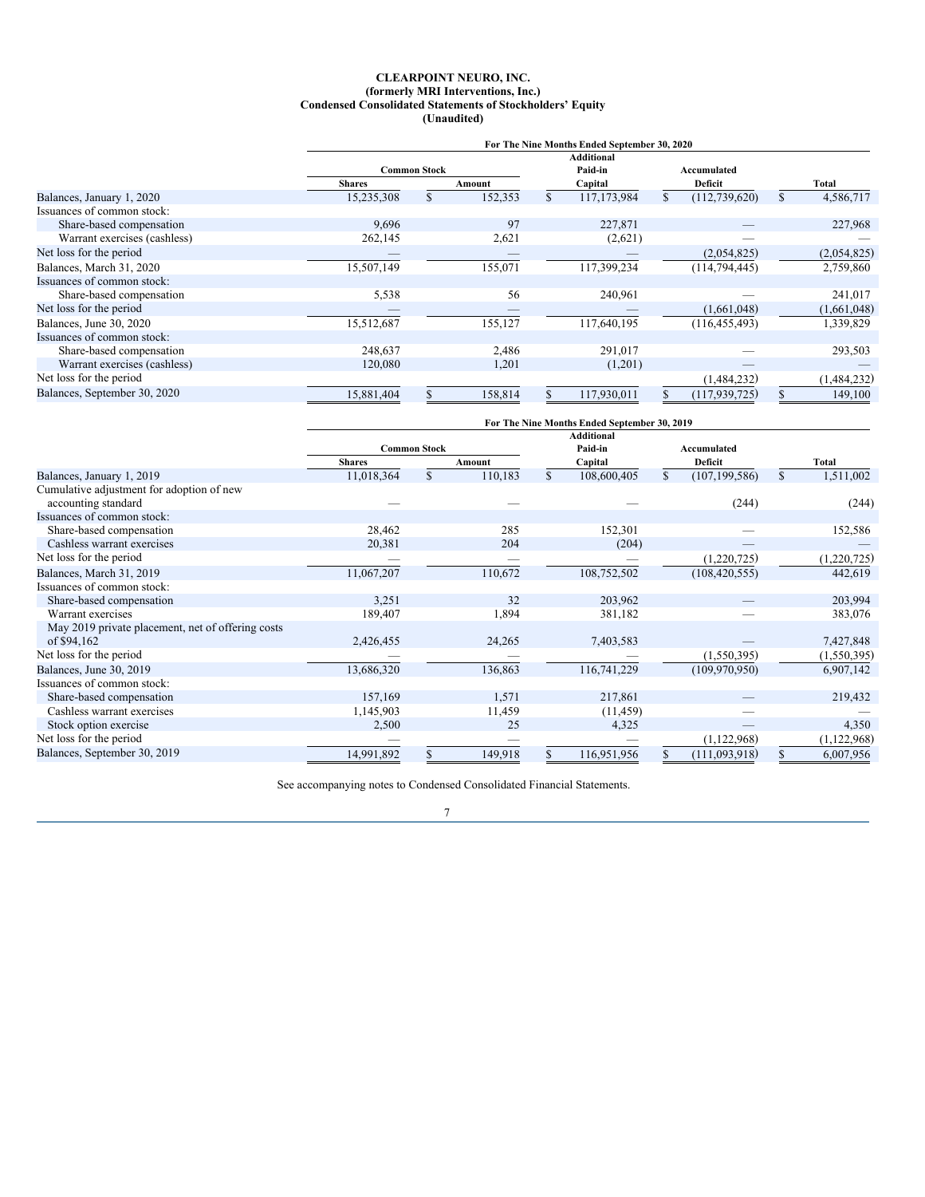#### **CLEARPOINT NEURO, INC. (formerly MRI Interventions, Inc.) Condensed Consolidated Statements of Stockholders' Equity (Unaudited)**

<span id="page-6-0"></span>

|                              |               |                     |         | For The Nine Months Ended September 30, 2020 |    |                 |   |               |
|------------------------------|---------------|---------------------|---------|----------------------------------------------|----|-----------------|---|---------------|
|                              |               | <b>Common Stock</b> |         | <b>Additional</b><br>Paid-in                 |    | Accumulated     |   |               |
|                              | <b>Shares</b> |                     | Amount  | Capital                                      |    | Deficit         |   | Total         |
| Balances, January 1, 2020    | 15,235,308    |                     | 152,353 | \$<br>117,173,984                            | S. | (112, 739, 620) | ъ | 4,586,717     |
| Issuances of common stock:   |               |                     |         |                                              |    |                 |   |               |
| Share-based compensation     | 9,696         |                     | 97      | 227,871                                      |    |                 |   | 227,968       |
| Warrant exercises (cashless) | 262,145       |                     | 2,621   | (2,621)                                      |    |                 |   |               |
| Net loss for the period      |               |                     |         |                                              |    | (2,054,825)     |   | (2,054,825)   |
| Balances, March 31, 2020     | 15,507,149    |                     | 155,071 | 117,399,234                                  |    | (114, 794, 445) |   | 2,759,860     |
| Issuances of common stock:   |               |                     |         |                                              |    |                 |   |               |
| Share-based compensation     | 5,538         |                     | 56      | 240,961                                      |    |                 |   | 241,017       |
| Net loss for the period      |               |                     |         |                                              |    | (1,661,048)     |   | (1,661,048)   |
| Balances, June 30, 2020      | 15,512,687    |                     | 155,127 | 117,640,195                                  |    | (116, 455, 493) |   | 1,339,829     |
| Issuances of common stock:   |               |                     |         |                                              |    |                 |   |               |
| Share-based compensation     | 248,637       |                     | 2,486   | 291,017                                      |    |                 |   | 293,503       |
| Warrant exercises (cashless) | 120,080       |                     | 1,201   | (1,201)                                      |    |                 |   |               |
| Net loss for the period      |               |                     |         |                                              |    | (1,484,232)     |   | (1, 484, 232) |
| Balances, September 30, 2020 | 15,881,404    |                     | 158,814 | 117,930,011                                  |    | (117, 939, 725) |   | 149,100       |

|                                                   |               |                     |         |     | For The Nine Months Ended September 30, 2019 |                       |   |               |
|---------------------------------------------------|---------------|---------------------|---------|-----|----------------------------------------------|-----------------------|---|---------------|
|                                                   |               |                     |         |     | <b>Additional</b>                            |                       |   |               |
|                                                   |               | <b>Common Stock</b> |         |     | Paid-in                                      | Accumulated           |   |               |
|                                                   | <b>Shares</b> |                     | Amount  |     | Capital                                      | Deficit               |   | <b>Total</b>  |
| Balances, January 1, 2019                         | 11,018,364    | S                   | 110,183 | \$. | 108,600,405                                  | \$<br>(107, 199, 586) | S | 1,511,002     |
| Cumulative adjustment for adoption of new         |               |                     |         |     |                                              |                       |   |               |
| accounting standard                               |               |                     |         |     |                                              | (244)                 |   | (244)         |
| Issuances of common stock:                        |               |                     |         |     |                                              |                       |   |               |
| Share-based compensation                          | 28,462        |                     | 285     |     | 152,301                                      |                       |   | 152,586       |
| Cashless warrant exercises                        | 20,381        |                     | 204     |     | (204)                                        |                       |   |               |
| Net loss for the period                           |               |                     |         |     |                                              | (1,220,725)           |   | (1,220,725)   |
| Balances, March 31, 2019                          | 11,067,207    |                     | 110,672 |     | 108,752,502                                  | (108, 420, 555)       |   | 442,619       |
| Issuances of common stock:                        |               |                     |         |     |                                              |                       |   |               |
| Share-based compensation                          | 3,251         |                     | 32      |     | 203,962                                      |                       |   | 203,994       |
| Warrant exercises                                 | 189,407       |                     | 1,894   |     | 381,182                                      |                       |   | 383,076       |
| May 2019 private placement, net of offering costs |               |                     |         |     |                                              |                       |   |               |
| of \$94,162                                       | 2,426,455     |                     | 24,265  |     | 7,403,583                                    |                       |   | 7,427,848     |
| Net loss for the period                           |               |                     |         |     |                                              | (1,550,395)           |   | (1, 550, 395) |
| Balances, June 30, 2019                           | 13,686,320    |                     | 136,863 |     | 116,741,229                                  | (109, 970, 950)       |   | 6,907,142     |
| Issuances of common stock:                        |               |                     |         |     |                                              |                       |   |               |
| Share-based compensation                          | 157,169       |                     | 1,571   |     | 217,861                                      |                       |   | 219,432       |
| Cashless warrant exercises                        | 1,145,903     |                     | 11,459  |     | (11, 459)                                    |                       |   |               |
| Stock option exercise                             | 2,500         |                     | 25      |     | 4,325                                        |                       |   | 4,350         |
| Net loss for the period                           |               |                     |         |     |                                              | (1,122,968)           |   | (1, 122, 968) |
| Balances, September 30, 2019                      | 14,991,892    |                     | 149,918 |     | 116,951,956                                  | \$<br>(111,093,918)   |   | 6,007,956     |

See accompanying notes to Condensed Consolidated Financial Statements.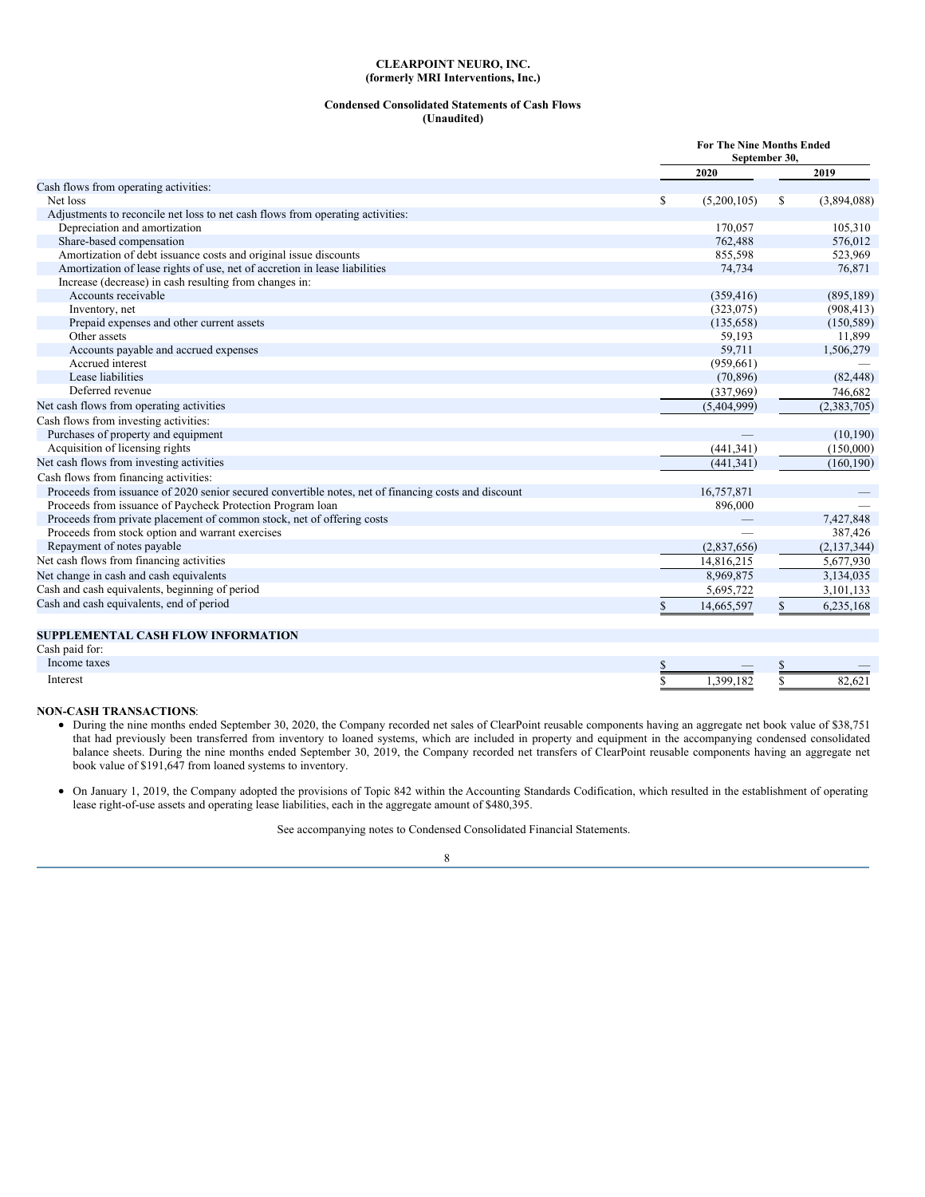## **CLEARPOINT NEURO, INC. (formerly MRI Interventions, Inc.)**

#### **Condensed Consolidated Statements of Cash Flows (Unaudited)**

<span id="page-7-0"></span>

|                                                                                                      | <b>For The Nine Months Ended</b><br>September 30, |             |    |             |
|------------------------------------------------------------------------------------------------------|---------------------------------------------------|-------------|----|-------------|
|                                                                                                      |                                                   | 2020        |    | 2019        |
| Cash flows from operating activities:                                                                |                                                   |             |    |             |
| Net loss                                                                                             | \$                                                | (5,200,105) | \$ | (3,894,088) |
| Adjustments to reconcile net loss to net cash flows from operating activities:                       |                                                   |             |    |             |
| Depreciation and amortization                                                                        |                                                   | 170,057     |    | 105,310     |
| Share-based compensation                                                                             |                                                   | 762,488     |    | 576,012     |
| Amortization of debt issuance costs and original issue discounts                                     |                                                   | 855,598     |    | 523,969     |
| Amortization of lease rights of use, net of accretion in lease liabilities                           |                                                   | 74,734      |    | 76,871      |
| Increase (decrease) in cash resulting from changes in:                                               |                                                   |             |    |             |
| Accounts receivable                                                                                  |                                                   | (359, 416)  |    | (895, 189)  |
| Inventory, net                                                                                       |                                                   | (323,075)   |    | (908, 413)  |
| Prepaid expenses and other current assets                                                            |                                                   | (135, 658)  |    | (150, 589)  |
| Other assets                                                                                         |                                                   | 59,193      |    | 11,899      |
| Accounts payable and accrued expenses                                                                |                                                   | 59,711      |    | 1,506,279   |
| Accrued interest                                                                                     |                                                   | (959, 661)  |    |             |
| Lease liabilities                                                                                    |                                                   | (70, 896)   |    | (82, 448)   |
| Deferred revenue                                                                                     |                                                   | (337,969)   |    | 746,682     |
| Net cash flows from operating activities                                                             |                                                   | (5,404,999) |    | (2,383,705) |
| Cash flows from investing activities:                                                                |                                                   |             |    |             |
| Purchases of property and equipment                                                                  |                                                   |             |    | (10, 190)   |
| Acquisition of licensing rights                                                                      |                                                   | (441, 341)  |    | (150,000)   |
| Net cash flows from investing activities                                                             |                                                   | (441, 341)  |    | (160.190)   |
| Cash flows from financing activities:                                                                |                                                   |             |    |             |
| Proceeds from issuance of 2020 senior secured convertible notes, net of financing costs and discount |                                                   | 16,757,871  |    |             |
| Proceeds from issuance of Paycheck Protection Program loan                                           |                                                   | 896,000     |    |             |
| Proceeds from private placement of common stock, net of offering costs                               |                                                   |             |    | 7,427,848   |
| Proceeds from stock option and warrant exercises                                                     |                                                   |             |    | 387,426     |
| Repayment of notes payable                                                                           |                                                   | (2,837,656) |    | (2,137,344) |
| Net cash flows from financing activities                                                             |                                                   | 14,816,215  |    | 5,677,930   |
| Net change in cash and cash equivalents                                                              |                                                   | 8,969,875   |    | 3,134,035   |
| Cash and cash equivalents, beginning of period                                                       |                                                   | 5,695,722   |    | 3,101,133   |
| Cash and cash equivalents, end of period                                                             | \$                                                | 14,665,597  | \$ | 6,235,168   |
|                                                                                                      |                                                   |             |    |             |
| <b>SUPPLEMENTAL CASH FLOW INFORMATION</b>                                                            |                                                   |             |    |             |
| Cash paid for:                                                                                       |                                                   |             |    |             |
| Income taxes                                                                                         | <sup>\$</sup>                                     |             | -8 |             |

| $\mathsf{In}$<br><b>THE RAG</b><br>. | $-$                      |                                    |
|--------------------------------------|--------------------------|------------------------------------|
| Intere<br>.                          | $\Omega$<br>20<br>$\sim$ | $\sim$ $\sim$ $\sim$ $\sim$ $\sim$ |

## **NON-CASH TRANSACTIONS**:

- During the nine months ended September 30, 2020, the Company recorded net sales of ClearPoint reusable components having an aggregate net book value of \$38,751 that had previously been transferred from inventory to loaned systems, which are included in property and equipment in the accompanying condensed consolidated balance sheets. During the nine months ended September 30, 2019, the Company recorded net transfers of ClearPoint reusable components having an aggregate net book value of \$191,647 from loaned systems to inventory.
- On January 1, 2019, the Company adopted the provisions of Topic 842 within the Accounting Standards Codification, which resulted in the establishment of operating lease right-of-use assets and operating lease liabilities, each in the aggregate amount of \$480,395.

See accompanying notes to Condensed Consolidated Financial Statements.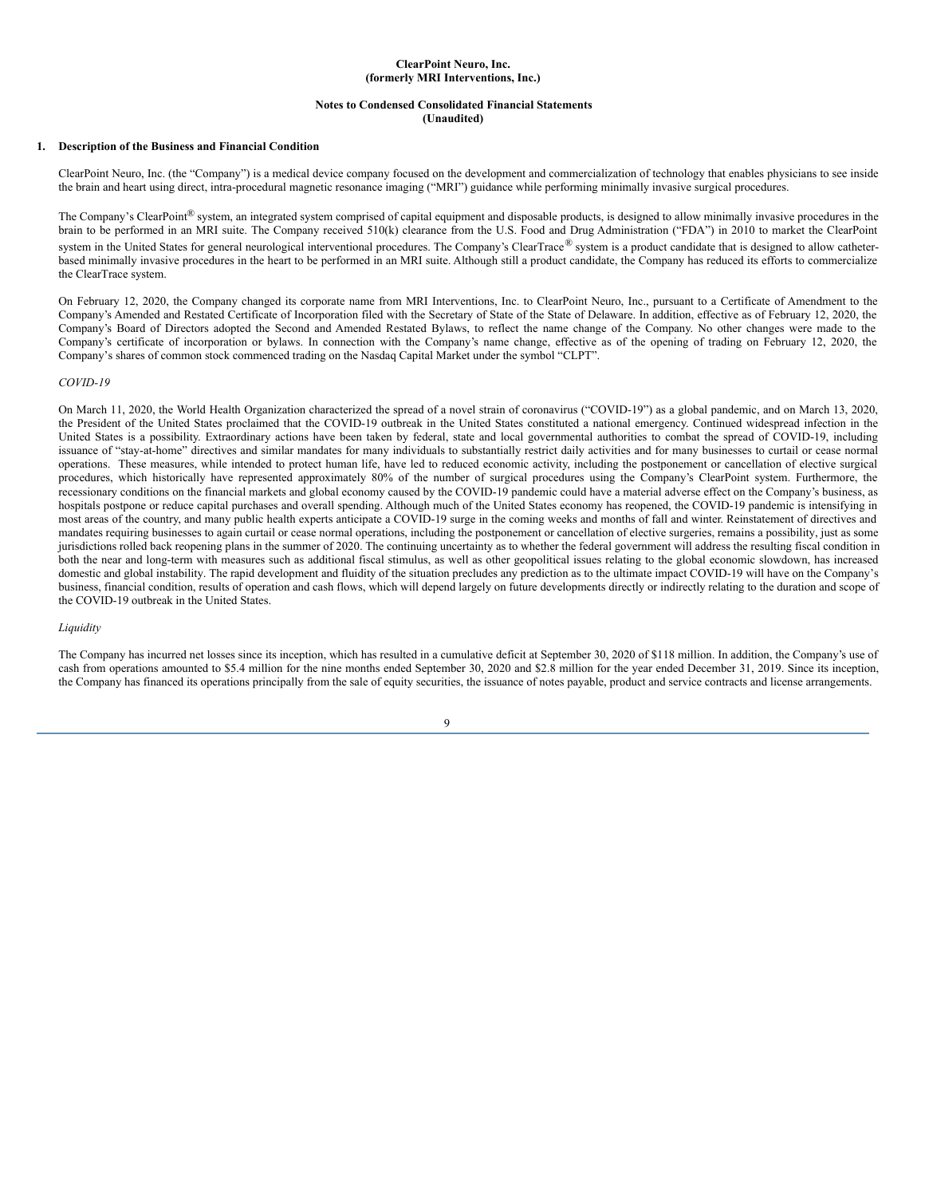## **ClearPoint Neuro, Inc. (formerly MRI Interventions, Inc.)**

## **Notes to Condensed Consolidated Financial Statements (Unaudited)**

#### <span id="page-8-0"></span>**1. Description of the Business and Financial Condition**

ClearPoint Neuro, Inc. (the "Company") is a medical device company focused on the development and commercialization of technology that enables physicians to see inside the brain and heart using direct, intra-procedural magnetic resonance imaging ("MRI") guidance while performing minimally invasive surgical procedures.

The Company's ClearPoint® system, an integrated system comprised of capital equipment and disposable products, is designed to allow minimally invasive procedures in the brain to be performed in an MRI suite. The Company received 510(k) clearance from the U.S. Food and Drug Administration ("FDA") in 2010 to market the ClearPoint system in the United States for general neurological interventional procedures. The Company's ClearTrace<sup>®</sup> system is a product candidate that is designed to allow catheterbased minimally invasive procedures in the heart to be performed in an MRI suite. Although still a product candidate, the Company has reduced its efforts to commercialize the ClearTrace system.

On February 12, 2020, the Company changed its corporate name from MRI Interventions, Inc. to ClearPoint Neuro, Inc., pursuant to a Certificate of Amendment to the Company's Amended and Restated Certificate of Incorporation filed with the Secretary of State of the State of Delaware. In addition, effective as of February 12, 2020, the Company's Board of Directors adopted the Second and Amended Restated Bylaws, to reflect the name change of the Company. No other changes were made to the Company's certificate of incorporation or bylaws. In connection with the Company's name change, effective as of the opening of trading on February 12, 2020, the Company's shares of common stock commenced trading on the Nasdaq Capital Market under the symbol "CLPT".

#### *COVID-19*

On March 11, 2020, the World Health Organization characterized the spread of a novel strain of coronavirus ("COVID-19") as a global pandemic, and on March 13, 2020, the President of the United States proclaimed that the COVID-19 outbreak in the United States constituted a national emergency. Continued widespread infection in the United States is a possibility. Extraordinary actions have been taken by federal, state and local governmental authorities to combat the spread of COVID-19, including issuance of "stay-at-home" directives and similar mandates for many individuals to substantially restrict daily activities and for many businesses to curtail or cease normal operations. These measures, while intended to protect human life, have led to reduced economic activity, including the postponement or cancellation of elective surgical procedures, which historically have represented approximately 80% of the number of surgical procedures using the Company's ClearPoint system. Furthermore, the recessionary conditions on the financial markets and global economy caused by the COVID-19 pandemic could have a material adverse effect on the Company's business, as hospitals postpone or reduce capital purchases and overall spending. Although much of the United States economy has reopened, the COVID-19 pandemic is intensifying in most areas of the country, and many public health experts anticipate a COVID-19 surge in the coming weeks and months of fall and winter. Reinstatement of directives and mandates requiring businesses to again curtail or cease normal operations, including the postponement or cancellation of elective surgeries, remains a possibility, just as some jurisdictions rolled back reopening plans in the summer of 2020. The continuing uncertainty as to whether the federal government will address the resulting fiscal condition in both the near and long-term with measures such as additional fiscal stimulus, as well as other geopolitical issues relating to the global economic slowdown, has increased domestic and global instability. The rapid development and fluidity of the situation precludes any prediction as to the ultimate impact COVID-19 will have on the Company's business, financial condition, results of operation and cash flows, which will depend largely on future developments directly or indirectly relating to the duration and scope of the COVID-19 outbreak in the United States.

#### *Liquidity*

The Company has incurred net losses since its inception, which has resulted in a cumulative deficit at September 30, 2020 of \$118 million. In addition, the Company's use of cash from operations amounted to \$5.4 million for the nine months ended September 30, 2020 and \$2.8 million for the year ended December 31, 2019. Since its inception, the Company has financed its operations principally from the sale of equity securities, the issuance of notes payable, product and service contracts and license arrangements.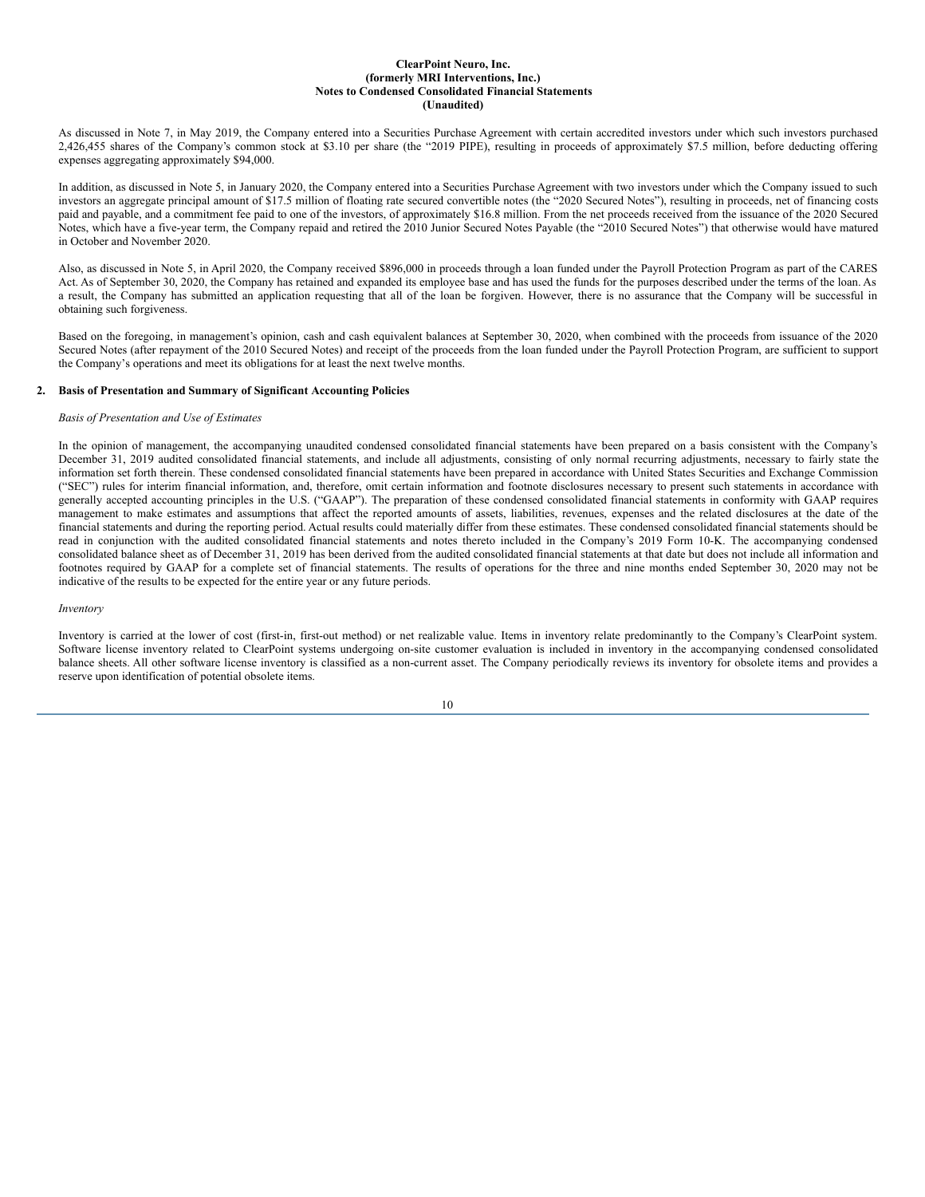As discussed in Note 7, in May 2019, the Company entered into a Securities Purchase Agreement with certain accredited investors under which such investors purchased 2,426,455 shares of the Company's common stock at \$3.10 per share (the "2019 PIPE), resulting in proceeds of approximately \$7.5 million, before deducting offering expenses aggregating approximately \$94,000.

In addition, as discussed in Note 5, in January 2020, the Company entered into a Securities Purchase Agreement with two investors under which the Company issued to such investors an aggregate principal amount of \$17.5 million of floating rate secured convertible notes (the "2020 Secured Notes"), resulting in proceeds, net of financing costs paid and payable, and a commitment fee paid to one of the investors, of approximately \$16.8 million. From the net proceeds received from the issuance of the 2020 Secured Notes, which have a five-year term, the Company repaid and retired the 2010 Junior Secured Notes Payable (the "2010 Secured Notes") that otherwise would have matured in October and November 2020.

Also, as discussed in Note 5, in April 2020, the Company received \$896,000 in proceeds through a loan funded under the Payroll Protection Program as part of the CARES Act. As of September 30, 2020, the Company has retained and expanded its employee base and has used the funds for the purposes described under the terms of the loan. As a result, the Company has submitted an application requesting that all of the loan be forgiven. However, there is no assurance that the Company will be successful in obtaining such forgiveness.

Based on the foregoing, in management's opinion, cash and cash equivalent balances at September 30, 2020, when combined with the proceeds from issuance of the 2020 Secured Notes (after repayment of the 2010 Secured Notes) and receipt of the proceeds from the loan funded under the Payroll Protection Program, are sufficient to support the Company's operations and meet its obligations for at least the next twelve months.

## **2. Basis of Presentation and Summary of Significant Accounting Policies**

#### *Basis of Presentation and Use of Estimates*

In the opinion of management, the accompanying unaudited condensed consolidated financial statements have been prepared on a basis consistent with the Company's December 31, 2019 audited consolidated financial statements, and include all adjustments, consisting of only normal recurring adjustments, necessary to fairly state the information set forth therein. These condensed consolidated financial statements have been prepared in accordance with United States Securities and Exchange Commission ("SEC") rules for interim financial information, and, therefore, omit certain information and footnote disclosures necessary to present such statements in accordance with generally accepted accounting principles in the U.S. ("GAAP"). The preparation of these condensed consolidated financial statements in conformity with GAAP requires management to make estimates and assumptions that affect the reported amounts of assets, liabilities, revenues, expenses and the related disclosures at the date of the financial statements and during the reporting period. Actual results could materially differ from these estimates. These condensed consolidated financial statements should be read in conjunction with the audited consolidated financial statements and notes thereto included in the Company's 2019 Form 10-K. The accompanying condensed consolidated balance sheet as of December 31, 2019 has been derived from the audited consolidated financial statements at that date but does not include all information and footnotes required by GAAP for a complete set of financial statements. The results of operations for the three and nine months ended September 30, 2020 may not be indicative of the results to be expected for the entire year or any future periods.

#### *Inventory*

Inventory is carried at the lower of cost (first-in, first-out method) or net realizable value. Items in inventory relate predominantly to the Company's ClearPoint system. Software license inventory related to ClearPoint systems undergoing on-site customer evaluation is included in inventory in the accompanying condensed consolidated balance sheets. All other software license inventory is classified as a non-current asset. The Company periodically reviews its inventory for obsolete items and provides a reserve upon identification of potential obsolete items.

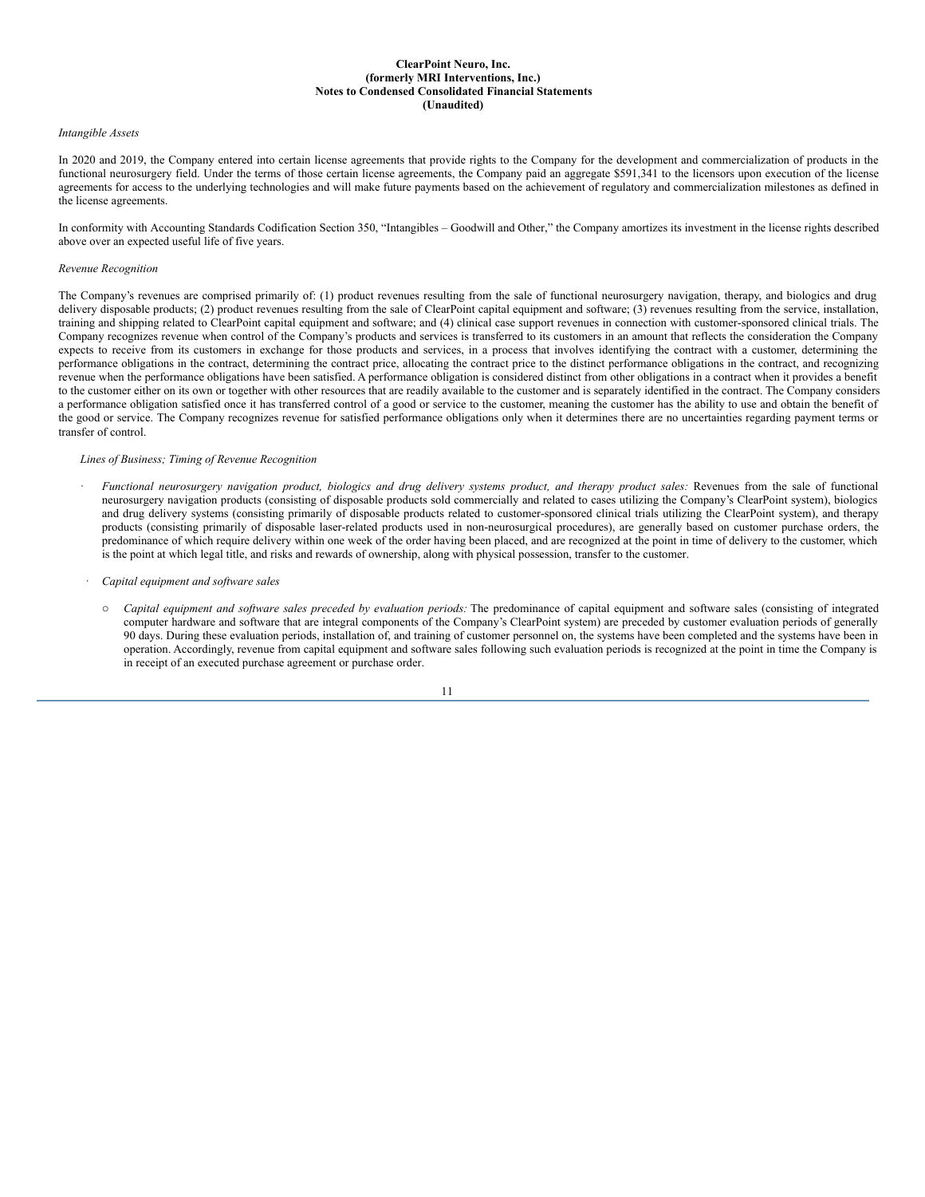## *Intangible Assets*

In 2020 and 2019, the Company entered into certain license agreements that provide rights to the Company for the development and commercialization of products in the functional neurosurgery field. Under the terms of those certain license agreements, the Company paid an aggregate \$591,341 to the licensors upon execution of the license agreements for access to the underlying technologies and will make future payments based on the achievement of regulatory and commercialization milestones as defined in the license agreements.

In conformity with Accounting Standards Codification Section 350, "Intangibles – Goodwill and Other," the Company amortizes its investment in the license rights described above over an expected useful life of five years.

## *Revenue Recognition*

The Company's revenues are comprised primarily of: (1) product revenues resulting from the sale of functional neurosurgery navigation, therapy, and biologics and drug delivery disposable products; (2) product revenues resulting from the sale of ClearPoint capital equipment and software; (3) revenues resulting from the service, installation, training and shipping related to ClearPoint capital equipment and software; and (4) clinical case support revenues in connection with customer-sponsored clinical trials. The Company recognizes revenue when control of the Company's products and services is transferred to its customers in an amount that reflects the consideration the Company expects to receive from its customers in exchange for those products and services, in a process that involves identifying the contract with a customer, determining the performance obligations in the contract, determining the contract price, allocating the contract price to the distinct performance obligations in the contract, and recognizing revenue when the performance obligations have been satisfied. A performance obligation is considered distinct from other obligations in a contract when it provides a benefit to the customer either on its own or together with other resources that are readily available to the customer and is separately identified in the contract. The Company considers a performance obligation satisfied once it has transferred control of a good or service to the customer, meaning the customer has the ability to use and obtain the benefit of the good or service. The Company recognizes revenue for satisfied performance obligations only when it determines there are no uncertainties regarding payment terms or transfer of control.

## *Lines of Business; Timing of Revenue Recognition*

Functional neurosurgery navigation product, biologics and drug delivery systems product, and therapy product sales: Revenues from the sale of functional neurosurgery navigation products (consisting of disposable products sold commercially and related to cases utilizing the Company's ClearPoint system), biologics and drug delivery systems (consisting primarily of disposable products related to customer-sponsored clinical trials utilizing the ClearPoint system), and therapy products (consisting primarily of disposable laser-related products used in non-neurosurgical procedures), are generally based on customer purchase orders, the predominance of which require delivery within one week of the order having been placed, and are recognized at the point in time of delivery to the customer, which is the point at which legal title, and risks and rewards of ownership, along with physical possession, transfer to the customer.

· *Capital equipment and software sales*

o *Capital equipment and software sales preceded by evaluation periods:* The predominance of capital equipment and software sales (consisting of integrated computer hardware and software that are integral components of the Company's ClearPoint system) are preceded by customer evaluation periods of generally 90 days. During these evaluation periods, installation of, and training of customer personnel on, the systems have been completed and the systems have been in operation. Accordingly, revenue from capital equipment and software sales following such evaluation periods is recognized at the point in time the Company is in receipt of an executed purchase agreement or purchase order.

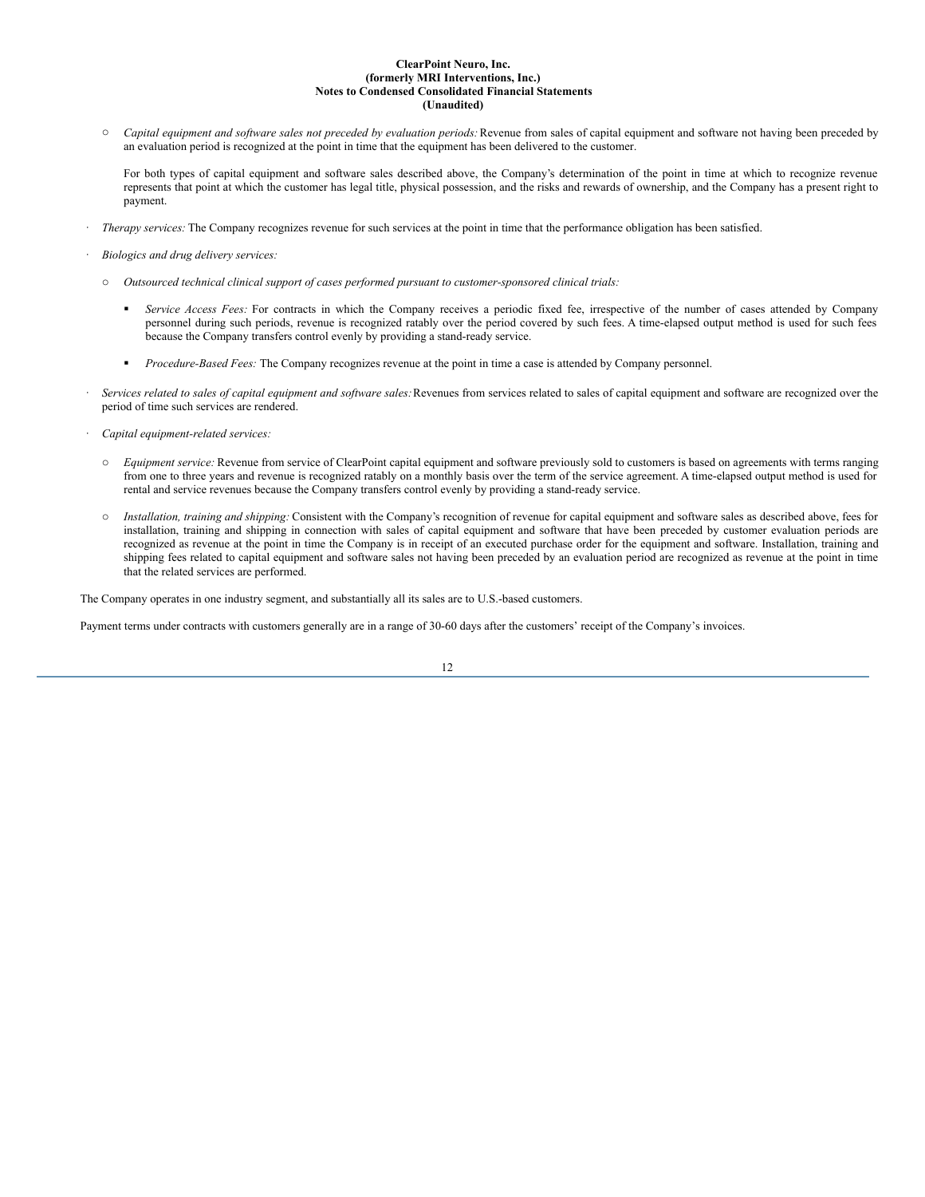o *Capital equipment and software sales not preceded by evaluation periods:*Revenue from sales of capital equipment and software not having been preceded by an evaluation period is recognized at the point in time that the equipment has been delivered to the customer.

For both types of capital equipment and software sales described above, the Company's determination of the point in time at which to recognize revenue represents that point at which the customer has legal title, physical possession, and the risks and rewards of ownership, and the Company has a present right to payment.

- · *Therapy services:* The Company recognizes revenue for such services at the point in time that the performance obligation has been satisfied.
- · *Biologics and drug delivery services:*
	- o *Outsourced technical clinical support of cases performed pursuant to customer-sponsored clinical trials:*
		- § *Service Access Fees:* For contracts in which the Company receives a periodic fixed fee, irrespective of the number of cases attended by Company personnel during such periods, revenue is recognized ratably over the period covered by such fees. A time-elapsed output method is used for such fees because the Company transfers control evenly by providing a stand-ready service.
		- § *Procedure-Based Fees:* The Company recognizes revenue at the point in time a case is attended by Company personnel.
- Services related to sales of capital equipment and software sales: Revenues from services related to sales of capital equipment and software are recognized over the period of time such services are rendered.
- · *Capital equipment-related services:*
	- o *Equipment service:* Revenue from service of ClearPoint capital equipment and software previously sold to customers is based on agreements with terms ranging from one to three years and revenue is recognized ratably on a monthly basis over the term of the service agreement. A time-elapsed output method is used for rental and service revenues because the Company transfers control evenly by providing a stand-ready service.
	- o *Installation, training and shipping:* Consistent with the Company's recognition of revenue for capital equipment and software sales as described above, fees for installation, training and shipping in connection with sales of capital equipment and software that have been preceded by customer evaluation periods are recognized as revenue at the point in time the Company is in receipt of an executed purchase order for the equipment and software. Installation, training and shipping fees related to capital equipment and software sales not having been preceded by an evaluation period are recognized as revenue at the point in time that the related services are performed.

The Company operates in one industry segment, and substantially all its sales are to U.S.-based customers.

Payment terms under contracts with customers generally are in a range of 30-60 days after the customers' receipt of the Company's invoices.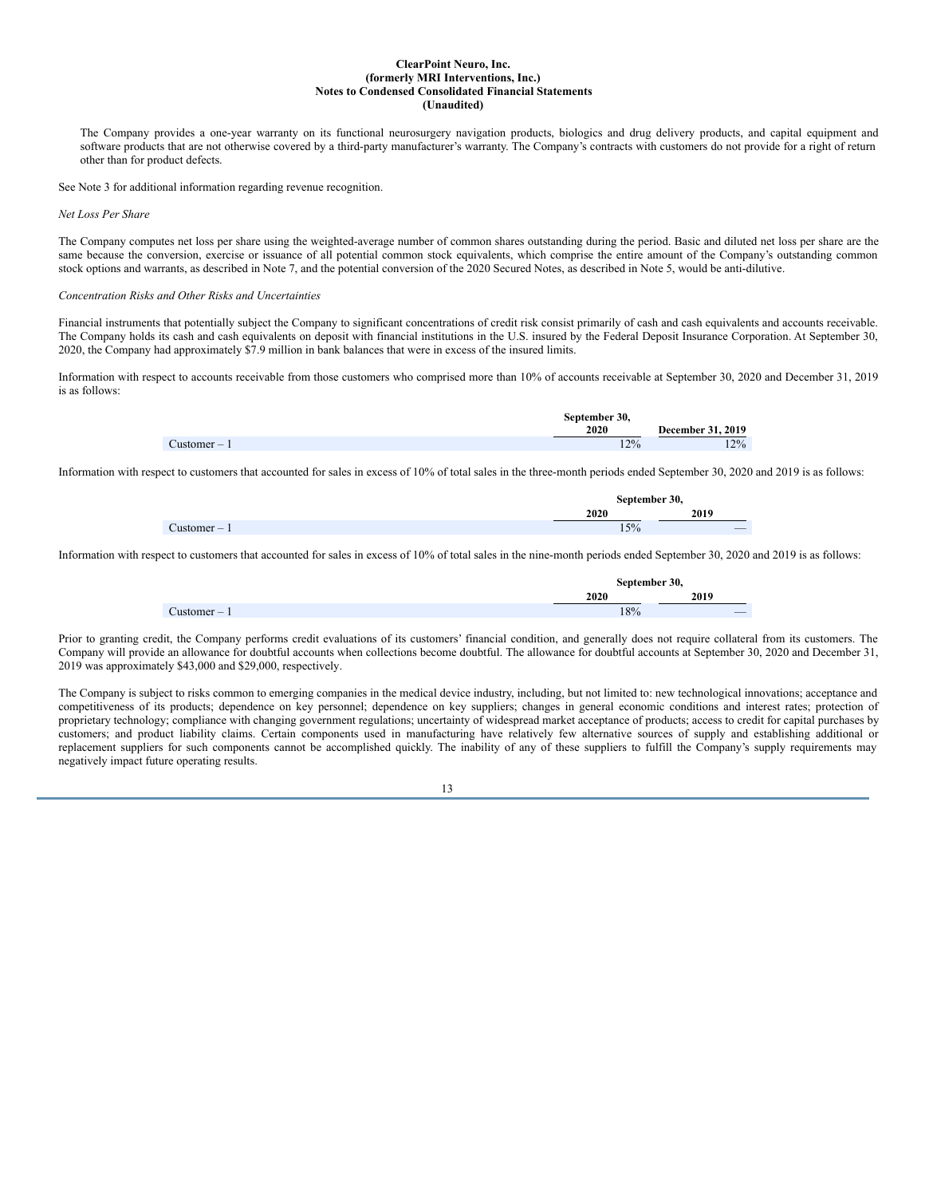The Company provides a one-year warranty on its functional neurosurgery navigation products, biologics and drug delivery products, and capital equipment and software products that are not otherwise covered by a third-party manufacturer's warranty. The Company's contracts with customers do not provide for a right of return other than for product defects.

See Note 3 for additional information regarding revenue recognition.

#### *Net Loss Per Share*

The Company computes net loss per share using the weighted-average number of common shares outstanding during the period. Basic and diluted net loss per share are the same because the conversion, exercise or issuance of all potential common stock equivalents, which comprise the entire amount of the Company's outstanding common stock options and warrants, as described in Note 7, and the potential conversion of the 2020 Secured Notes, as described in Note 5, would be anti-dilutive.

#### *Concentration Risks and Other Risks and Uncertainties*

Financial instruments that potentially subject the Company to significant concentrations of credit risk consist primarily of cash and cash equivalents and accounts receivable. The Company holds its cash and cash equivalents on deposit with financial institutions in the U.S. insured by the Federal Deposit Insurance Corporation. At September 30, 2020, the Company had approximately \$7.9 million in bank balances that were in excess of the insured limits.

Information with respect to accounts receivable from those customers who comprised more than 10% of accounts receivable at September 30, 2020 and December 31, 2019 is as follows:

|           | September 30. |                   |
|-----------|---------------|-------------------|
|           | 2020          | December 31, 2019 |
| -ustomer` | 12%           | 12%               |

Information with respect to customers that accounted for sales in excess of 10% of total sales in the three-month periods ended September 30, 2020 and 2019 is as follows:

|                                       | September 30, |      |
|---------------------------------------|---------------|------|
|                                       | 2020          | 2019 |
| $\frac{1}{2}$ ustomer – $\frac{1}{2}$ | 15%           |      |

Information with respect to customers that accounted for sales in excess of 10% of total sales in the nine-month periods ended September 30, 2020 and 2019 is as follows:

|               |      | September 30,                   |
|---------------|------|---------------------------------|
|               | 2020 | 2019                            |
| $'$ ustomer – | 18%  | $\overbrace{\qquad \qquad }^{}$ |

Prior to granting credit, the Company performs credit evaluations of its customers' financial condition, and generally does not require collateral from its customers. The Company will provide an allowance for doubtful accounts when collections become doubtful. The allowance for doubtful accounts at September 30, 2020 and December 31, 2019 was approximately \$43,000 and \$29,000, respectively.

The Company is subject to risks common to emerging companies in the medical device industry, including, but not limited to: new technological innovations; acceptance and competitiveness of its products; dependence on key personnel; dependence on key suppliers; changes in general economic conditions and interest rates; protection of proprietary technology; compliance with changing government regulations; uncertainty of widespread market acceptance of products; access to credit for capital purchases by customers; and product liability claims. Certain components used in manufacturing have relatively few alternative sources of supply and establishing additional or replacement suppliers for such components cannot be accomplished quickly. The inability of any of these suppliers to fulfill the Company's supply requirements may negatively impact future operating results.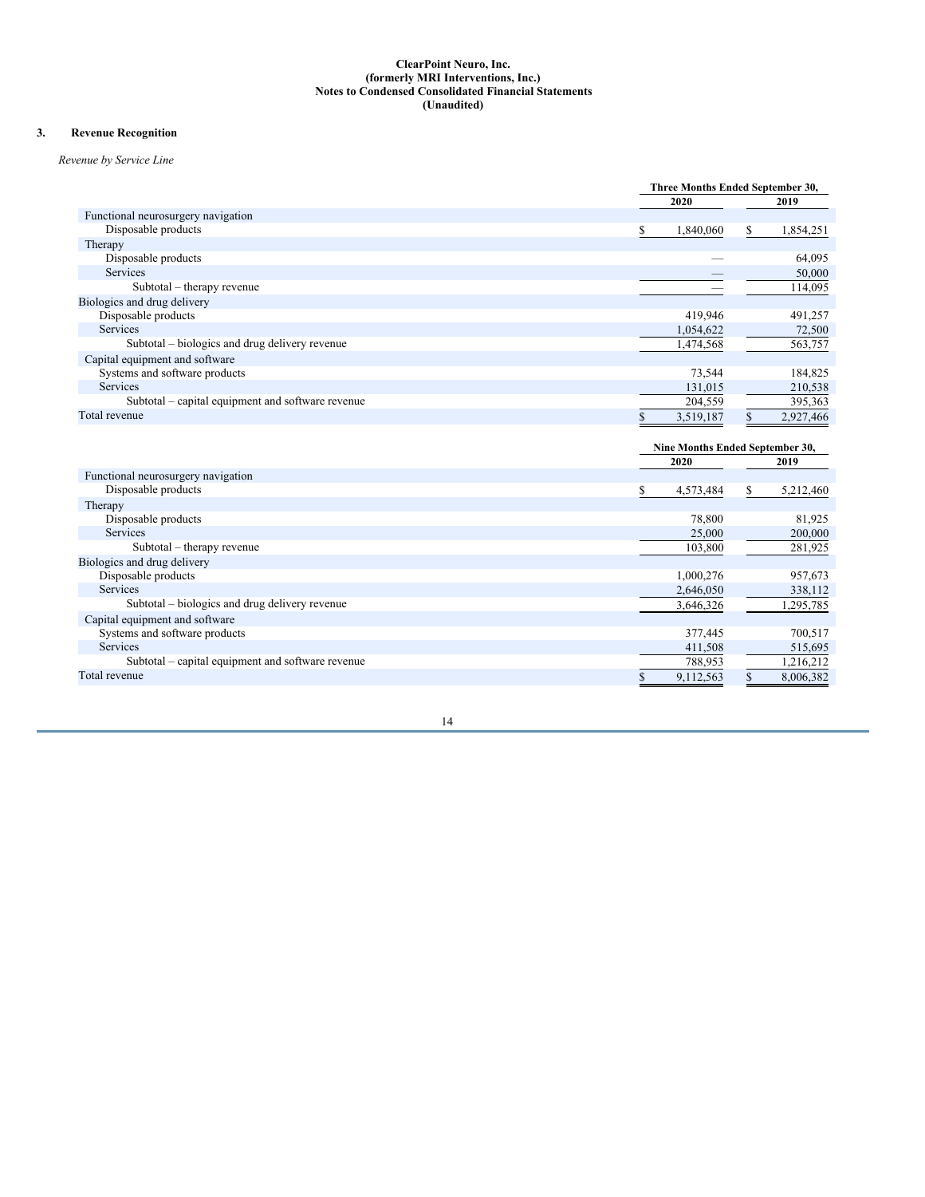# **3. Revenue Recognition**

*Revenue by Service Line*

|                                                   |           | Three Months Ended September 30, |
|---------------------------------------------------|-----------|----------------------------------|
|                                                   | 2020      | 2019                             |
| Functional neurosurgery navigation                |           |                                  |
| Disposable products                               | 1,840,060 | S.<br>1,854,251                  |
| Therapy                                           |           |                                  |
| Disposable products                               |           | 64,095                           |
| Services                                          |           | 50,000                           |
| $Subtotal - therapy$ revenue                      |           | 114,095                          |
| Biologics and drug delivery                       |           |                                  |
| Disposable products                               | 419,946   | 491,257                          |
| Services                                          | 1,054,622 | 72,500                           |
| Subtotal – biologics and drug delivery revenue    | 1,474,568 | 563,757                          |
| Capital equipment and software                    |           |                                  |
| Systems and software products                     | 73,544    | 184,825                          |
| Services                                          | 131,015   | 210,538                          |
| Subtotal – capital equipment and software revenue | 204,559   | 395,363                          |
| Total revenue                                     | 3,519,187 | 2,927,466<br>\$                  |
|                                                   |           | Nine Months Ended September 30,  |
|                                                   | 2020      | 2019                             |

|                                                   |     | 2020      |   | 2019      |
|---------------------------------------------------|-----|-----------|---|-----------|
| Functional neurosurgery navigation                |     |           |   |           |
| Disposable products                               | \$. | 4,573,484 | S | 5,212,460 |
| Therapy                                           |     |           |   |           |
| Disposable products                               |     | 78,800    |   | 81,925    |
| Services                                          |     | 25,000    |   | 200,000   |
| Subtotal $-$ therapy revenue                      |     | 103,800   |   | 281,925   |
| Biologics and drug delivery                       |     |           |   |           |
| Disposable products                               |     | 1,000,276 |   | 957,673   |
| Services                                          |     | 2,646,050 |   | 338,112   |
| Subtotal – biologics and drug delivery revenue    |     | 3,646,326 |   | 1,295,785 |
| Capital equipment and software                    |     |           |   |           |
| Systems and software products                     |     | 377,445   |   | 700,517   |
| Services                                          |     | 411,508   |   | 515,695   |
| Subtotal – capital equipment and software revenue |     | 788,953   |   | 1,216,212 |
| Total revenue                                     |     | 9,112,563 |   | 8,006,382 |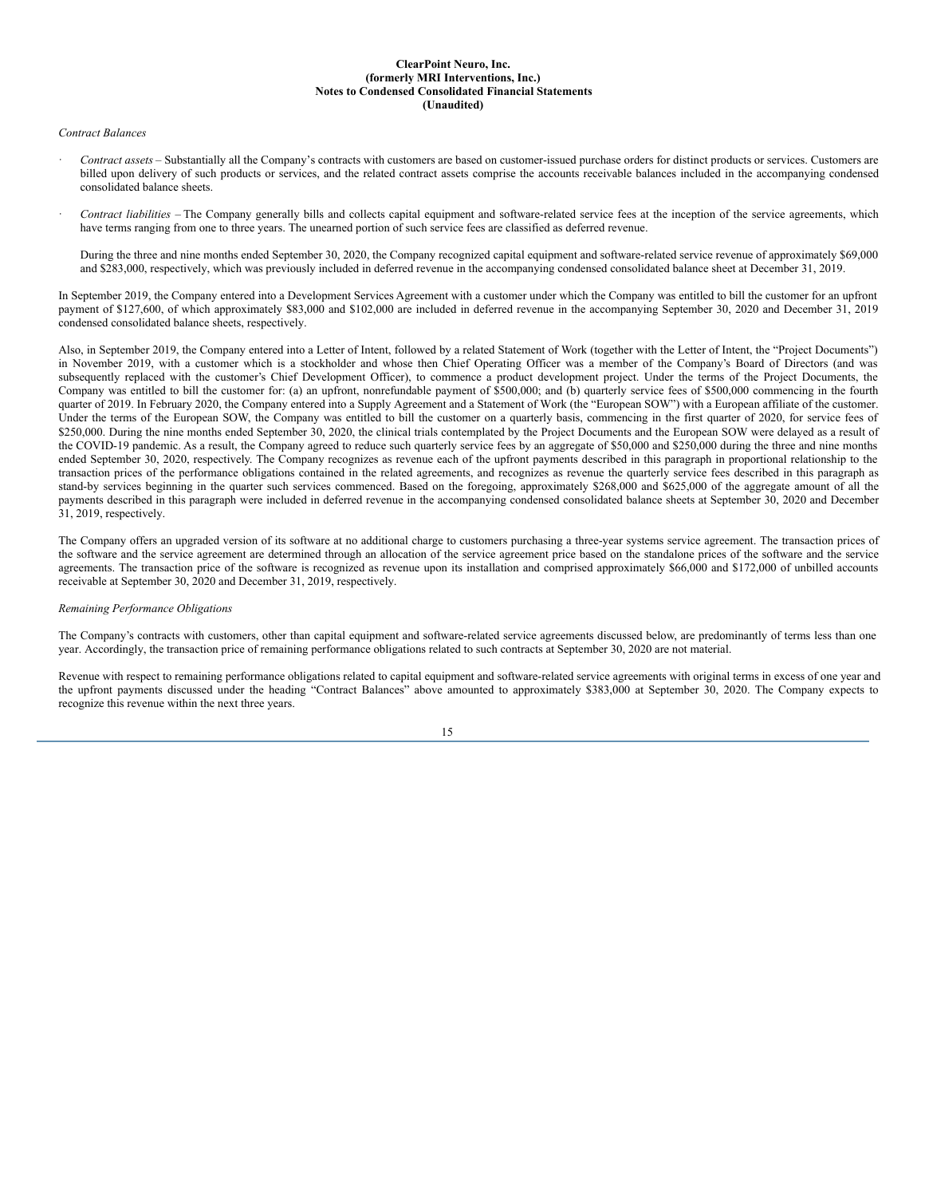#### *Contract Balances*

- · *Contract assets* Substantially all the Company's contracts with customers are based on customer-issued purchase orders for distinct products or services. Customers are billed upon delivery of such products or services, and the related contract assets comprise the accounts receivable balances included in the accompanying condensed consolidated balance sheets.
- Contract liabilities The Company generally bills and collects capital equipment and software-related service fees at the inception of the service agreements, which have terms ranging from one to three years. The unearned portion of such service fees are classified as deferred revenue.

During the three and nine months ended September 30, 2020, the Company recognized capital equipment and software-related service revenue of approximately \$69,000 and \$283,000, respectively, which was previously included in deferred revenue in the accompanying condensed consolidated balance sheet at December 31, 2019.

In September 2019, the Company entered into a Development Services Agreement with a customer under which the Company was entitled to bill the customer for an upfront payment of \$127,600, of which approximately \$83,000 and \$102,000 are included in deferred revenue in the accompanying September 30, 2020 and December 31, 2019 condensed consolidated balance sheets, respectively.

Also, in September 2019, the Company entered into a Letter of Intent, followed by a related Statement of Work (together with the Letter of Intent, the "Project Documents") in November 2019, with a customer which is a stockholder and whose then Chief Operating Officer was a member of the Company's Board of Directors (and was subsequently replaced with the customer's Chief Development Officer), to commence a product development project. Under the terms of the Project Documents, the Company was entitled to bill the customer for: (a) an upfront, nonrefundable payment of \$500,000; and (b) quarterly service fees of \$500,000 commencing in the fourth quarter of 2019. In February 2020, the Company entered into a Supply Agreement and a Statement of Work (the "European SOW") with a European affiliate of the customer. Under the terms of the European SOW, the Company was entitled to bill the customer on a quarterly basis, commencing in the first quarter of 2020, for service fees of \$250,000. During the nine months ended September 30, 2020, the clinical trials contemplated by the Project Documents and the European SOW were delayed as a result of the COVID-19 pandemic. As a result, the Company agreed to reduce such quarterly service fees by an aggregate of \$50,000 and \$250,000 during the three and nine months ended September 30, 2020, respectively. The Company recognizes as revenue each of the upfront payments described in this paragraph in proportional relationship to the transaction prices of the performance obligations contained in the related agreements, and recognizes as revenue the quarterly service fees described in this paragraph as stand-by services beginning in the quarter such services commenced. Based on the foregoing, approximately \$268,000 and \$625,000 of the aggregate amount of all the payments described in this paragraph were included in deferred revenue in the accompanying condensed consolidated balance sheets at September 30, 2020 and December 31, 2019, respectively.

The Company offers an upgraded version of its software at no additional charge to customers purchasing a three-year systems service agreement. The transaction prices of the software and the service agreement are determined through an allocation of the service agreement price based on the standalone prices of the software and the service agreements. The transaction price of the software is recognized as revenue upon its installation and comprised approximately \$66,000 and \$172,000 of unbilled accounts receivable at September 30, 2020 and December 31, 2019, respectively.

#### *Remaining Performance Obligations*

The Company's contracts with customers, other than capital equipment and software-related service agreements discussed below, are predominantly of terms less than one year. Accordingly, the transaction price of remaining performance obligations related to such contracts at September 30, 2020 are not material.

Revenue with respect to remaining performance obligations related to capital equipment and software-related service agreements with original terms in excess of one year and the upfront payments discussed under the heading "Contract Balances" above amounted to approximately \$383,000 at September 30, 2020. The Company expects to recognize this revenue within the next three years.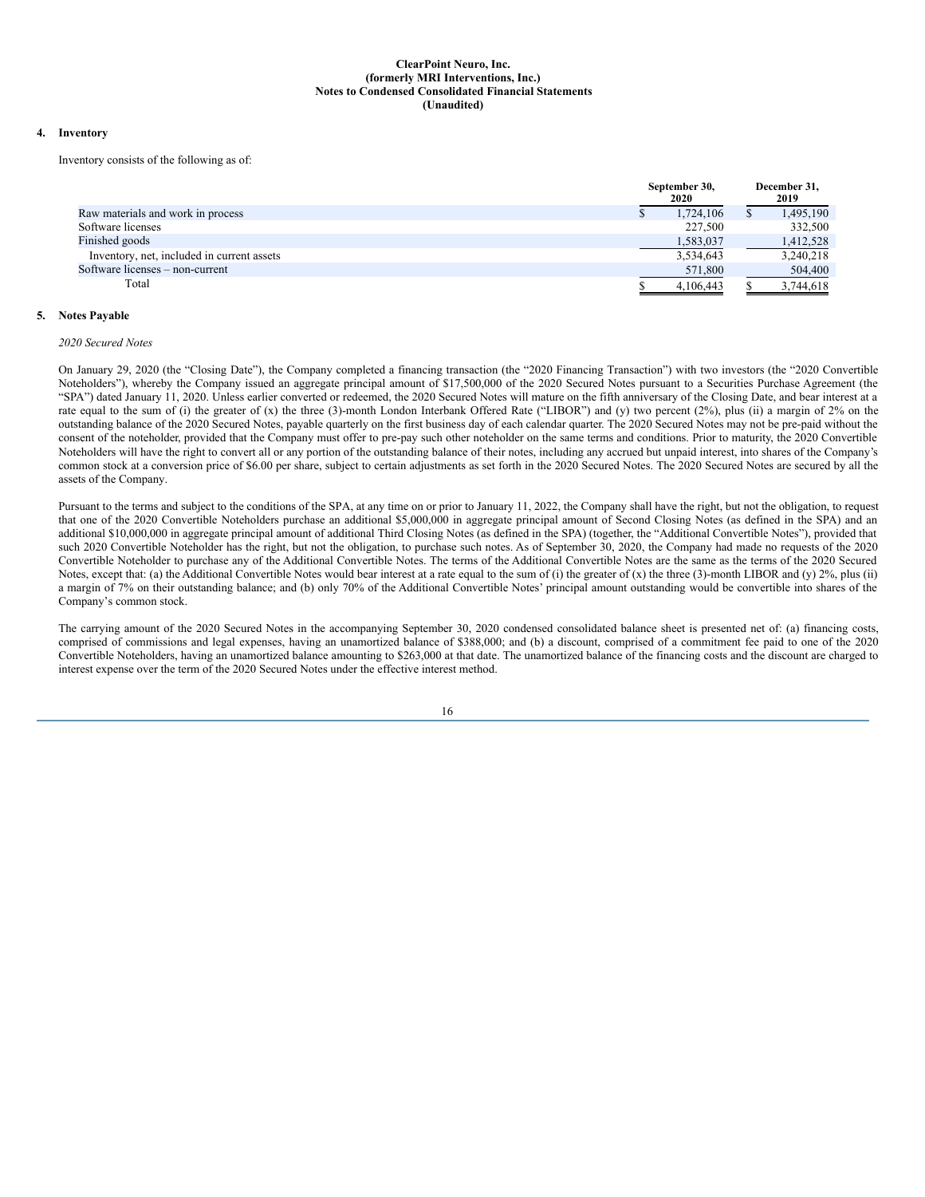#### **4. Inventory**

Inventory consists of the following as of:

|                                            | September 30, |  | December 31, |
|--------------------------------------------|---------------|--|--------------|
|                                            | 2020          |  | 2019         |
| Raw materials and work in process          | 1.724.106     |  | 1,495,190    |
| Software licenses                          | 227,500       |  | 332,500      |
| Finished goods                             | 1,583,037     |  | 1,412,528    |
| Inventory, net, included in current assets | 3,534,643     |  | 3,240,218    |
| Software licenses – non-current            | 571,800       |  | 504,400      |
| Total                                      | 4.106.443     |  | 3,744,618    |

#### **5. Notes Payable**

### *2020 Secured Notes*

On January 29, 2020 (the "Closing Date"), the Company completed a financing transaction (the "2020 Financing Transaction") with two investors (the "2020 Convertible Noteholders"), whereby the Company issued an aggregate principal amount of \$17,500,000 of the 2020 Secured Notes pursuant to a Securities Purchase Agreement (the "SPA") dated January 11, 2020. Unless earlier converted or redeemed, the 2020 Secured Notes will mature on the fifth anniversary of the Closing Date, and bear interest at a rate equal to the sum of (i) the greater of (x) the three (3)-month London Interbank Offered Rate ("LIBOR") and (y) two percent (2%), plus (ii) a margin of 2% on the outstanding balance of the 2020 Secured Notes, payable quarterly on the first business day of each calendar quarter. The 2020 Secured Notes may not be pre-paid without the consent of the noteholder, provided that the Company must offer to pre-pay such other noteholder on the same terms and conditions. Prior to maturity, the 2020 Convertible Noteholders will have the right to convert all or any portion of the outstanding balance of their notes, including any accrued but unpaid interest, into shares of the Company's common stock at a conversion price of \$6.00 per share, subject to certain adjustments as set forth in the 2020 Secured Notes. The 2020 Secured Notes are secured by all the assets of the Company.

Pursuant to the terms and subject to the conditions of the SPA, at any time on or prior to January 11, 2022, the Company shall have the right, but not the obligation, to request that one of the 2020 Convertible Noteholders purchase an additional \$5,000,000 in aggregate principal amount of Second Closing Notes (as defined in the SPA) and an additional \$10,000,000 in aggregate principal amount of additional Third Closing Notes (as defined in the SPA) (together, the "Additional Convertible Notes"), provided that such 2020 Convertible Noteholder has the right, but not the obligation, to purchase such notes. As of September 30, 2020, the Company had made no requests of the 2020 Convertible Noteholder to purchase any of the Additional Convertible Notes. The terms of the Additional Convertible Notes are the same as the terms of the 2020 Secured Notes, except that: (a) the Additional Convertible Notes would bear interest at a rate equal to the sum of (i) the greater of (x) the three (3)-month LIBOR and (y) 2%, plus (ii) a margin of 7% on their outstanding balance; and (b) only 70% of the Additional Convertible Notes' principal amount outstanding would be convertible into shares of the Company's common stock.

The carrying amount of the 2020 Secured Notes in the accompanying September 30, 2020 condensed consolidated balance sheet is presented net of: (a) financing costs, comprised of commissions and legal expenses, having an unamortized balance of \$388,000; and (b) a discount, comprised of a commitment fee paid to one of the 2020 Convertible Noteholders, having an unamortized balance amounting to \$263,000 at that date. The unamortized balance of the financing costs and the discount are charged to interest expense over the term of the 2020 Secured Notes under the effective interest method.

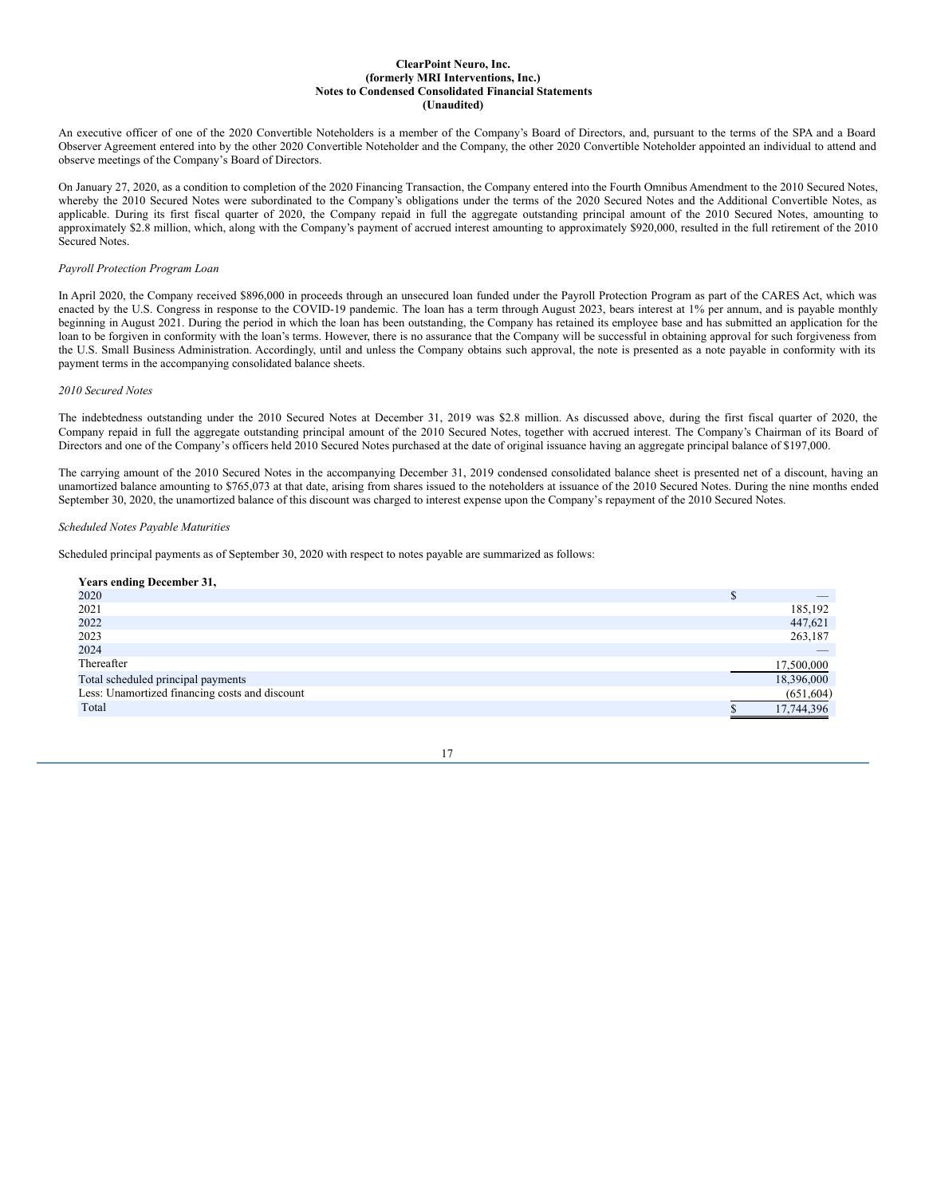An executive officer of one of the 2020 Convertible Noteholders is a member of the Company's Board of Directors, and, pursuant to the terms of the SPA and a Board Observer Agreement entered into by the other 2020 Convertible Noteholder and the Company, the other 2020 Convertible Noteholder appointed an individual to attend and observe meetings of the Company's Board of Directors.

On January 27, 2020, as a condition to completion of the 2020 Financing Transaction, the Company entered into the Fourth Omnibus Amendment to the 2010 Secured Notes, whereby the 2010 Secured Notes were subordinated to the Company's obligations under the terms of the 2020 Secured Notes and the Additional Convertible Notes, as applicable. During its first fiscal quarter of 2020, the Company repaid in full the aggregate outstanding principal amount of the 2010 Secured Notes, amounting to approximately \$2.8 million, which, along with the Company's payment of accrued interest amounting to approximately \$920,000, resulted in the full retirement of the 2010 Secured Notes.

#### *Payroll Protection Program Loan*

In April 2020, the Company received \$896,000 in proceeds through an unsecured loan funded under the Payroll Protection Program as part of the CARES Act, which was enacted by the U.S. Congress in response to the COVID-19 pandemic. The loan has a term through August 2023, bears interest at 1% per annum, and is payable monthly beginning in August 2021. During the period in which the loan has been outstanding, the Company has retained its employee base and has submitted an application for the loan to be forgiven in conformity with the loan's terms. However, there is no assurance that the Company will be successful in obtaining approval for such forgiveness from the U.S. Small Business Administration. Accordingly, until and unless the Company obtains such approval, the note is presented as a note payable in conformity with its payment terms in the accompanying consolidated balance sheets.

## *2010 Secured Notes*

The indebtedness outstanding under the 2010 Secured Notes at December 31, 2019 was \$2.8 million. As discussed above, during the first fiscal quarter of 2020, the Company repaid in full the aggregate outstanding principal amount of the 2010 Secured Notes, together with accrued interest. The Company's Chairman of its Board of Directors and one of the Company's officers held 2010 Secured Notes purchased at the date of original issuance having an aggregate principal balance of \$197,000.

The carrying amount of the 2010 Secured Notes in the accompanying December 31, 2019 condensed consolidated balance sheet is presented net of a discount, having an unamortized balance amounting to \$765,073 at that date, arising from shares issued to the noteholders at issuance of the 2010 Secured Notes. During the nine months ended September 30, 2020, the unamortized balance of this discount was charged to interest expense upon the Company's repayment of the 2010 Secured Notes.

## *Scheduled Notes Payable Maturities*

Scheduled principal payments as of September 30, 2020 with respect to notes payable are summarized as follows:

| <b>Years ending December 31,</b>               |            |
|------------------------------------------------|------------|
| 2020                                           | _          |
| 2021                                           | 185,192    |
| 2022                                           | 447,621    |
| 2023                                           | 263,187    |
| 2024                                           | _          |
| Thereafter                                     | 17,500,000 |
| Total scheduled principal payments             | 18,396,000 |
| Less: Unamortized financing costs and discount | (651, 604) |
| Total                                          | 17,744,396 |

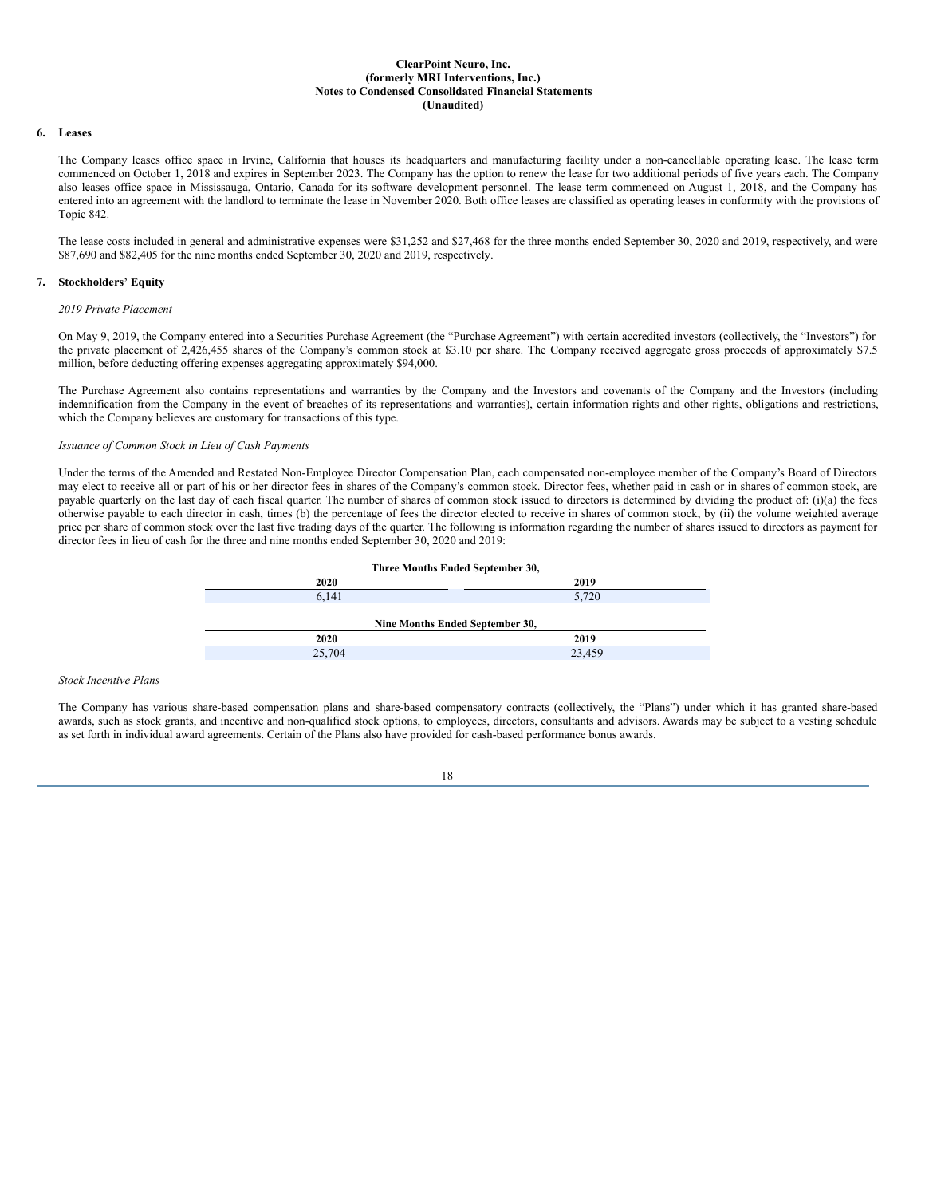#### **6. Leases**

The Company leases office space in Irvine, California that houses its headquarters and manufacturing facility under a non-cancellable operating lease. The lease term commenced on October 1, 2018 and expires in September 2023. The Company has the option to renew the lease for two additional periods of five years each. The Company also leases office space in Mississauga, Ontario, Canada for its software development personnel. The lease term commenced on August 1, 2018, and the Company has entered into an agreement with the landlord to terminate the lease in November 2020. Both office leases are classified as operating leases in conformity with the provisions of Topic 842.

The lease costs included in general and administrative expenses were \$31,252 and \$27,468 for the three months ended September 30, 2020 and 2019, respectively, and were \$87,690 and \$82,405 for the nine months ended September 30, 2020 and 2019, respectively.

## **7. Stockholders' Equity**

#### *2019 Private Placement*

On May 9, 2019, the Company entered into a Securities Purchase Agreement (the "Purchase Agreement") with certain accredited investors (collectively, the "Investors") for the private placement of 2,426,455 shares of the Company's common stock at \$3.10 per share. The Company received aggregate gross proceeds of approximately \$7.5 million, before deducting offering expenses aggregating approximately \$94,000.

The Purchase Agreement also contains representations and warranties by the Company and the Investors and covenants of the Company and the Investors (including indemnification from the Company in the event of breaches of its representations and warranties), certain information rights and other rights, obligations and restrictions, which the Company believes are customary for transactions of this type.

#### *Issuance of Common Stock in Lieu of Cash Payments*

Under the terms of the Amended and Restated Non-Employee Director Compensation Plan, each compensated non-employee member of the Company's Board of Directors may elect to receive all or part of his or her director fees in shares of the Company's common stock. Director fees, whether paid in cash or in shares of common stock, are payable quarterly on the last day of each fiscal quarter. The number of shares of common stock issued to directors is determined by dividing the product of: (i)(a) the fees otherwise payable to each director in cash, times (b) the percentage of fees the director elected to receive in shares of common stock, by (ii) the volume weighted average price per share of common stock over the last five trading days of the quarter. The following is information regarding the number of shares issued to directors as payment for director fees in lieu of cash for the three and nine months ended September 30, 2020 and 2019:



#### *Stock Incentive Plans*

The Company has various share-based compensation plans and share-based compensatory contracts (collectively, the "Plans") under which it has granted share-based awards, such as stock grants, and incentive and non-qualified stock options, to employees, directors, consultants and advisors. Awards may be subject to a vesting schedule as set forth in individual award agreements. Certain of the Plans also have provided for cash-based performance bonus awards.

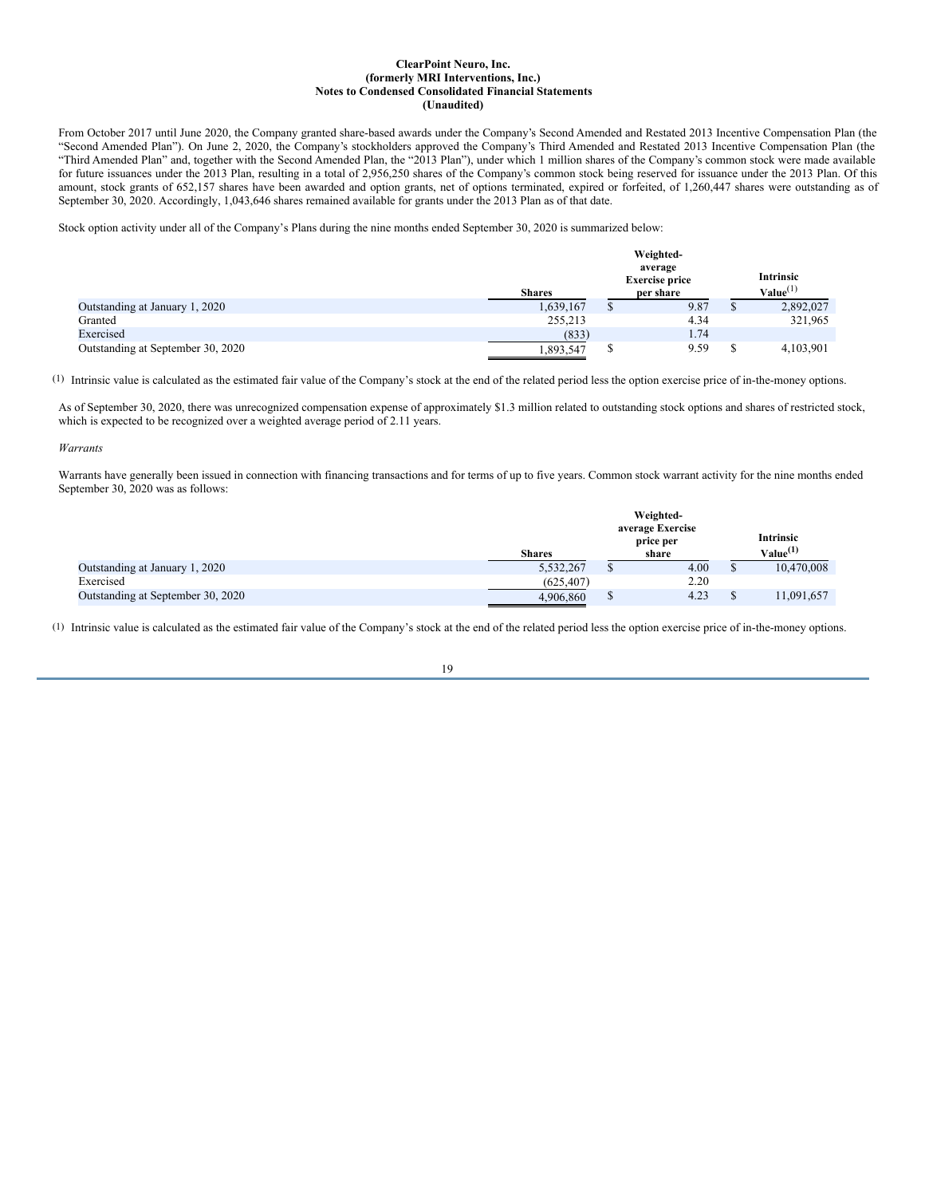From October 2017 until June 2020, the Company granted share-based awards under the Company's Second Amended and Restated 2013 Incentive Compensation Plan (the "Second Amended Plan"). On June 2, 2020, the Company's stockholders approved the Company's Third Amended and Restated 2013 Incentive Compensation Plan (the "Third Amended Plan" and, together with the Second Amended Plan, the "2013 Plan"), under which 1 million shares of the Company's common stock were made available for future issuances under the 2013 Plan, resulting in a total of 2,956,250 shares of the Company's common stock being reserved for issuance under the 2013 Plan. Of this amount, stock grants of 652,157 shares have been awarded and option grants, net of options terminated, expired or forfeited, of 1,260,447 shares were outstanding as of September 30, 2020. Accordingly, 1,043,646 shares remained available for grants under the 2013 Plan as of that date.

Stock option activity under all of the Company's Plans during the nine months ended September 30, 2020 is summarized below:

|                                   | Weighted-<br>average<br><b>Exercise price</b> |  |           |  | <b>Intrinsic</b>       |
|-----------------------------------|-----------------------------------------------|--|-----------|--|------------------------|
|                                   | <b>Shares</b>                                 |  | per share |  | $\mathbf{Value}^{(1)}$ |
| Outstanding at January 1, 2020    | 1,639,167                                     |  | 9.87      |  | 2,892,027              |
| Granted                           | 255,213                                       |  | 4.34      |  | 321,965                |
| Exercised                         | (833)                                         |  | 1.74      |  |                        |
| Outstanding at September 30, 2020 | 1,893,547                                     |  | 9.59      |  | 4,103,901              |

(1) Intrinsic value is calculated as the estimated fair value of the Company's stock at the end of the related period less the option exercise price of in-the-money options.

As of September 30, 2020, there was unrecognized compensation expense of approximately \$1.3 million related to outstanding stock options and shares of restricted stock, which is expected to be recognized over a weighted average period of 2.11 years.

#### *Warrants*

Warrants have generally been issued in connection with financing transactions and for terms of up to five years. Common stock warrant activity for the nine months ended September 30, 2020 was as follows:

|                                   | Weighted-<br>average Exercise<br>price per |  |       |  | Intrinsic     |
|-----------------------------------|--------------------------------------------|--|-------|--|---------------|
|                                   | <b>Shares</b>                              |  | share |  | $Value^{(1)}$ |
| Outstanding at January 1, 2020    | 5,532,267                                  |  | 4.00  |  | 10,470,008    |
| Exercised                         | (625, 407)                                 |  | 2.20  |  |               |
| Outstanding at September 30, 2020 | 4.906.860                                  |  | 4.23  |  | 11,091,657    |

(1) Intrinsic value is calculated as the estimated fair value of the Company's stock at the end of the related period less the option exercise price of in-the-money options.

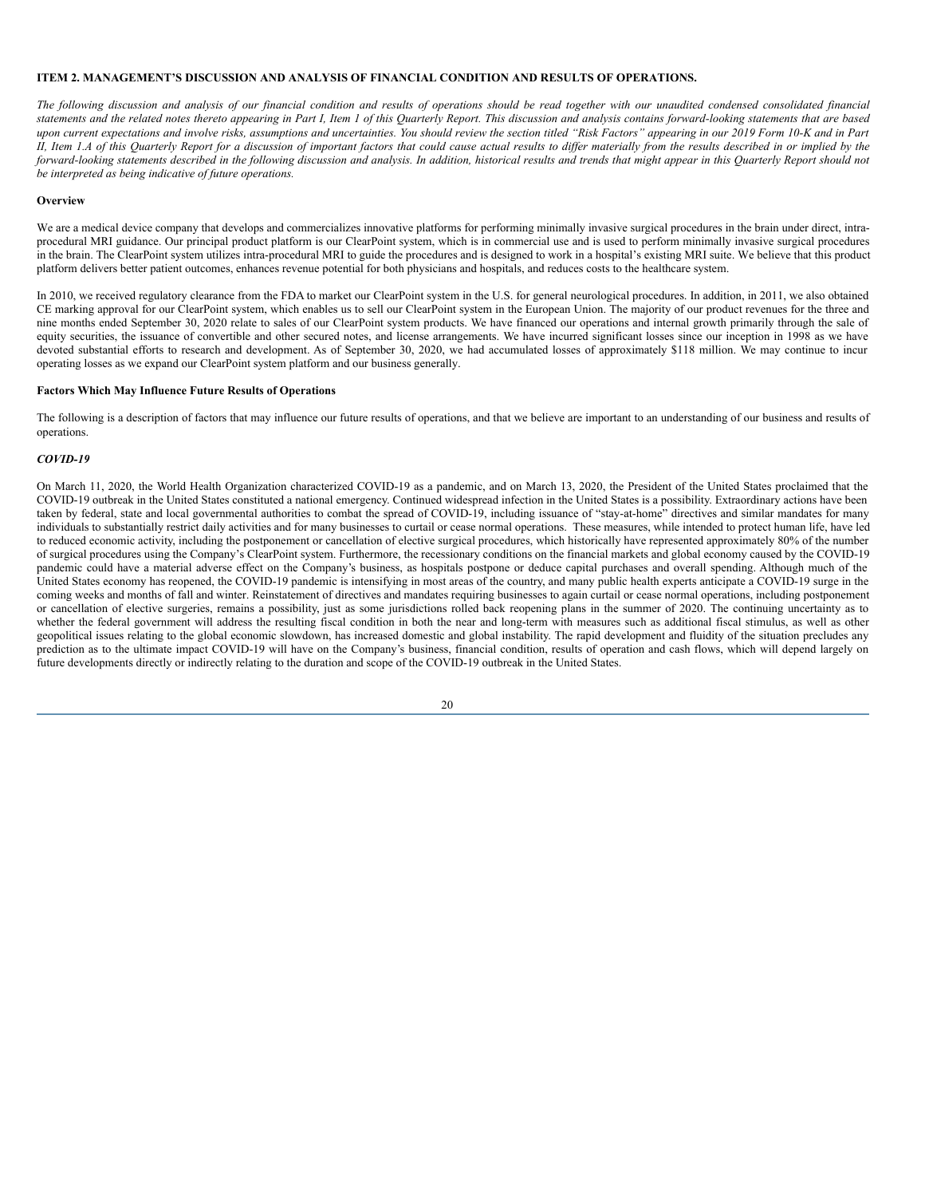#### <span id="page-19-0"></span>**ITEM 2. MANAGEMENT'S DISCUSSION AND ANALYSIS OF FINANCIAL CONDITION AND RESULTS OF OPERATIONS.**

The following discussion and analysis of our financial condition and results of operations should be read together with our unaudited condensed consolidated financial statements and the related notes thereto appearing in Part I, Item 1 of this Quarterly Report. This discussion and analysis contains forward-looking statements that are based upon current expectations and involve risks, assumptions and uncertainties. You should review the section titled "Risk Factors" appearing in our 2019 Form 10-K and in Part  $II$ , Item 1.A of this Quarterly Report for a discussion of important factors that could cause actual results to differ materially from the results described in or implied by the forward-looking statements described in the following discussion and analysis. In addition, historical results and trends that might appear in this Quarterly Report should not *be interpreted as being indicative of future operations.*

## **Overview**

We are a medical device company that develops and commercializes innovative platforms for performing minimally invasive surgical procedures in the brain under direct, intraprocedural MRI guidance. Our principal product platform is our ClearPoint system, which is in commercial use and is used to perform minimally invasive surgical procedures in the brain. The ClearPoint system utilizes intra-procedural MRI to guide the procedures and is designed to work in a hospital's existing MRI suite. We believe that this product platform delivers better patient outcomes, enhances revenue potential for both physicians and hospitals, and reduces costs to the healthcare system.

In 2010, we received regulatory clearance from the FDA to market our ClearPoint system in the U.S. for general neurological procedures. In addition, in 2011, we also obtained CE marking approval for our ClearPoint system, which enables us to sell our ClearPoint system in the European Union. The majority of our product revenues for the three and nine months ended September 30, 2020 relate to sales of our ClearPoint system products. We have financed our operations and internal growth primarily through the sale of equity securities, the issuance of convertible and other secured notes, and license arrangements. We have incurred significant losses since our inception in 1998 as we have devoted substantial efforts to research and development. As of September 30, 2020, we had accumulated losses of approximately \$118 million. We may continue to incur operating losses as we expand our ClearPoint system platform and our business generally.

## **Factors Which May Influence Future Results of Operations**

The following is a description of factors that may influence our future results of operations, and that we believe are important to an understanding of our business and results of operations.

#### *COVID-19*

On March 11, 2020, the World Health Organization characterized COVID-19 as a pandemic, and on March 13, 2020, the President of the United States proclaimed that the COVID-19 outbreak in the United States constituted a national emergency. Continued widespread infection in the United States is a possibility. Extraordinary actions have been taken by federal, state and local governmental authorities to combat the spread of COVID-19, including issuance of "stay-at-home" directives and similar mandates for many individuals to substantially restrict daily activities and for many businesses to curtail or cease normal operations. These measures, while intended to protect human life, have led to reduced economic activity, including the postponement or cancellation of elective surgical procedures, which historically have represented approximately 80% of the number of surgical procedures using the Company's ClearPoint system. Furthermore, the recessionary conditions on the financial markets and global economy caused by the COVID-19 pandemic could have a material adverse effect on the Company's business, as hospitals postpone or deduce capital purchases and overall spending. Although much of the United States economy has reopened, the COVID-19 pandemic is intensifying in most areas of the country, and many public health experts anticipate a COVID-19 surge in the coming weeks and months of fall and winter. Reinstatement of directives and mandates requiring businesses to again curtail or cease normal operations, including postponement or cancellation of elective surgeries, remains a possibility, just as some jurisdictions rolled back reopening plans in the summer of 2020. The continuing uncertainty as to whether the federal government will address the resulting fiscal condition in both the near and long-term with measures such as additional fiscal stimulus, as well as other geopolitical issues relating to the global economic slowdown, has increased domestic and global instability. The rapid development and fluidity of the situation precludes any prediction as to the ultimate impact COVID-19 will have on the Company's business, financial condition, results of operation and cash flows, which will depend largely on future developments directly or indirectly relating to the duration and scope of the COVID-19 outbreak in the United States.

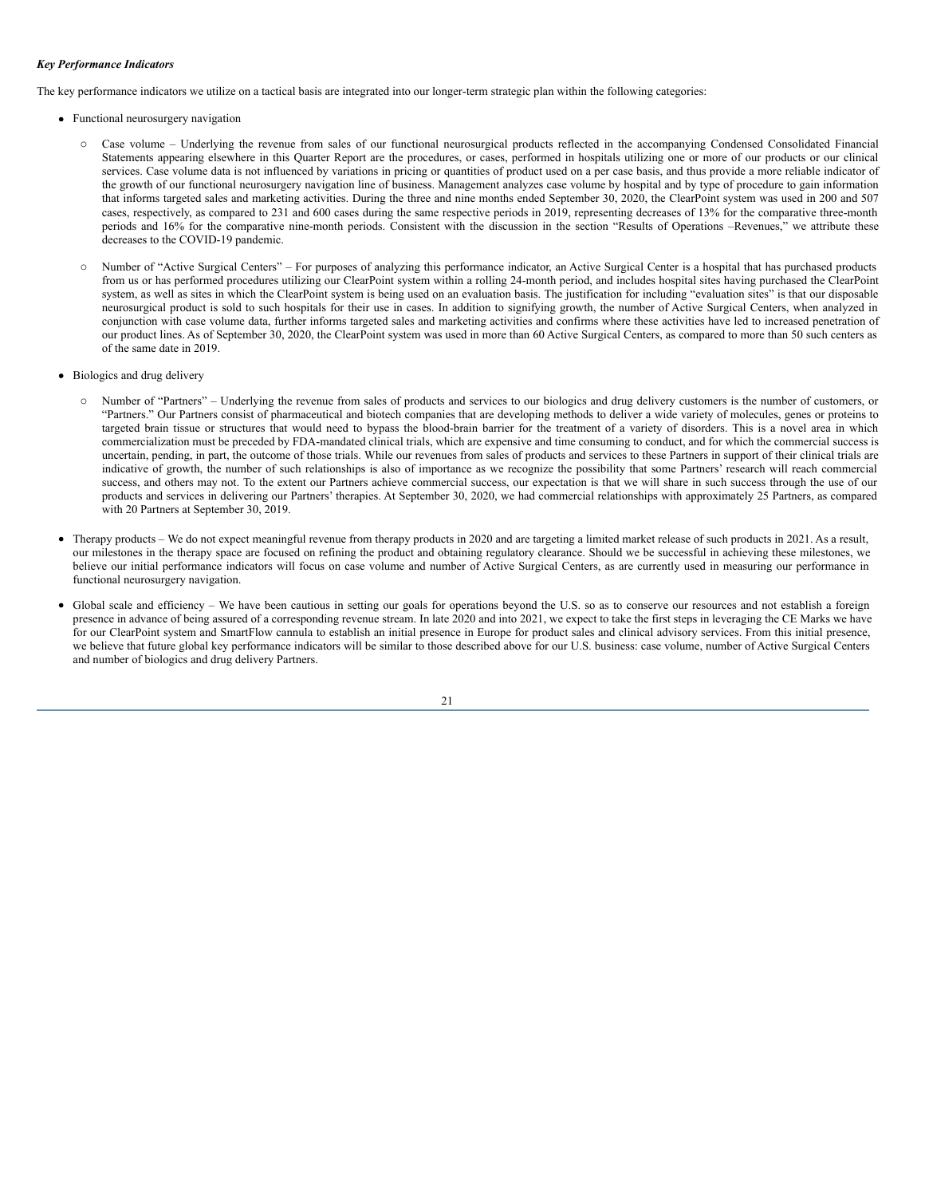## *Key Performance Indicators*

The key performance indicators we utilize on a tactical basis are integrated into our longer-term strategic plan within the following categories:

- Functional neurosurgery navigation
	- o Case volume Underlying the revenue from sales of our functional neurosurgical products reflected in the accompanying Condensed Consolidated Financial Statements appearing elsewhere in this Quarter Report are the procedures, or cases, performed in hospitals utilizing one or more of our products or our clinical services. Case volume data is not influenced by variations in pricing or quantities of product used on a per case basis, and thus provide a more reliable indicator of the growth of our functional neurosurgery navigation line of business. Management analyzes case volume by hospital and by type of procedure to gain information that informs targeted sales and marketing activities. During the three and nine months ended September 30, 2020, the ClearPoint system was used in 200 and 507 cases, respectively, as compared to 231 and 600 cases during the same respective periods in 2019, representing decreases of 13% for the comparative three-month periods and 16% for the comparative nine-month periods. Consistent with the discussion in the section "Results of Operations –Revenues," we attribute these decreases to the COVID-19 pandemic.
	- Number of "Active Surgical Centers" For purposes of analyzing this performance indicator, an Active Surgical Center is a hospital that has purchased products from us or has performed procedures utilizing our ClearPoint system within a rolling 24-month period, and includes hospital sites having purchased the ClearPoint system, as well as sites in which the ClearPoint system is being used on an evaluation basis. The justification for including "evaluation sites" is that our disposable neurosurgical product is sold to such hospitals for their use in cases. In addition to signifying growth, the number of Active Surgical Centers, when analyzed in conjunction with case volume data, further informs targeted sales and marketing activities and confirms where these activities have led to increased penetration of our product lines. As of September 30, 2020, the ClearPoint system was used in more than 60 Active Surgical Centers, as compared to more than 50 such centers as of the same date in 2019.
- Biologics and drug delivery
	- o Number of "Partners" Underlying the revenue from sales of products and services to our biologics and drug delivery customers is the number of customers, or "Partners." Our Partners consist of pharmaceutical and biotech companies that are developing methods to deliver a wide variety of molecules, genes or proteins to targeted brain tissue or structures that would need to bypass the blood-brain barrier for the treatment of a variety of disorders. This is a novel area in which commercialization must be preceded by FDA-mandated clinical trials, which are expensive and time consuming to conduct, and for which the commercial success is uncertain, pending, in part, the outcome of those trials. While our revenues from sales of products and services to these Partners in support of their clinical trials are indicative of growth, the number of such relationships is also of importance as we recognize the possibility that some Partners' research will reach commercial success, and others may not. To the extent our Partners achieve commercial success, our expectation is that we will share in such success through the use of our products and services in delivering our Partners' therapies. At September 30, 2020, we had commercial relationships with approximately 25 Partners, as compared with 20 Partners at September 30, 2019.
- Therapy products We do not expect meaningful revenue from therapy products in 2020 and are targeting a limited market release of such products in 2021. As a result, our milestones in the therapy space are focused on refining the product and obtaining regulatory clearance. Should we be successful in achieving these milestones, we believe our initial performance indicators will focus on case volume and number of Active Surgical Centers, as are currently used in measuring our performance in functional neurosurgery navigation.
- Global scale and efficiency We have been cautious in setting our goals for operations beyond the U.S. so as to conserve our resources and not establish a foreign presence in advance of being assured of a corresponding revenue stream. In late 2020 and into 2021, we expect to take the first steps in leveraging the CE Marks we have for our ClearPoint system and SmartFlow cannula to establish an initial presence in Europe for product sales and clinical advisory services. From this initial presence, we believe that future global key performance indicators will be similar to those described above for our U.S. business: case volume, number of Active Surgical Centers and number of biologics and drug delivery Partners.

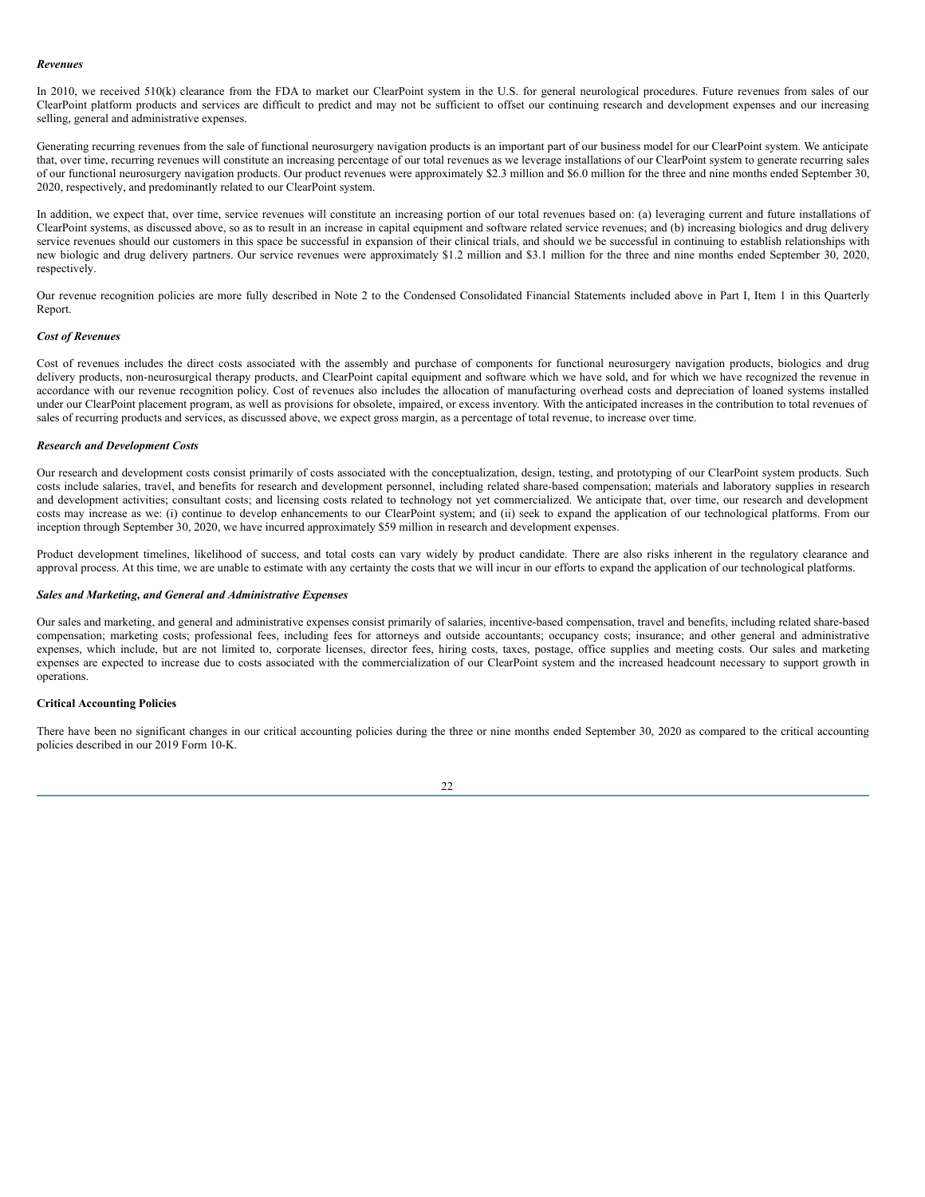#### *Revenues*

In 2010, we received 510(k) clearance from the FDA to market our ClearPoint system in the U.S. for general neurological procedures. Future revenues from sales of our ClearPoint platform products and services are difficult to predict and may not be sufficient to offset our continuing research and development expenses and our increasing selling, general and administrative expenses.

Generating recurring revenues from the sale of functional neurosurgery navigation products is an important part of our business model for our ClearPoint system. We anticipate that, over time, recurring revenues will constitute an increasing percentage of our total revenues as we leverage installations of our ClearPoint system to generate recurring sales of our functional neurosurgery navigation products. Our product revenues were approximately \$2.3 million and \$6.0 million for the three and nine months ended September 30, 2020, respectively, and predominantly related to our ClearPoint system.

In addition, we expect that, over time, service revenues will constitute an increasing portion of our total revenues based on: (a) leveraging current and future installations of ClearPoint systems, as discussed above, so as to result in an increase in capital equipment and software related service revenues; and (b) increasing biologics and drug delivery service revenues should our customers in this space be successful in expansion of their clinical trials, and should we be successful in continuing to establish relationships with new biologic and drug delivery partners. Our service revenues were approximately \$1.2 million and \$3.1 million for the three and nine months ended September 30, 2020, respectively.

Our revenue recognition policies are more fully described in Note 2 to the Condensed Consolidated Financial Statements included above in Part I, Item 1 in this Quarterly Report.

## *Cost of Revenues*

Cost of revenues includes the direct costs associated with the assembly and purchase of components for functional neurosurgery navigation products, biologics and drug delivery products, non-neurosurgical therapy products, and ClearPoint capital equipment and software which we have sold, and for which we have recognized the revenue in accordance with our revenue recognition policy. Cost of revenues also includes the allocation of manufacturing overhead costs and depreciation of loaned systems installed under our ClearPoint placement program, as well as provisions for obsolete, impaired, or excess inventory. With the anticipated increases in the contribution to total revenues of sales of recurring products and services, as discussed above, we expect gross margin, as a percentage of total revenue, to increase over time.

#### *Research and Development Costs*

Our research and development costs consist primarily of costs associated with the conceptualization, design, testing, and prototyping of our ClearPoint system products. Such costs include salaries, travel, and benefits for research and development personnel, including related share-based compensation; materials and laboratory supplies in research and development activities; consultant costs; and licensing costs related to technology not yet commercialized. We anticipate that, over time, our research and development costs may increase as we: (i) continue to develop enhancements to our ClearPoint system; and (ii) seek to expand the application of our technological platforms. From our inception through September 30, 2020, we have incurred approximately \$59 million in research and development expenses.

Product development timelines, likelihood of success, and total costs can vary widely by product candidate. There are also risks inherent in the regulatory clearance and approval process. At this time, we are unable to estimate with any certainty the costs that we will incur in our efforts to expand the application of our technological platforms.

#### *Sales and Marketing, and General and Administrative Expenses*

Our sales and marketing, and general and administrative expenses consist primarily of salaries, incentive-based compensation, travel and benefits, including related share-based compensation; marketing costs; professional fees, including fees for attorneys and outside accountants; occupancy costs; insurance; and other general and administrative expenses, which include, but are not limited to, corporate licenses, director fees, hiring costs, taxes, postage, office supplies and meeting costs. Our sales and marketing expenses are expected to increase due to costs associated with the commercialization of our ClearPoint system and the increased headcount necessary to support growth in operations.

## **Critical Accounting Policies**

There have been no significant changes in our critical accounting policies during the three or nine months ended September 30, 2020 as compared to the critical accounting policies described in our 2019 Form 10-K.

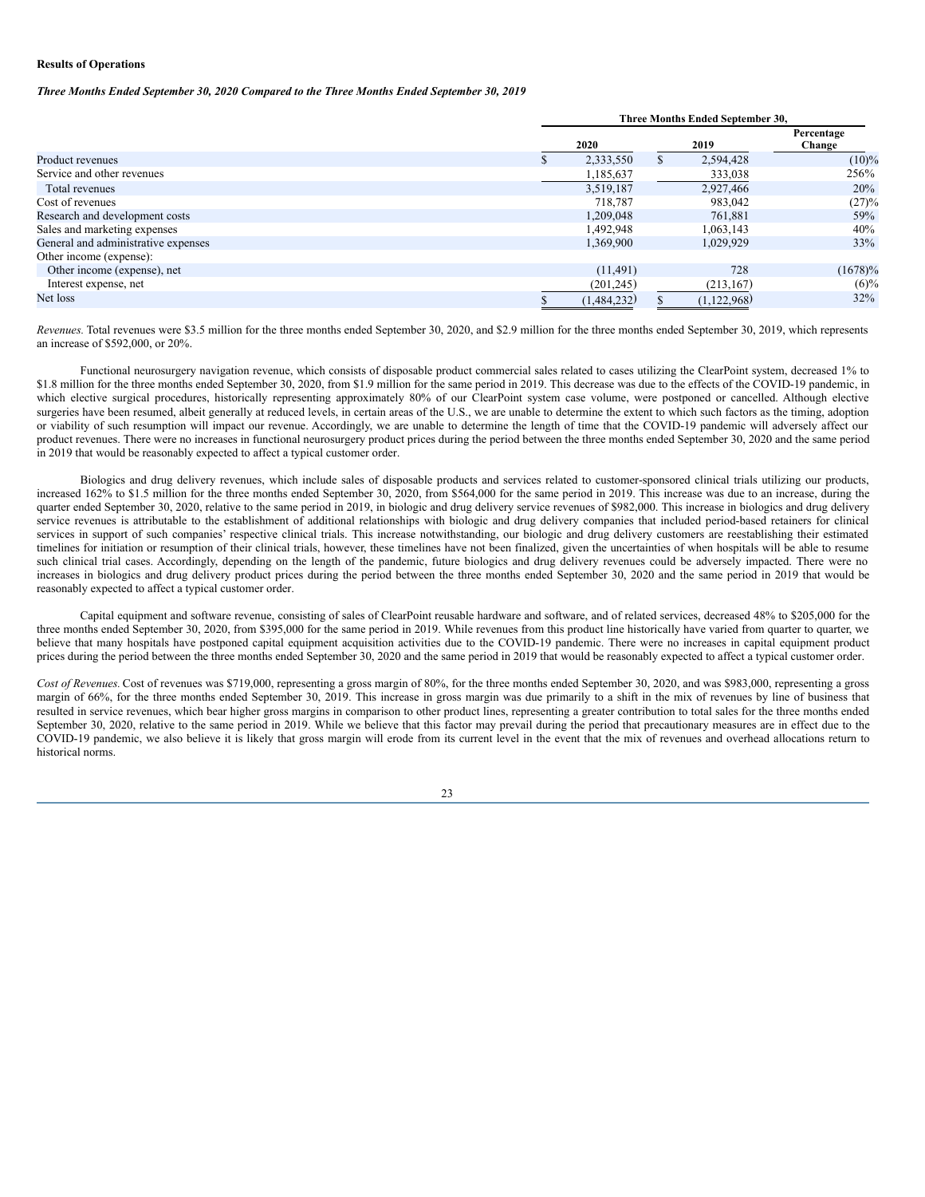## **Results of Operations**

## *Three Months Ended September 30, 2020 Compared to the Three Months Ended September 30, 2019*

|                                     | Three Months Ended September 30, |               |  |             |                      |
|-------------------------------------|----------------------------------|---------------|--|-------------|----------------------|
|                                     |                                  | 2020          |  | 2019        | Percentage<br>Change |
| Product revenues                    |                                  | 2,333,550     |  | 2,594,428   | $(10)\%$             |
| Service and other revenues          |                                  | 1,185,637     |  | 333,038     | 256%                 |
| Total revenues                      |                                  | 3,519,187     |  | 2,927,466   | 20%                  |
| Cost of revenues                    |                                  | 718,787       |  | 983,042     | (27)%                |
| Research and development costs      |                                  | 1.209.048     |  | 761.881     | 59%                  |
| Sales and marketing expenses        |                                  | 1.492.948     |  | 1,063,143   | 40%                  |
| General and administrative expenses |                                  | 1,369,900     |  | 1,029,929   | 33%                  |
| Other income (expense):             |                                  |               |  |             |                      |
| Other income (expense), net         |                                  | (11, 491)     |  | 728         | $(1678)\%$           |
| Interest expense, net               |                                  | (201, 245)    |  | (213, 167)  | $(6)\%$              |
| Net loss                            |                                  | (1, 484, 232) |  | (1,122,968) | 32%                  |

*Revenues.* Total revenues were \$3.5 million for the three months ended September 30, 2020, and \$2.9 million for the three months ended September 30, 2019, which represents an increase of \$592,000, or 20%.

Functional neurosurgery navigation revenue, which consists of disposable product commercial sales related to cases utilizing the ClearPoint system, decreased 1% to \$1.8 million for the three months ended September 30, 2020, from \$1.9 million for the same period in 2019. This decrease was due to the effects of the COVID-19 pandemic, in which elective surgical procedures, historically representing approximately 80% of our ClearPoint system case volume, were postponed or cancelled. Although elective surgeries have been resumed, albeit generally at reduced levels, in certain areas of the U.S., we are unable to determine the extent to which such factors as the timing, adoption or viability of such resumption will impact our revenue. Accordingly, we are unable to determine the length of time that the COVID-19 pandemic will adversely affect our product revenues. There were no increases in functional neurosurgery product prices during the period between the three months ended September 30, 2020 and the same period in 2019 that would be reasonably expected to affect a typical customer order.

Biologics and drug delivery revenues, which include sales of disposable products and services related to customer-sponsored clinical trials utilizing our products, increased 162% to \$1.5 million for the three months ended September 30, 2020, from \$564,000 for the same period in 2019. This increase was due to an increase, during the quarter ended September 30, 2020, relative to the same period in 2019, in biologic and drug delivery service revenues of \$982,000. This increase in biologics and drug delivery service revenues is attributable to the establishment of additional relationships with biologic and drug delivery companies that included period-based retainers for clinical services in support of such companies' respective clinical trials. This increase notwithstanding, our biologic and drug delivery customers are reestablishing their estimated timelines for initiation or resumption of their clinical trials, however, these timelines have not been finalized, given the uncertainties of when hospitals will be able to resume such clinical trial cases. Accordingly, depending on the length of the pandemic, future biologics and drug delivery revenues could be adversely impacted. There were no increases in biologics and drug delivery product prices during the period between the three months ended September 30, 2020 and the same period in 2019 that would be reasonably expected to affect a typical customer order.

Capital equipment and software revenue, consisting of sales of ClearPoint reusable hardware and software, and of related services, decreased 48% to \$205,000 for the three months ended September 30, 2020, from \$395,000 for the same period in 2019. While revenues from this product line historically have varied from quarter to quarter, we believe that many hospitals have postponed capital equipment acquisition activities due to the COVID-19 pandemic. There were no increases in capital equipment product prices during the period between the three months ended September 30, 2020 and the same period in 2019 that would be reasonably expected to affect a typical customer order.

*Cost of Revenues.* Cost of revenues was \$719,000, representing a gross margin of 80%, for the three months ended September 30, 2020, and was \$983,000, representing a gross margin of 66%, for the three months ended September 30, 2019. This increase in gross margin was due primarily to a shift in the mix of revenues by line of business that resulted in service revenues, which bear higher gross margins in comparison to other product lines, representing a greater contribution to total sales for the three months ended September 30, 2020, relative to the same period in 2019. While we believe that this factor may prevail during the period that precautionary measures are in effect due to the COVID-19 pandemic, we also believe it is likely that gross margin will erode from its current level in the event that the mix of revenues and overhead allocations return to historical norms.

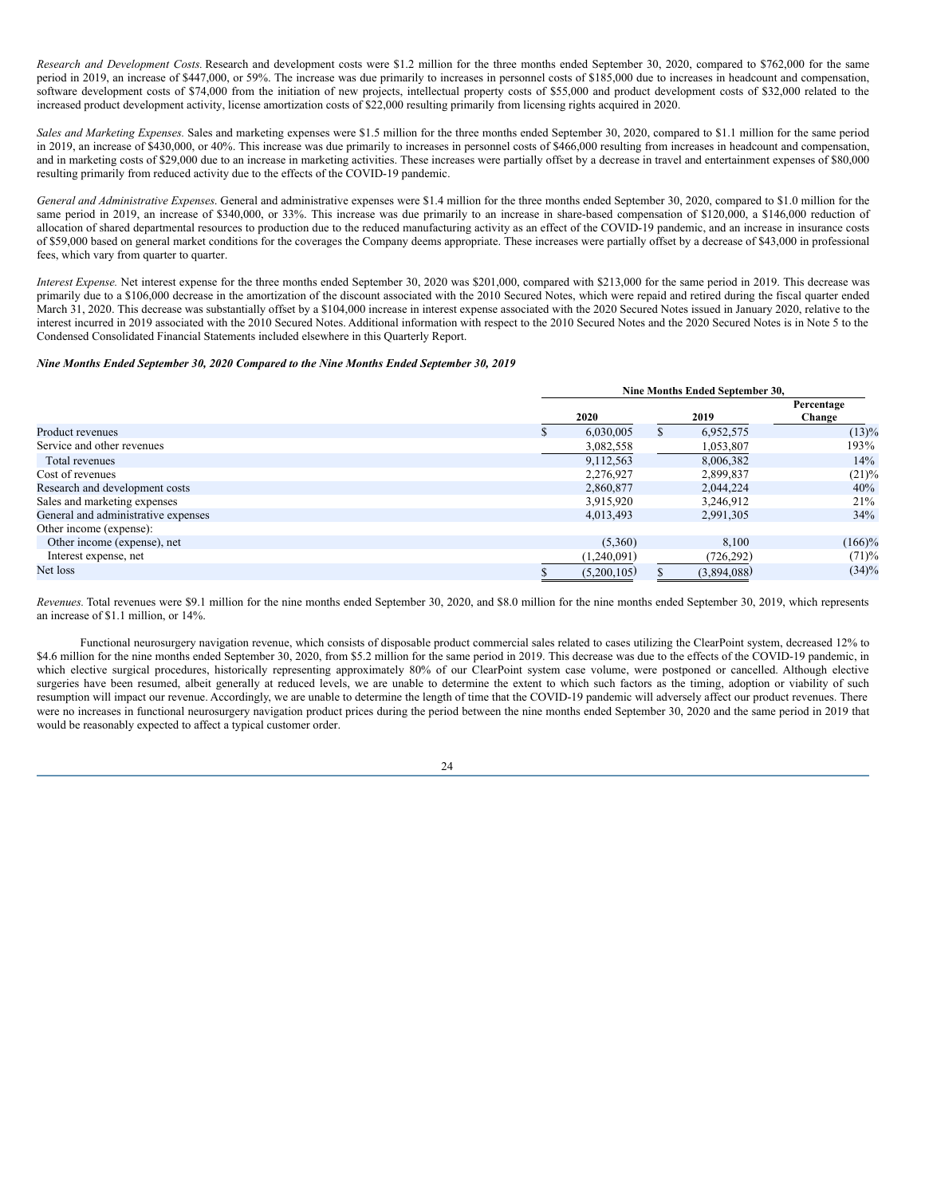*Research and Development Costs.* Research and development costs were \$1.2 million for the three months ended September 30, 2020, compared to \$762,000 for the same period in 2019, an increase of \$447,000, or 59%. The increase was due primarily to increases in personnel costs of \$185,000 due to increases in headcount and compensation, software development costs of \$74,000 from the initiation of new projects, intellectual property costs of \$55,000 and product development costs of \$32,000 related to the increased product development activity, license amortization costs of \$22,000 resulting primarily from licensing rights acquired in 2020.

*Sales and Marketing Expenses.* Sales and marketing expenses were \$1.5 million for the three months ended September 30, 2020, compared to \$1.1 million for the same period in 2019, an increase of \$430,000, or 40%. This increase was due primarily to increases in personnel costs of \$466,000 resulting from increases in headcount and compensation, and in marketing costs of \$29,000 due to an increase in marketing activities. These increases were partially offset by a decrease in travel and entertainment expenses of \$80,000 resulting primarily from reduced activity due to the effects of the COVID-19 pandemic.

*General and Administrative Expenses*. General and administrative expenses were \$1.4 million for the three months ended September 30, 2020, compared to \$1.0 million for the same period in 2019, an increase of \$340,000, or 33%. This increase was due primarily to an increase in share-based compensation of \$120,000, a \$146,000 reduction of allocation of shared departmental resources to production due to the reduced manufacturing activity as an effect of the COVID-19 pandemic, and an increase in insurance costs of \$59,000 based on general market conditions for the coverages the Company deems appropriate. These increases were partially offset by a decrease of \$43,000 in professional fees, which vary from quarter to quarter.

*Interest Expense.* Net interest expense for the three months ended September 30, 2020 was \$201,000, compared with \$213,000 for the same period in 2019. This decrease was primarily due to a \$106,000 decrease in the amortization of the discount associated with the 2010 Secured Notes, which were repaid and retired during the fiscal quarter ended March 31, 2020. This decrease was substantially offset by a \$104,000 increase in interest expense associated with the 2020 Secured Notes issued in January 2020, relative to the interest incurred in 2019 associated with the 2010 Secured Notes. Additional information with respect to the 2010 Secured Notes and the 2020 Secured Notes is in Note 5 to the Condensed Consolidated Financial Statements included elsewhere in this Quarterly Report.

### *Nine Months Ended September 30, 2020 Compared to the Nine Months Ended September 30, 2019*

|                                     | Nine Months Ended September 30, |  |             |                      |  |
|-------------------------------------|---------------------------------|--|-------------|----------------------|--|
|                                     | 2020                            |  | 2019        | Percentage<br>Change |  |
| Product revenues                    | 6.030.005                       |  | 6,952,575   | $(13)\%$             |  |
| Service and other revenues          | 3,082,558                       |  | 1,053,807   | 193%                 |  |
| Total revenues                      | 9,112,563                       |  | 8,006,382   | 14%                  |  |
| Cost of revenues                    | 2,276,927                       |  | 2,899,837   | $(21)\%$             |  |
| Research and development costs      | 2,860,877                       |  | 2,044,224   | 40%                  |  |
| Sales and marketing expenses        | 3,915,920                       |  | 3,246,912   | 21%                  |  |
| General and administrative expenses | 4,013,493                       |  | 2,991,305   | 34%                  |  |
| Other income (expense):             |                                 |  |             |                      |  |
| Other income (expense), net         | (5,360)                         |  | 8.100       | $(166)\%$            |  |
| Interest expense, net               | (1,240,091)                     |  | (726,292)   | (71)%                |  |
| Net loss                            | (5,200,105)                     |  | (3,894,088) | $(34)\%$             |  |

*Revenues.* Total revenues were \$9.1 million for the nine months ended September 30, 2020, and \$8.0 million for the nine months ended September 30, 2019, which represents an increase of \$1.1 million, or 14%.

Functional neurosurgery navigation revenue, which consists of disposable product commercial sales related to cases utilizing the ClearPoint system, decreased 12% to \$4.6 million for the nine months ended September 30, 2020, from \$5.2 million for the same period in 2019. This decrease was due to the effects of the COVID-19 pandemic, in which elective surgical procedures, historically representing approximately 80% of our ClearPoint system case volume, were postponed or cancelled. Although elective surgeries have been resumed, albeit generally at reduced levels, we are unable to determine the extent to which such factors as the timing, adoption or viability of such resumption will impact our revenue. Accordingly, we are unable to determine the length of time that the COVID-19 pandemic will adversely affect our product revenues. There were no increases in functional neurosurgery navigation product prices during the period between the nine months ended September 30, 2020 and the same period in 2019 that would be reasonably expected to affect a typical customer order.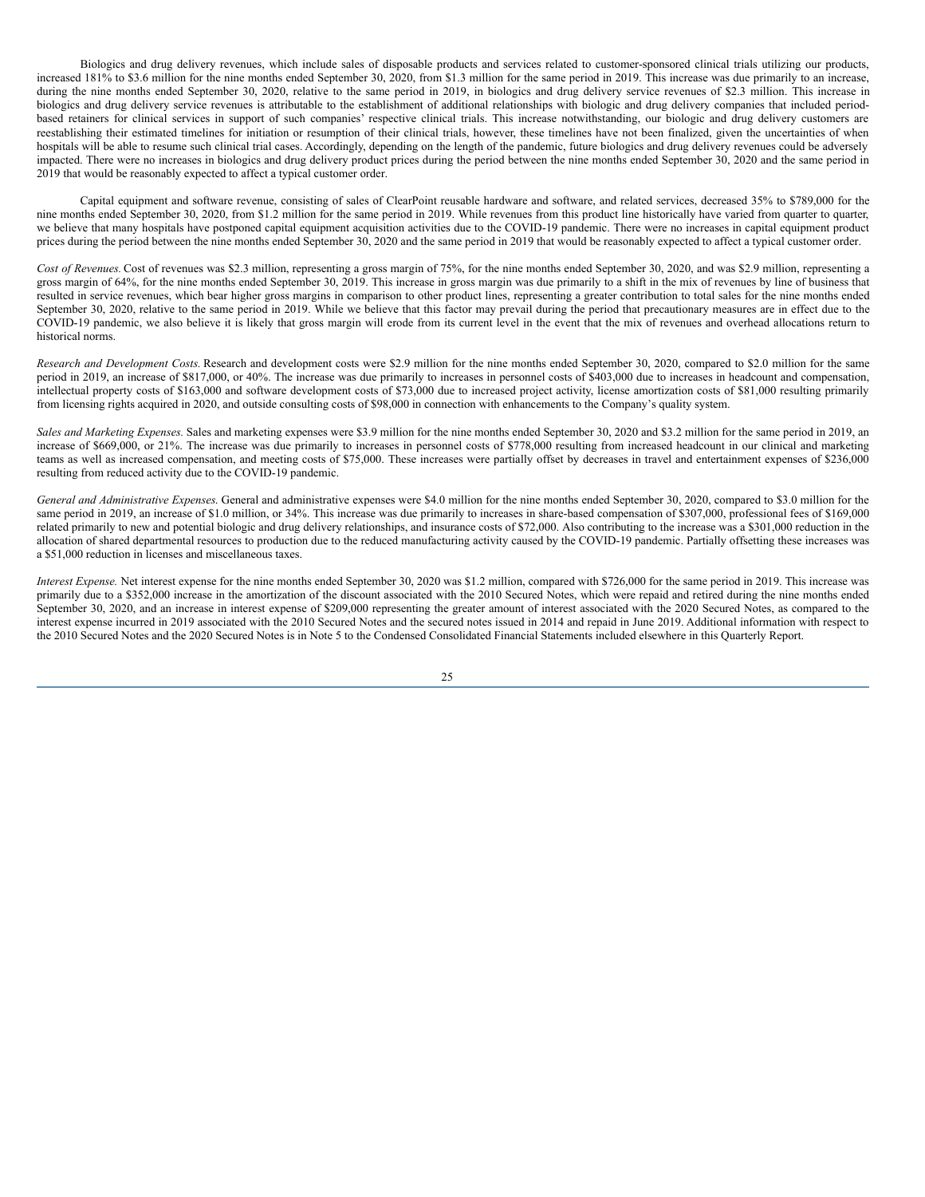Biologics and drug delivery revenues, which include sales of disposable products and services related to customer-sponsored clinical trials utilizing our products, increased 181% to \$3.6 million for the nine months ended September 30, 2020, from \$1.3 million for the same period in 2019. This increase was due primarily to an increase, during the nine months ended September 30, 2020, relative to the same period in 2019, in biologics and drug delivery service revenues of \$2.3 million. This increase in biologics and drug delivery service revenues is attributable to the establishment of additional relationships with biologic and drug delivery companies that included periodbased retainers for clinical services in support of such companies' respective clinical trials. This increase notwithstanding, our biologic and drug delivery customers are reestablishing their estimated timelines for initiation or resumption of their clinical trials, however, these timelines have not been finalized, given the uncertainties of when hospitals will be able to resume such clinical trial cases. Accordingly, depending on the length of the pandemic, future biologics and drug delivery revenues could be adversely impacted. There were no increases in biologics and drug delivery product prices during the period between the nine months ended September 30, 2020 and the same period in 2019 that would be reasonably expected to affect a typical customer order.

Capital equipment and software revenue, consisting of sales of ClearPoint reusable hardware and software, and related services, decreased 35% to \$789,000 for the nine months ended September 30, 2020, from \$1.2 million for the same period in 2019. While revenues from this product line historically have varied from quarter to quarter, we believe that many hospitals have postponed capital equipment acquisition activities due to the COVID-19 pandemic. There were no increases in capital equipment product prices during the period between the nine months ended September 30, 2020 and the same period in 2019 that would be reasonably expected to affect a typical customer order.

*Cost of Revenues.* Cost of revenues was \$2.3 million, representing a gross margin of 75%, for the nine months ended September 30, 2020, and was \$2.9 million, representing a gross margin of 64%, for the nine months ended September 30, 2019. This increase in gross margin was due primarily to a shift in the mix of revenues by line of business that resulted in service revenues, which bear higher gross margins in comparison to other product lines, representing a greater contribution to total sales for the nine months ended September 30, 2020, relative to the same period in 2019. While we believe that this factor may prevail during the period that precautionary measures are in effect due to the COVID-19 pandemic, we also believe it is likely that gross margin will erode from its current level in the event that the mix of revenues and overhead allocations return to historical norms.

*Research and Development Costs.* Research and development costs were \$2.9 million for the nine months ended September 30, 2020, compared to \$2.0 million for the same period in 2019, an increase of \$817,000, or 40%. The increase was due primarily to increases in personnel costs of \$403,000 due to increases in headcount and compensation, intellectual property costs of \$163,000 and software development costs of \$73,000 due to increased project activity, license amortization costs of \$81,000 resulting primarily from licensing rights acquired in 2020, and outside consulting costs of \$98,000 in connection with enhancements to the Company's quality system.

*Sales and Marketing Expenses.* Sales and marketing expenses were \$3.9 million for the nine months ended September 30, 2020 and \$3.2 million for the same period in 2019, an increase of \$669,000, or 21%. The increase was due primarily to increases in personnel costs of \$778,000 resulting from increased headcount in our clinical and marketing teams as well as increased compensation, and meeting costs of \$75,000. These increases were partially offset by decreases in travel and entertainment expenses of \$236,000 resulting from reduced activity due to the COVID-19 pandemic.

*General and Administrative Expenses*. General and administrative expenses were \$4.0 million for the nine months ended September 30, 2020, compared to \$3.0 million for the same period in 2019, an increase of \$1.0 million, or 34%. This increase was due primarily to increases in share-based compensation of \$307,000, professional fees of \$169,000 related primarily to new and potential biologic and drug delivery relationships, and insurance costs of \$72,000. Also contributing to the increase was a \$301,000 reduction in the allocation of shared departmental resources to production due to the reduced manufacturing activity caused by the COVID-19 pandemic. Partially offsetting these increases was a \$51,000 reduction in licenses and miscellaneous taxes.

*Interest Expense.* Net interest expense for the nine months ended September 30, 2020 was \$1.2 million, compared with \$726,000 for the same period in 2019. This increase was primarily due to a \$352,000 increase in the amortization of the discount associated with the 2010 Secured Notes, which were repaid and retired during the nine months ended September 30, 2020, and an increase in interest expense of \$209,000 representing the greater amount of interest associated with the 2020 Secured Notes, as compared to the interest expense incurred in 2019 associated with the 2010 Secured Notes and the secured notes issued in 2014 and repaid in June 2019. Additional information with respect to the 2010 Secured Notes and the 2020 Secured Notes is in Note 5 to the Condensed Consolidated Financial Statements included elsewhere in this Quarterly Report.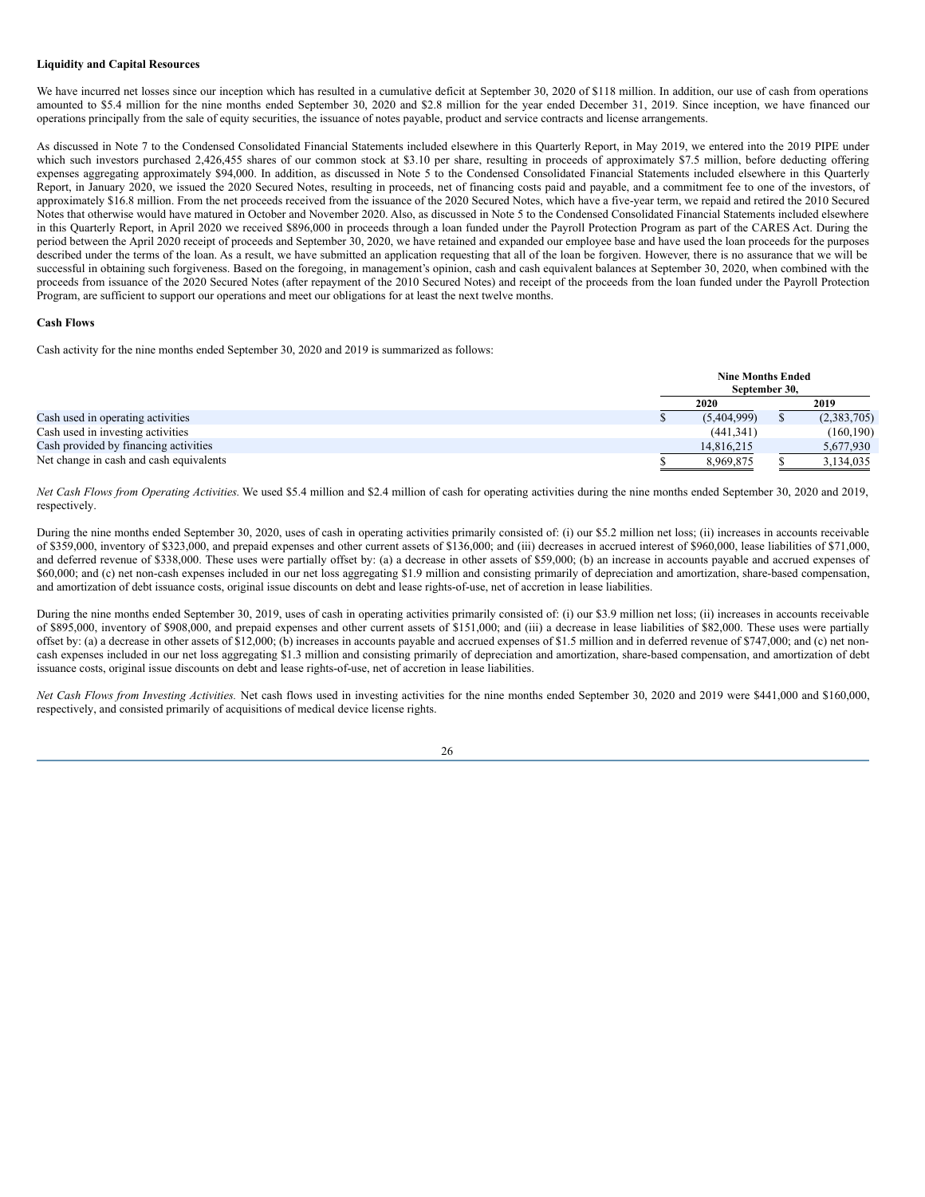## **Liquidity and Capital Resources**

We have incurred net losses since our inception which has resulted in a cumulative deficit at September 30, 2020 of \$118 million. In addition, our use of cash from operations amounted to \$5.4 million for the nine months ended September 30, 2020 and \$2.8 million for the year ended December 31, 2019. Since inception, we have financed our operations principally from the sale of equity securities, the issuance of notes payable, product and service contracts and license arrangements.

As discussed in Note 7 to the Condensed Consolidated Financial Statements included elsewhere in this Quarterly Report, in May 2019, we entered into the 2019 PIPE under which such investors purchased 2,426,455 shares of our common stock at \$3.10 per share, resulting in proceeds of approximately \$7.5 million, before deducting offering expenses aggregating approximately \$94,000. In addition, as discussed in Note 5 to the Condensed Consolidated Financial Statements included elsewhere in this Quarterly Report, in January 2020, we issued the 2020 Secured Notes, resulting in proceeds, net of financing costs paid and payable, and a commitment fee to one of the investors, of approximately \$16.8 million. From the net proceeds received from the issuance of the 2020 Secured Notes, which have a five-year term, we repaid and retired the 2010 Secured Notes that otherwise would have matured in October and November 2020. Also, as discussed in Note 5 to the Condensed Consolidated Financial Statements included elsewhere in this Quarterly Report, in April 2020 we received \$896,000 in proceeds through a loan funded under the Payroll Protection Program as part of the CARES Act. During the period between the April 2020 receipt of proceeds and September 30, 2020, we have retained and expanded our employee base and have used the loan proceeds for the purposes described under the terms of the loan. As a result, we have submitted an application requesting that all of the loan be forgiven. However, there is no assurance that we will be successful in obtaining such forgiveness. Based on the foregoing, in management's opinion, cash and cash equivalent balances at September 30, 2020, when combined with the proceeds from issuance of the 2020 Secured Notes (after repayment of the 2010 Secured Notes) and receipt of the proceeds from the loan funded under the Payroll Protection Program, are sufficient to support our operations and meet our obligations for at least the next twelve months.

#### **Cash Flows**

Cash activity for the nine months ended September 30, 2020 and 2019 is summarized as follows:

|                                         | <b>Nine Months Ended</b><br>September 30. |  |             |
|-----------------------------------------|-------------------------------------------|--|-------------|
|                                         | 2020                                      |  | 2019        |
| Cash used in operating activities       | (5,404,999)                               |  | (2,383,705) |
| Cash used in investing activities       | (441, 341)                                |  | (160, 190)  |
| Cash provided by financing activities   | 14,816,215                                |  | 5,677,930   |
| Net change in cash and cash equivalents | 8.969.875                                 |  | 3,134,035   |

*Net Cash Flows from Operating Activities.* We used \$5.4 million and \$2.4 million of cash for operating activities during the nine months ended September 30, 2020 and 2019, respectively.

During the nine months ended September 30, 2020, uses of cash in operating activities primarily consisted of: (i) our \$5.2 million net loss; (ii) increases in accounts receivable of \$359,000, inventory of \$323,000, and prepaid expenses and other current assets of \$136,000; and (iii) decreases in accrued interest of \$960,000, lease liabilities of \$71,000, and deferred revenue of \$338,000. These uses were partially offset by: (a) a decrease in other assets of \$59,000; (b) an increase in accounts payable and accrued expenses of \$60,000; and (c) net non-cash expenses included in our net loss aggregating \$1.9 million and consisting primarily of depreciation and amortization, share-based compensation, and amortization of debt issuance costs, original issue discounts on debt and lease rights-of-use, net of accretion in lease liabilities.

During the nine months ended September 30, 2019, uses of cash in operating activities primarily consisted of: (i) our \$3.9 million net loss; (ii) increases in accounts receivable of \$895,000, inventory of \$908,000, and prepaid expenses and other current assets of \$151,000; and (iii) a decrease in lease liabilities of \$82,000. These uses were partially offset by: (a) a decrease in other assets of \$12,000; (b) increases in accounts payable and accrued expenses of \$1.5 million and in deferred revenue of \$747,000; and (c) net noncash expenses included in our net loss aggregating \$1.3 million and consisting primarily of depreciation and amortization, share-based compensation, and amortization of debt issuance costs, original issue discounts on debt and lease rights-of-use, net of accretion in lease liabilities.

*Net Cash Flows from Investing Activities.* Net cash flows used in investing activities for the nine months ended September 30, 2020 and 2019 were \$441,000 and \$160,000, respectively, and consisted primarily of acquisitions of medical device license rights.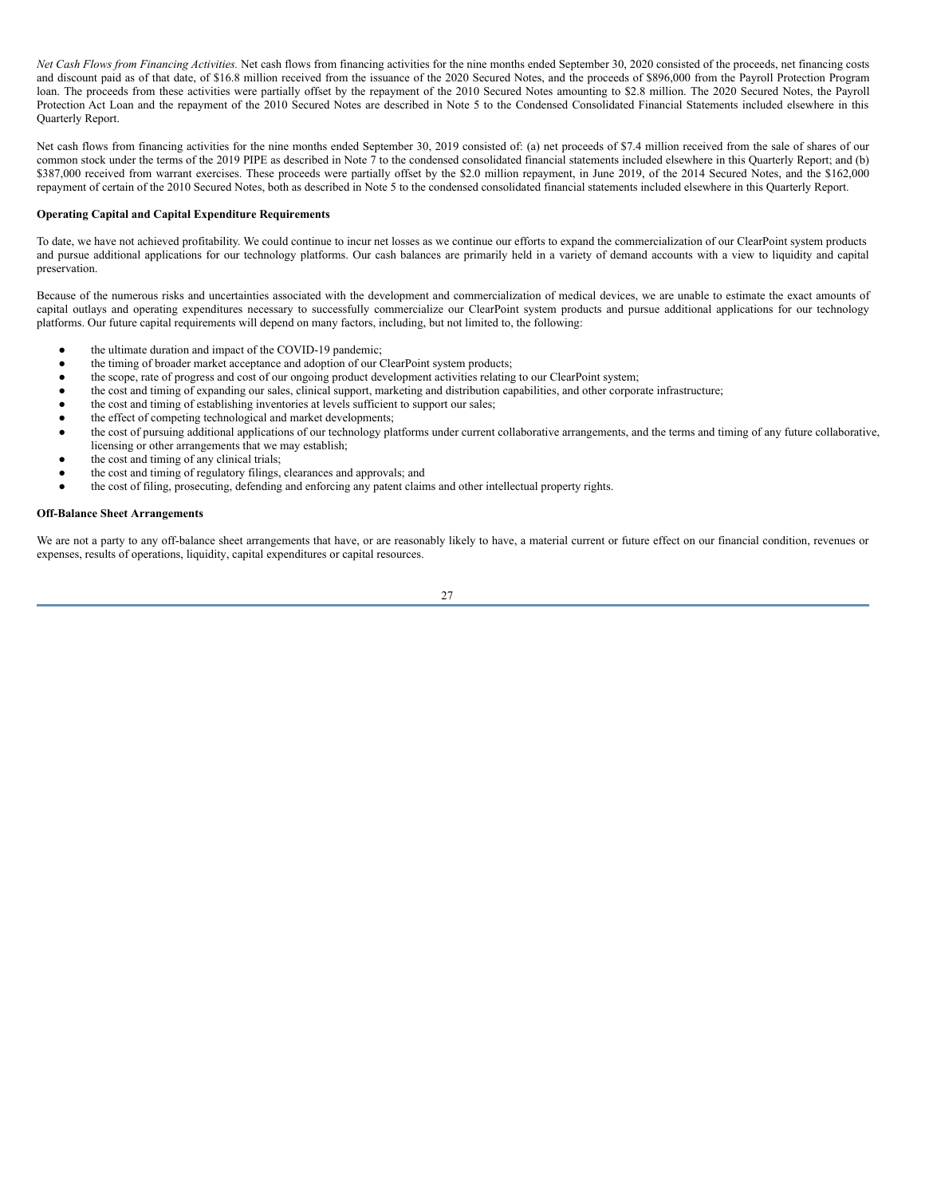*Net Cash Flows from Financing Activities.* Net cash flows from financing activities for the nine months ended September 30, 2020 consisted of the proceeds, net financing costs and discount paid as of that date, of \$16.8 million received from the issuance of the 2020 Secured Notes, and the proceeds of \$896,000 from the Payroll Protection Program loan. The proceeds from these activities were partially offset by the repayment of the 2010 Secured Notes amounting to \$2.8 million. The 2020 Secured Notes, the Payroll Protection Act Loan and the repayment of the 2010 Secured Notes are described in Note 5 to the Condensed Consolidated Financial Statements included elsewhere in this Quarterly Report.

Net cash flows from financing activities for the nine months ended September 30, 2019 consisted of: (a) net proceeds of \$7.4 million received from the sale of shares of our common stock under the terms of the 2019 PIPE as described in Note  $\overline{7}$  to the condensed consolidated financial statements included elsewhere in this Quarterly Report; and (b) \$387,000 received from warrant exercises. These proceeds were partially offset by the \$2.0 million repayment, in June 2019, of the 2014 Secured Notes, and the \$162,000 repayment of certain of the 2010 Secured Notes, both as described in Note 5 to the condensed consolidated financial statements included elsewhere in this Quarterly Report.

## **Operating Capital and Capital Expenditure Requirements**

To date, we have not achieved profitability. We could continue to incur net losses as we continue our efforts to expand the commercialization of our ClearPoint system products and pursue additional applications for our technology platforms. Our cash balances are primarily held in a variety of demand accounts with a view to liquidity and capital preservation.

Because of the numerous risks and uncertainties associated with the development and commercialization of medical devices, we are unable to estimate the exact amounts of capital outlays and operating expenditures necessary to successfully commercialize our ClearPoint system products and pursue additional applications for our technology platforms. Our future capital requirements will depend on many factors, including, but not limited to, the following:

- the ultimate duration and impact of the COVID-19 pandemic;
- the timing of broader market acceptance and adoption of our ClearPoint system products;
- the scope, rate of progress and cost of our ongoing product development activities relating to our ClearPoint system;
- the cost and timing of expanding our sales, clinical support, marketing and distribution capabilities, and other corporate infrastructure;
- the cost and timing of establishing inventories at levels sufficient to support our sales;
- the effect of competing technological and market developments;
- the cost of pursuing additional applications of our technology platforms under current collaborative arrangements, and the terms and timing of any future collaborative, licensing or other arrangements that we may establish;
- the cost and timing of any clinical trials;
- the cost and timing of regulatory filings, clearances and approvals; and
- the cost of filing, prosecuting, defending and enforcing any patent claims and other intellectual property rights.

## **Off-Balance Sheet Arrangements**

We are not a party to any off-balance sheet arrangements that have, or are reasonably likely to have, a material current or future effect on our financial condition, revenues or expenses, results of operations, liquidity, capital expenditures or capital resources.

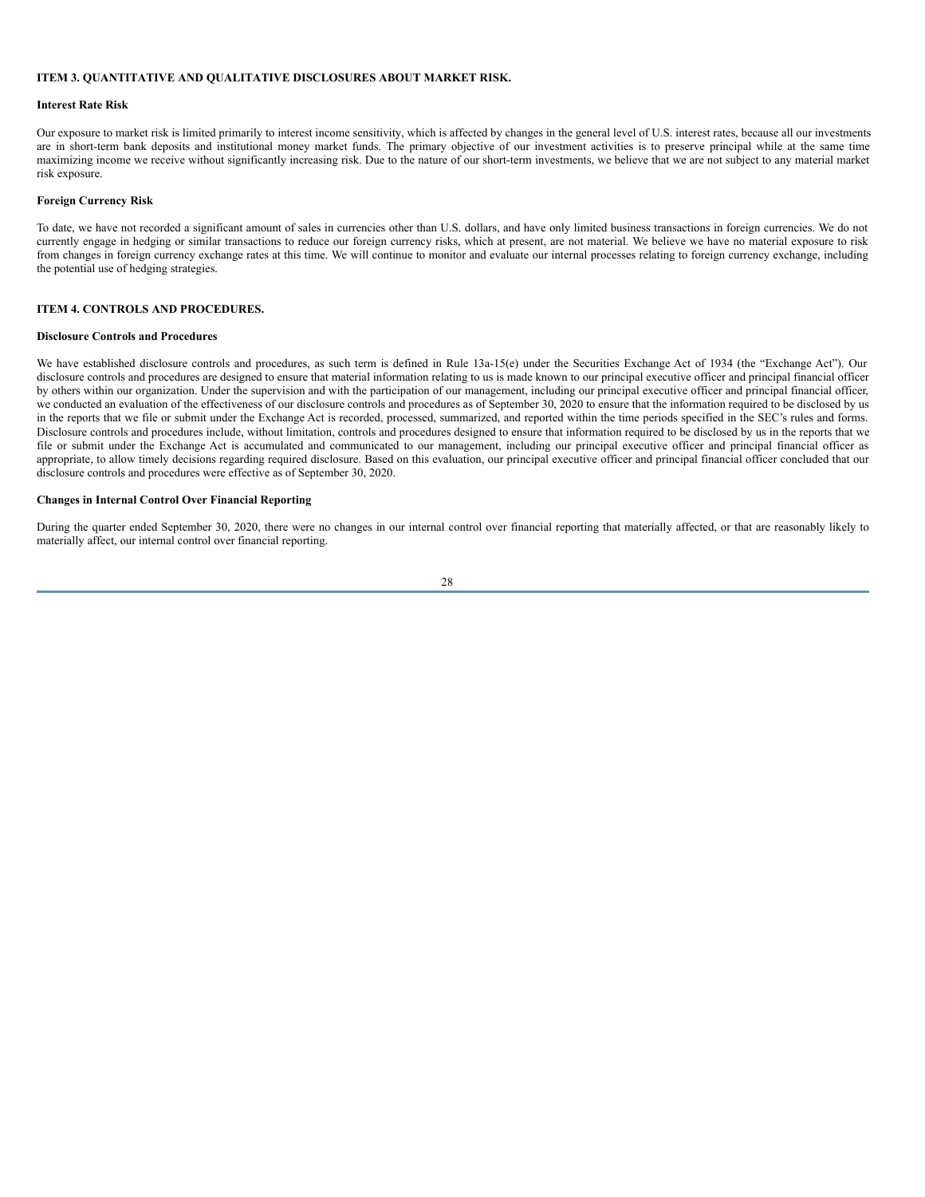#### <span id="page-27-0"></span>**ITEM 3. QUANTITATIVE AND QUALITATIVE DISCLOSURES ABOUT MARKET RISK.**

## **Interest Rate Risk**

Our exposure to market risk is limited primarily to interest income sensitivity, which is affected by changes in the general level of U.S. interest rates, because all our investments are in short-term bank deposits and institutional money market funds. The primary objective of our investment activities is to preserve principal while at the same time maximizing income we receive without significantly increasing risk. Due to the nature of our short-term investments, we believe that we are not subject to any material market risk exposure.

## **Foreign Currency Risk**

To date, we have not recorded a significant amount of sales in currencies other than U.S. dollars, and have only limited business transactions in foreign currencies. We do not currently engage in hedging or similar transactions to reduce our foreign currency risks, which at present, are not material. We believe we have no material exposure to risk from changes in foreign currency exchange rates at this time. We will continue to monitor and evaluate our internal processes relating to foreign currency exchange, including the potential use of hedging strategies.

# <span id="page-27-1"></span>**ITEM 4. CONTROLS AND PROCEDURES.**

## **Disclosure Controls and Procedures**

We have established disclosure controls and procedures, as such term is defined in Rule 13a-15(e) under the Securities Exchange Act of 1934 (the "Exchange Act"). Our disclosure controls and procedures are designed to ensure that material information relating to us is made known to our principal executive officer and principal financial officer by others within our organization. Under the supervision and with the participation of our management, including our principal executive officer and principal financial officer, we conducted an evaluation of the effectiveness of our disclosure controls and procedures as of September 30, 2020 to ensure that the information required to be disclosed by us in the reports that we file or submit under the Exchange Act is recorded, processed, summarized, and reported within the time periods specified in the SEC's rules and forms. Disclosure controls and procedures include, without limitation, controls and procedures designed to ensure that information required to be disclosed by us in the reports that we file or submit under the Exchange Act is accumulated and communicated to our management, including our principal executive officer and principal financial officer as appropriate, to allow timely decisions regarding required disclosure. Based on this evaluation, our principal executive officer and principal financial officer concluded that our disclosure controls and procedures were effective as of September 30, 2020.

## **Changes in Internal Control Over Financial Reporting**

During the quarter ended September 30, 2020, there were no changes in our internal control over financial reporting that materially affected, or that are reasonably likely to materially affect, our internal control over financial reporting.

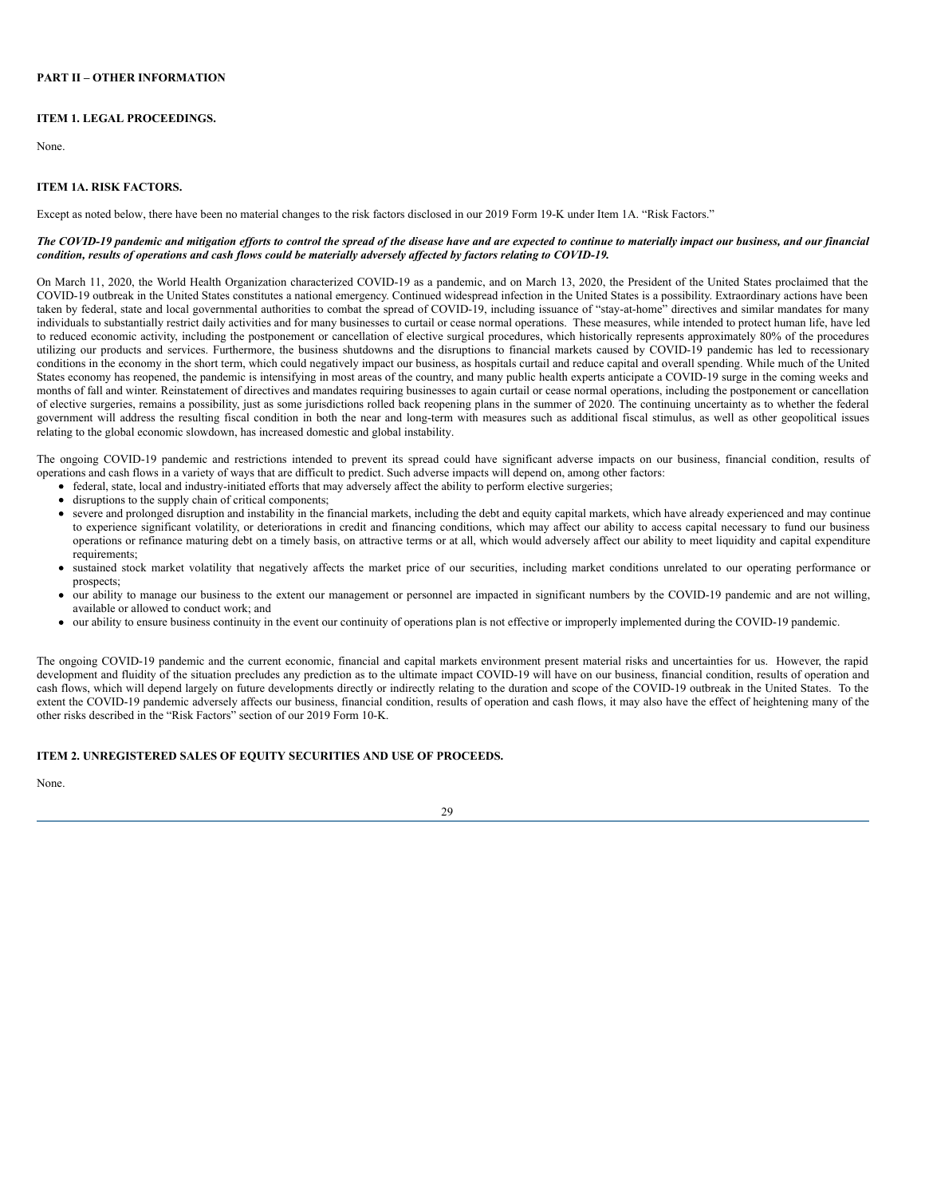## <span id="page-28-0"></span>**PART II – OTHER INFORMATION**

## <span id="page-28-1"></span>**ITEM 1. LEGAL PROCEEDINGS.**

None.

## <span id="page-28-2"></span>**ITEM 1A. RISK FACTORS.**

Except as noted below, there have been no material changes to the risk factors disclosed in our 2019 Form 19-K under Item 1A. "Risk Factors."

## The COVID-19 pandemic and mitigation efforts to control the spread of the disease have and are expected to continue to materially impact our business, and our financial condition, results of operations and cash flows could be materially adversely affected by factors relating to COVID-19.

On March 11, 2020, the World Health Organization characterized COVID-19 as a pandemic, and on March 13, 2020, the President of the United States proclaimed that the COVID-19 outbreak in the United States constitutes a national emergency. Continued widespread infection in the United States is a possibility. Extraordinary actions have been taken by federal, state and local governmental authorities to combat the spread of COVID-19, including issuance of "stay-at-home" directives and similar mandates for many individuals to substantially restrict daily activities and for many businesses to curtail or cease normal operations. These measures, while intended to protect human life, have led to reduced economic activity, including the postponement or cancellation of elective surgical procedures, which historically represents approximately 80% of the procedures utilizing our products and services. Furthermore, the business shutdowns and the disruptions to financial markets caused by COVID-19 pandemic has led to recessionary conditions in the economy in the short term, which could negatively impact our business, as hospitals curtail and reduce capital and overall spending. While much of the United States economy has reopened, the pandemic is intensifying in most areas of the country, and many public health experts anticipate a COVID-19 surge in the coming weeks and months of fall and winter. Reinstatement of directives and mandates requiring businesses to again curtail or cease normal operations, including the postponement or cancellation of elective surgeries, remains a possibility, just as some jurisdictions rolled back reopening plans in the summer of 2020. The continuing uncertainty as to whether the federal government will address the resulting fiscal condition in both the near and long-term with measures such as additional fiscal stimulus, as well as other geopolitical issues relating to the global economic slowdown, has increased domestic and global instability.

The ongoing COVID-19 pandemic and restrictions intended to prevent its spread could have significant adverse impacts on our business, financial condition, results of operations and cash flows in a variety of ways that are difficult to predict. Such adverse impacts will depend on, among other factors:

- federal, state, local and industry-initiated efforts that may adversely affect the ability to perform elective surgeries;
- disruptions to the supply chain of critical components;
- severe and prolonged disruption and instability in the financial markets, including the debt and equity capital markets, which have already experienced and may continue  $\bullet$ to experience significant volatility, or deteriorations in credit and financing conditions, which may affect our ability to access capital necessary to fund our business operations or refinance maturing debt on a timely basis, on attractive terms or at all, which would adversely affect our ability to meet liquidity and capital expenditure requirements;
- sustained stock market volatility that negatively affects the market price of our securities, including market conditions unrelated to our operating performance or prospects;
- our ability to manage our business to the extent our management or personnel are impacted in significant numbers by the COVID-19 pandemic and are not willing, available or allowed to conduct work; and
- our ability to ensure business continuity in the event our continuity of operations plan is not effective or improperly implemented during the COVID-19 pandemic.

The ongoing COVID-19 pandemic and the current economic, financial and capital markets environment present material risks and uncertainties for us. However, the rapid development and fluidity of the situation precludes any prediction as to the ultimate impact COVID-19 will have on our business, financial condition, results of operation and cash flows, which will depend largely on future developments directly or indirectly relating to the duration and scope of the COVID-19 outbreak in the United States. To the extent the COVID-19 pandemic adversely affects our business, financial condition, results of operation and cash flows, it may also have the effect of heightening many of the other risks described in the "Risk Factors" section of our 2019 Form 10-K.

# <span id="page-28-3"></span>**ITEM 2. UNREGISTERED SALES OF EQUITY SECURITIES AND USE OF PROCEEDS.**

None.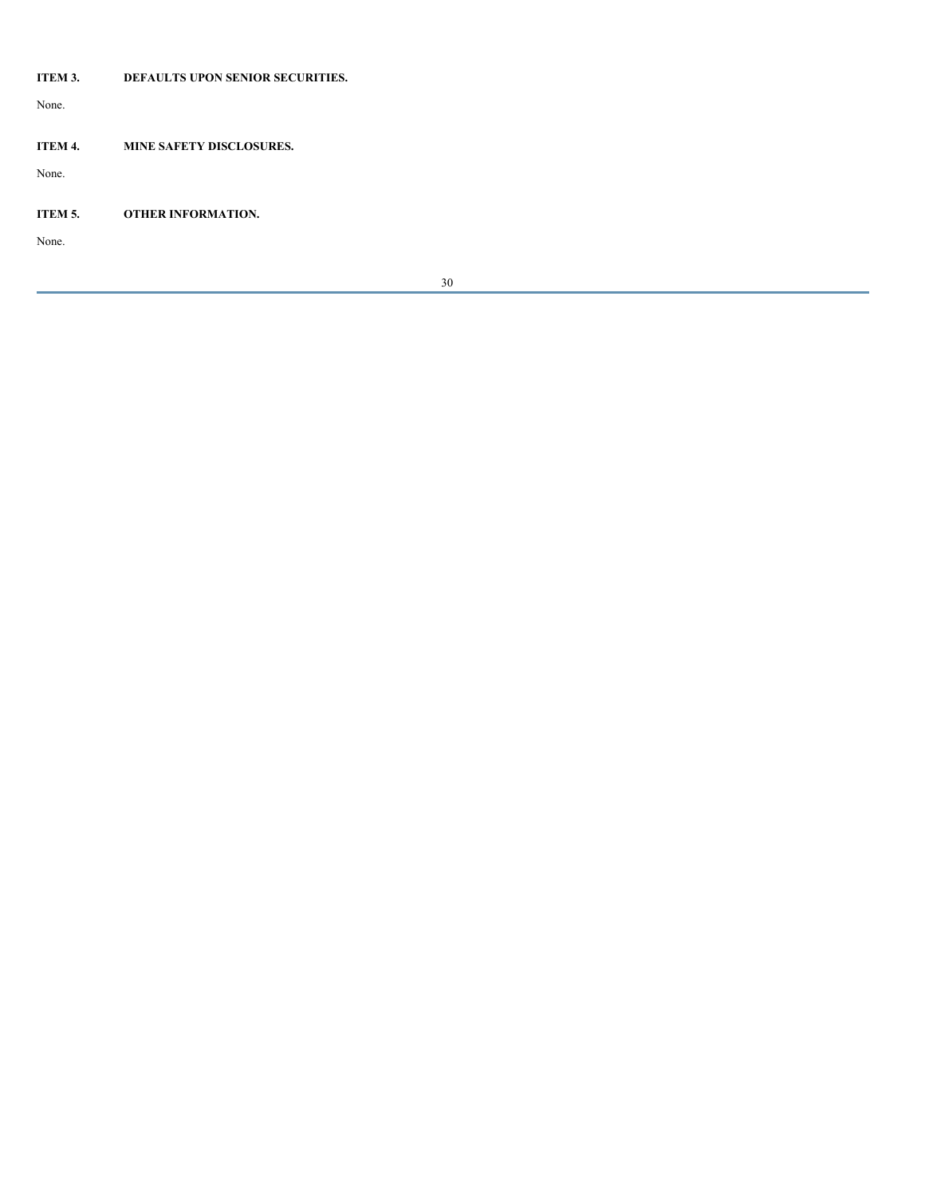# <span id="page-29-0"></span>**ITEM 3. DEFAULTS UPON SENIOR SECURITIES.**

None.

# <span id="page-29-1"></span>**ITEM 4. MINE SAFETY DISCLOSURES.**

None.

# <span id="page-29-2"></span>**ITEM 5. OTHER INFORMATION.**

None.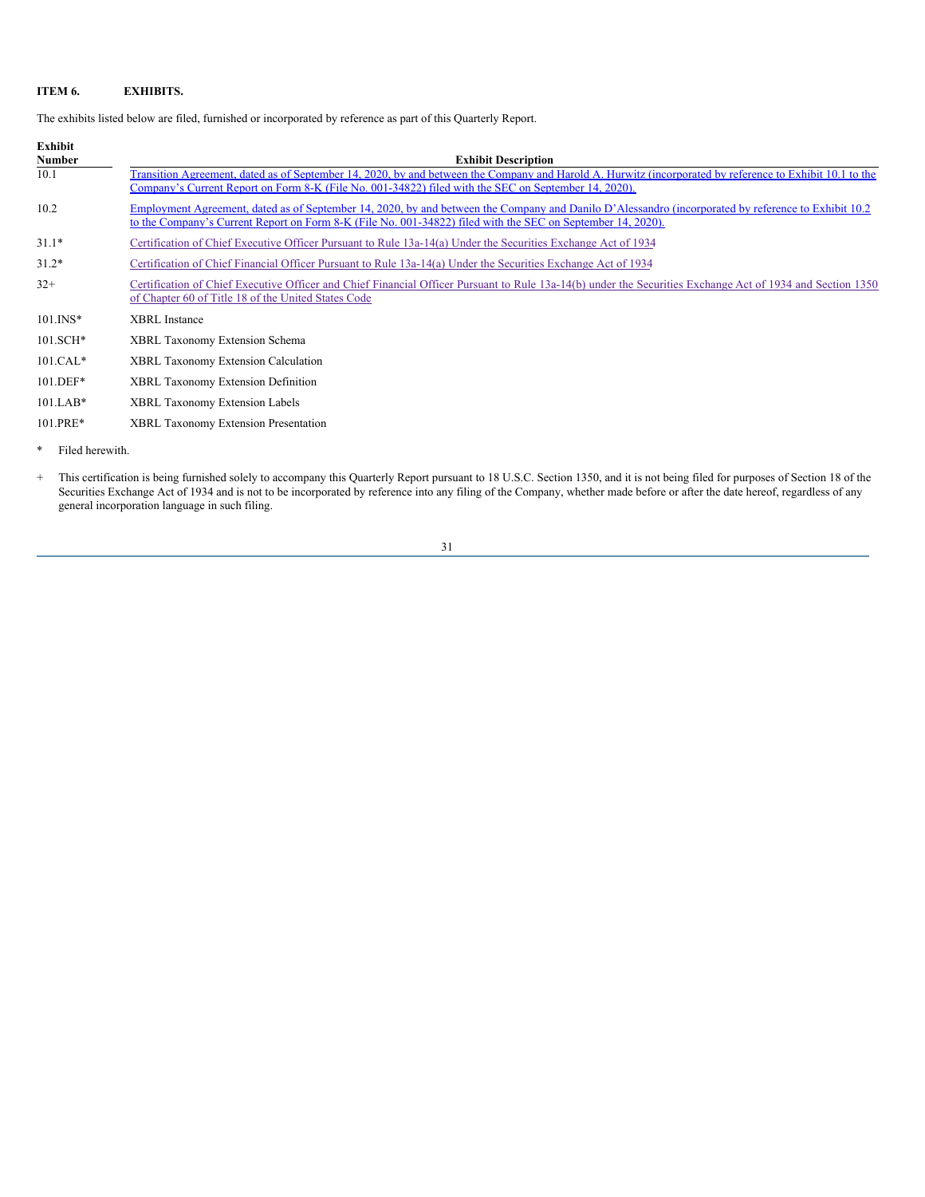# <span id="page-30-0"></span>**ITEM 6. EXHIBITS.**

The exhibits listed below are filed, furnished or incorporated by reference as part of this Quarterly Report.

| <b>Exhibit</b> |                                                                                                                                                            |
|----------------|------------------------------------------------------------------------------------------------------------------------------------------------------------|
| Number         | <b>Exhibit Description</b>                                                                                                                                 |
| 10.1           | Transition Agreement, dated as of September 14, 2020, by and between the Company and Harold A. Hurwitz (incorporated by reference to Exhibit 10.1 to the   |
|                | Company's Current Report on Form 8-K (File No. 001-34822) filed with the SEC on September 14, 2020).                                                       |
| 10.2           | Employment Agreement, dated as of September 14, 2020, by and between the Company and Danilo D'Alessandro (incorporated by reference to Exhibit 10.2)       |
|                | to the Company's Current Report on Form 8-K (File No. 001-34822) filed with the SEC on September 14, 2020).                                                |
| $31.1*$        | Certification of Chief Executive Officer Pursuant to Rule 13a-14(a) Under the Securities Exchange Act of 1934                                              |
| $31.2*$        | Certification of Chief Financial Officer Pursuant to Rule 13a-14(a) Under the Securities Exchange Act of 1934                                              |
| $32+$          | Certification of Chief Executive Officer and Chief Financial Officer Pursuant to Rule 13a-14(b) under the Securities Exchange Act of 1934 and Section 1350 |
|                | of Chapter 60 of Title 18 of the United States Code                                                                                                        |
| $101$ . INS*   | <b>XBRL</b> Instance                                                                                                                                       |
| $101.SCH*$     | <b>XBRL Taxonomy Extension Schema</b>                                                                                                                      |
| $101.CAL*$     | <b>XBRL Taxonomy Extension Calculation</b>                                                                                                                 |
| $101.DEF*$     | <b>XBRL Taxonomy Extension Definition</b>                                                                                                                  |
| $101.LAB*$     | <b>XBRL Taxonomy Extension Labels</b>                                                                                                                      |
| 101.PRE*       | <b>XBRL Taxonomy Extension Presentation</b>                                                                                                                |

\* Filed herewith.

+ This certification is being furnished solely to accompany this Quarterly Report pursuant to 18 U.S.C. Section 1350, and it is not being filed for purposes of Section 18 of the Securities Exchange Act of 1934 and is not to be incorporated by reference into any filing of the Company, whether made before or after the date hereof, regardless of any general incorporation language in such filing.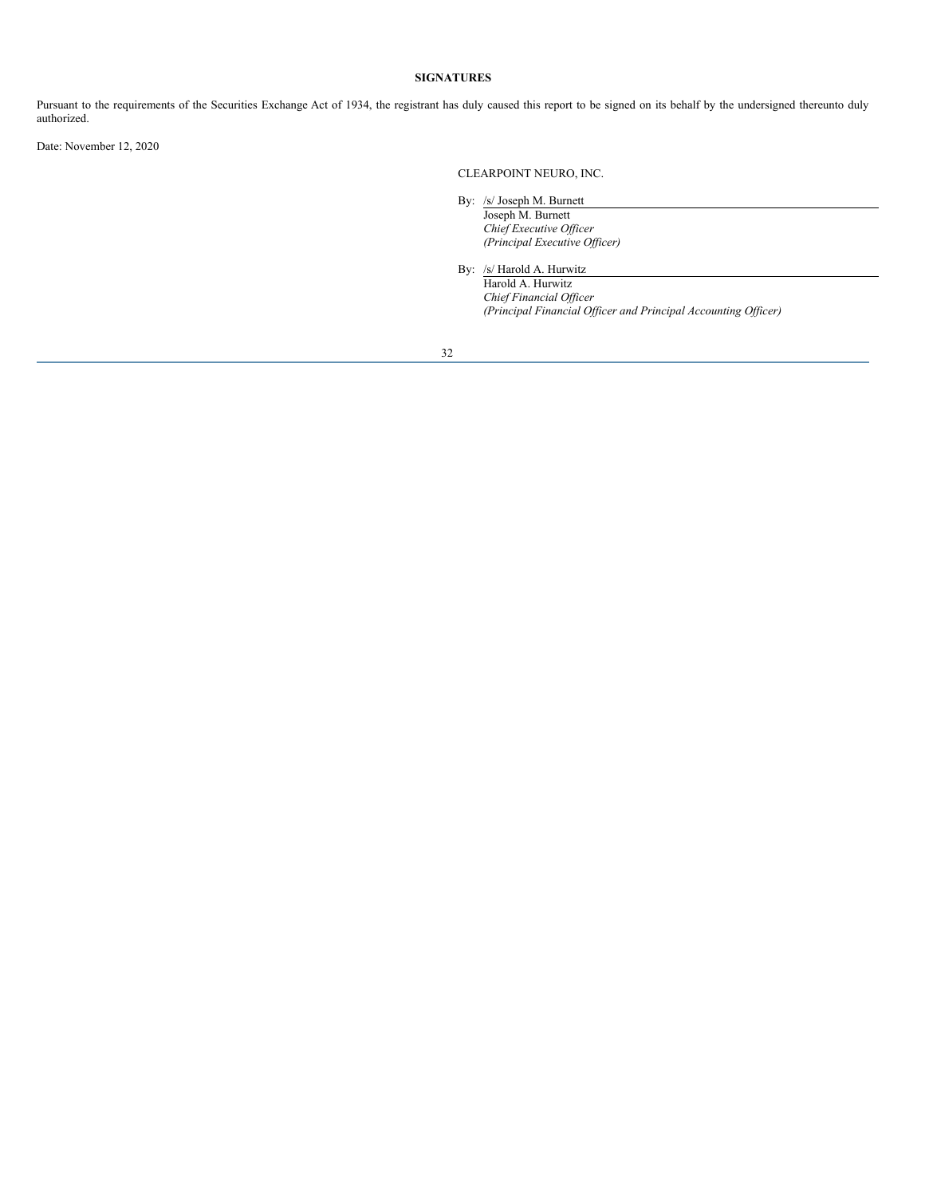# **SIGNATURES**

<span id="page-31-0"></span>Pursuant to the requirements of the Securities Exchange Act of 1934, the registrant has duly caused this report to be signed on its behalf by the undersigned thereunto duly authorized.

Date: November 12, 2020

CLEARPOINT NEURO, INC.

By: /s/ Joseph M. Burnett

Joseph M. Burnett *Chief Executive Of icer (Principal Executive Of icer)*

By: /s/ Harold A. Hurwitz Harold A. Hurwitz *Chief Financial Of icer (Principal Financial Of icer and Principal Accounting Of icer)*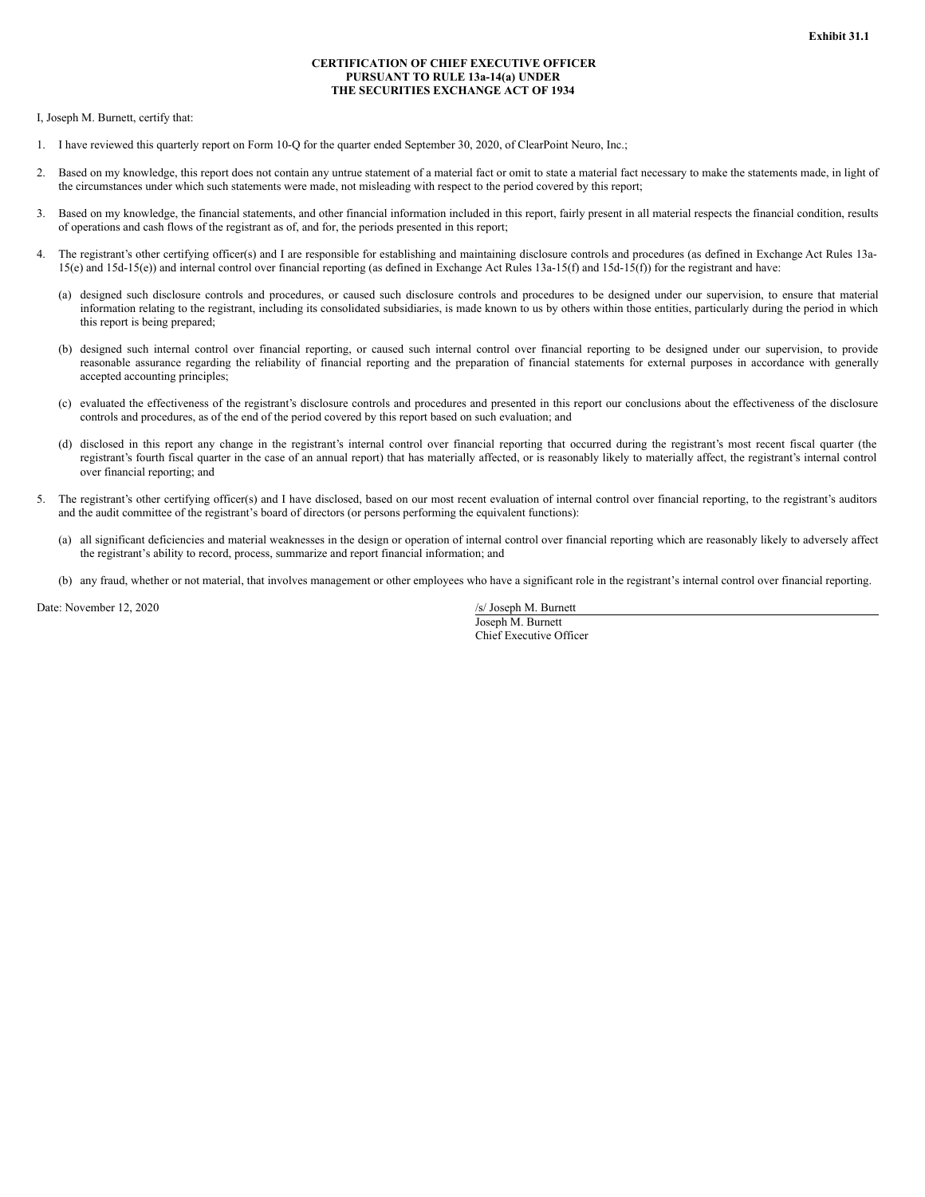#### **CERTIFICATION OF CHIEF EXECUTIVE OFFICER PURSUANT TO RULE 13a-14(a) UNDER THE SECURITIES EXCHANGE ACT OF 1934**

<span id="page-32-0"></span>I, Joseph M. Burnett, certify that:

- 1. I have reviewed this quarterly report on Form 10-Q for the quarter ended September 30, 2020, of ClearPoint Neuro, Inc.;
- 2. Based on my knowledge, this report does not contain any untrue statement of a material fact or omit to state a material fact necessary to make the statements made, in light of the circumstances under which such statements were made, not misleading with respect to the period covered by this report;
- 3. Based on my knowledge, the financial statements, and other financial information included in this report, fairly present in all material respects the financial condition, results of operations and cash flows of the registrant as of, and for, the periods presented in this report;
- 4. The registrant's other certifying officer(s) and I are responsible for establishing and maintaining disclosure controls and procedures (as defined in Exchange Act Rules 13a-15(e) and 15d-15(e)) and internal control over financial reporting (as defined in Exchange Act Rules 13a-15(f) and 15d-15(f)) for the registrant and have:
	- (a) designed such disclosure controls and procedures, or caused such disclosure controls and procedures to be designed under our supervision, to ensure that material information relating to the registrant, including its consolidated subsidiaries, is made known to us by others within those entities, particularly during the period in which this report is being prepared;
	- (b) designed such internal control over financial reporting, or caused such internal control over financial reporting to be designed under our supervision, to provide reasonable assurance regarding the reliability of financial reporting and the preparation of financial statements for external purposes in accordance with generally accepted accounting principles;
	- (c) evaluated the effectiveness of the registrant's disclosure controls and procedures and presented in this report our conclusions about the effectiveness of the disclosure controls and procedures, as of the end of the period covered by this report based on such evaluation; and
	- (d) disclosed in this report any change in the registrant's internal control over financial reporting that occurred during the registrant's most recent fiscal quarter (the registrant's fourth fiscal quarter in the case of an annual report) that has materially affected, or is reasonably likely to materially affect, the registrant's internal control over financial reporting; and
- 5. The registrant's other certifying officer(s) and I have disclosed, based on our most recent evaluation of internal control over financial reporting, to the registrant's auditors and the audit committee of the registrant's board of directors (or persons performing the equivalent functions):
	- (a) all significant deficiencies and material weaknesses in the design or operation of internal control over financial reporting which are reasonably likely to adversely affect the registrant's ability to record, process, summarize and report financial information; and
	- (b) any fraud, whether or not material, that involves management or other employees who have a significant role in the registrant's internal control over financial reporting.

Date: November 12, 2020 /s/ Joseph M. Burnett

Joseph M. Burnett Chief Executive Officer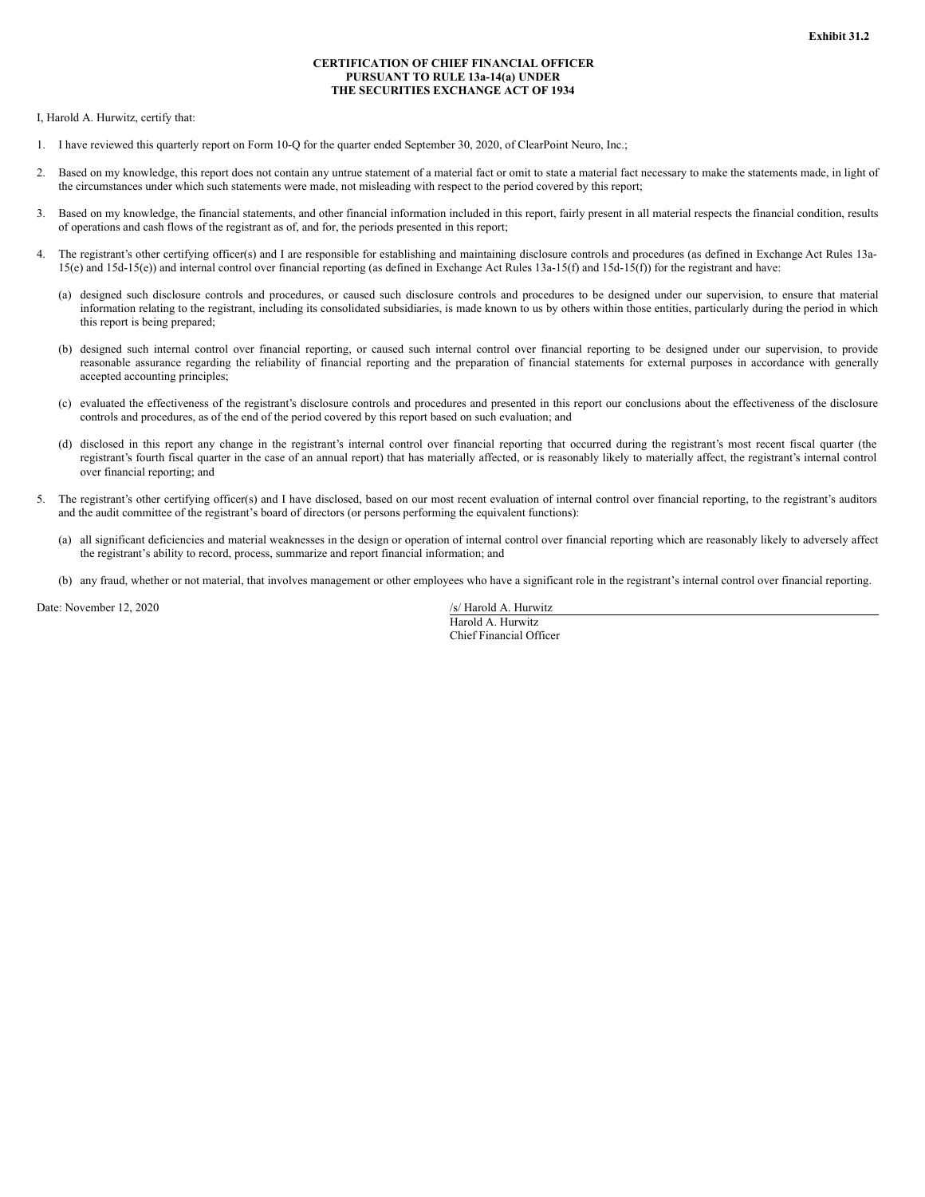### **CERTIFICATION OF CHIEF FINANCIAL OFFICER PURSUANT TO RULE 13a-14(a) UNDER THE SECURITIES EXCHANGE ACT OF 1934**

<span id="page-33-0"></span>I, Harold A. Hurwitz, certify that:

- 1. I have reviewed this quarterly report on Form 10-Q for the quarter ended September 30, 2020, of ClearPoint Neuro, Inc.;
- 2. Based on my knowledge, this report does not contain any untrue statement of a material fact or omit to state a material fact necessary to make the statements made, in light of the circumstances under which such statements were made, not misleading with respect to the period covered by this report;
- 3. Based on my knowledge, the financial statements, and other financial information included in this report, fairly present in all material respects the financial condition, results of operations and cash flows of the registrant as of, and for, the periods presented in this report;
- 4. The registrant's other certifying officer(s) and I are responsible for establishing and maintaining disclosure controls and procedures (as defined in Exchange Act Rules 13a-15(e) and 15d-15(e)) and internal control over financial reporting (as defined in Exchange Act Rules 13a-15(f) and 15d-15(f)) for the registrant and have:
	- (a) designed such disclosure controls and procedures, or caused such disclosure controls and procedures to be designed under our supervision, to ensure that material information relating to the registrant, including its consolidated subsidiaries, is made known to us by others within those entities, particularly during the period in which this report is being prepared;
	- (b) designed such internal control over financial reporting, or caused such internal control over financial reporting to be designed under our supervision, to provide reasonable assurance regarding the reliability of financial reporting and the preparation of financial statements for external purposes in accordance with generally accepted accounting principles;
	- (c) evaluated the effectiveness of the registrant's disclosure controls and procedures and presented in this report our conclusions about the effectiveness of the disclosure controls and procedures, as of the end of the period covered by this report based on such evaluation; and
	- (d) disclosed in this report any change in the registrant's internal control over financial reporting that occurred during the registrant's most recent fiscal quarter (the registrant's fourth fiscal quarter in the case of an annual report) that has materially affected, or is reasonably likely to materially affect, the registrant's internal control over financial reporting; and
- 5. The registrant's other certifying officer(s) and I have disclosed, based on our most recent evaluation of internal control over financial reporting, to the registrant's auditors and the audit committee of the registrant's board of directors (or persons performing the equivalent functions):
	- (a) all significant deficiencies and material weaknesses in the design or operation of internal control over financial reporting which are reasonably likely to adversely affect the registrant's ability to record, process, summarize and report financial information; and
	- (b) any fraud, whether or not material, that involves management or other employees who have a significant role in the registrant's internal control over financial reporting.

Date: November 12, 2020 /s/ Harold A. Hurwitz

Harold A. Hurwitz Chief Financial Officer